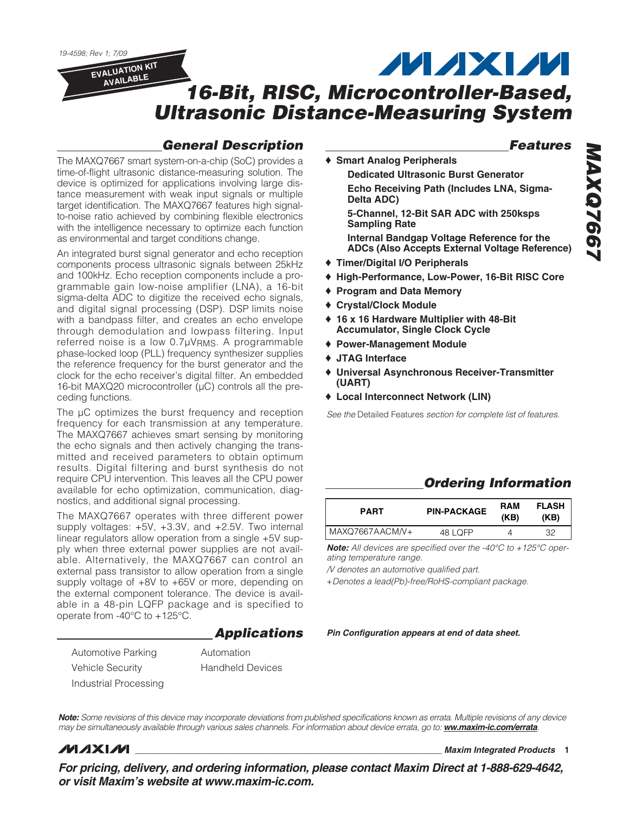19-4598; Rev 1; 7/09

**EVALUATION KIT AVAILABLE**

### **MAXM**

### **16-Bit, RISC, Microcontroller-Based, Ultrasonic Distance-Measuring System**

**Delta ADC)**

**Sampling Rate**

### **General Description**

### **Features**

The MAXQ7667 smart system-on-a-chip (SoC) provides a time-of-flight ultrasonic distance-measuring solution. The device is optimized for applications involving large distance measurement with weak input signals or multiple target identification. The MAXQ7667 features high signalto-noise ratio achieved by combining flexible electronics with the intelligence necessary to optimize each function as environmental and target conditions change. ♦ **Smart Analog Peripherals**

An integrated burst signal generator and echo reception components process ultrasonic signals between 25kHz and 100kHz. Echo reception components include a programmable gain low-noise amplifier (LNA), a 16-bit sigma-delta ADC to digitize the received echo signals, and digital signal processing (DSP). DSP limits noise with a bandpass filter, and creates an echo envelope through demodulation and lowpass filtering. Input referred noise is a low 0.7µVRMS. A programmable phase-locked loop (PLL) frequency synthesizer supplies the reference frequency for the burst generator and the clock for the echo receiver's digital filter. An embedded 16-bit MAXQ20 microcontroller (µC) controls all the preceding functions.

The  $\mu$ C optimizes the burst frequency and reception frequency for each transmission at any temperature. The MAXQ7667 achieves smart sensing by monitoring the echo signals and then actively changing the transmitted and received parameters to obtain optimum results. Digital filtering and burst synthesis do not require CPU intervention. This leaves all the CPU power available for echo optimization, communication, diagnostics, and additional signal processing.

The MAXQ7667 operates with three different power supply voltages: +5V, +3.3V, and +2.5V. Two internal linear regulators allow operation from a single +5V supply when three external power supplies are not available. Alternatively, the MAXQ7667 can control an external pass transistor to allow operation from a single supply voltage of +8V to +65V or more, depending on the external component tolerance. The device is available in a 48-pin LQFP package and is specified to operate from -40°C to +125°C.

### **Applications**

Automotive Parking Vehicle Security

Automation Handheld Devices

Industrial Processing

♦ **High-Performance, Low-Power, 16-Bit RISC Core** ♦ **Program and Data Memory** ♦ **Crystal/Clock Module**

♦ **Timer/Digital I/O Peripherals**

♦ **16 x 16 Hardware Multiplier with 48-Bit Accumulator, Single Clock Cycle**

**Dedicated Ultrasonic Burst Generator**

**Echo Receiving Path (Includes LNA, Sigma-**

**5-Channel, 12-Bit SAR ADC with 250ksps** 

**Internal Bandgap Voltage Reference for the**

- ♦ **Power-Management Module**
- ♦ **JTAG Interface**
- ♦ **Universal Asynchronous Receiver-Transmitter (UART)**
- ♦ **Local Interconnect Network (LIN)**

See the Detailed Features section for complete list of features.

### **Ordering Information**

| <b>PART</b>     | <b>PIN-PACKAGE</b> | RAM<br>(KB) | <b>FLASH</b><br>(KB) |
|-----------------|--------------------|-------------|----------------------|
| MAXQ7667AACM/V+ | 48 LOFP            |             | 32                   |

**Note:** All devices are specified over the -40°C to +125°C operating temperature range.

/V denotes an automotive qualified part.

+Denotes a lead(Pb)-free/RoHS-compliant package.

**Pin Configuration appears at end of data sheet.**

**MAXQ7667 MAXQ7667 ADCs (Also Accepts External Voltage Reference)**

**Note:** Some revisions of this device may incorporate deviations from published specifications known as errata. Multiple revisions of any device may be simultaneously available through various sales channels. For information about device errata, go to: **ww.maxim-ic.com/errata**.

### **MAXM**

**\_\_\_\_\_\_\_\_\_\_\_\_\_\_\_\_\_\_\_\_\_\_\_\_\_\_\_\_\_\_\_\_\_\_\_\_\_\_\_\_\_\_\_\_\_\_\_\_\_\_\_\_\_\_\_\_\_\_\_\_\_\_\_\_ Maxim Integrated Products 1**

**For pricing, delivery, and ordering information, please contact Maxim Direct at 1-888-629-4642, or visit Maxim's website at www.maxim-ic.com.**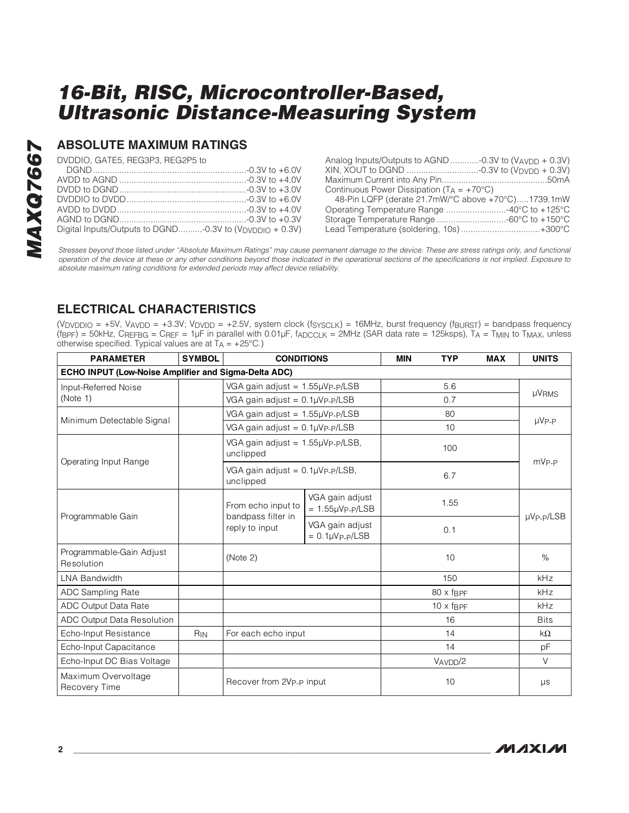### **ABSOLUTE MAXIMUM RATINGS**

DVDDIO, GATE5, REG3P3, REG2P5 to

| Digital Inputs/Outputs to DGND-0.3V to (V <sub>DVDDIO</sub> + 0.3V) |  |
|---------------------------------------------------------------------|--|
|                                                                     |  |

| Analog Inputs/Outputs to AGND -0.3V to $(V_{AVDD} + 0.3V)$ |  |
|------------------------------------------------------------|--|
|                                                            |  |
|                                                            |  |
| Continuous Power Dissipation $(T_A = +70^{\circ}C)$        |  |
| 48-Pin LQFP (derate 21.7mW/°C above +70°C)1739.1mW         |  |
|                                                            |  |
|                                                            |  |
| Lead Temperature (soldering, 10s) +300°C                   |  |
|                                                            |  |

Stresses beyond those listed under "Absolute Maximum Ratings" may cause permanent damage to the device. These are stress ratings only, and functional operation of the device at these or any other conditions beyond those indicated in the operational sections of the specifications is not implied. Exposure to absolute maximum rating conditions for extended periods may affect device reliability.

### **ELECTRICAL CHARACTERISTICS**

(VDVDDIO = +5V, VAVDD = +3.3V; VDVDD = +2.5V, system clock (fsyscLK) = 16MHz, burst frequency (f $BURST$ ) = bandpass frequency (fBPF) = 50kHz, CREFBG = CREF = 1µF in parallel with 0.01µF, fADCCLK = 2MHz (SAR data rate = 125ksps), TA = TMIN to TMAX, unless otherwise specified. Typical values are at  $T_A = +25^{\circ}C$ .)

| <b>PARAMETER</b>                                     | <b>SYMBOL</b> | <b>CONDITIONS</b>                                  |                                               | <b>MIN</b> | <b>TYP</b>                 | <b>MAX</b> | <b>UNITS</b>      |  |
|------------------------------------------------------|---------------|----------------------------------------------------|-----------------------------------------------|------------|----------------------------|------------|-------------------|--|
| ECHO INPUT (Low-Noise Amplifier and Sigma-Delta ADC) |               |                                                    |                                               |            |                            |            |                   |  |
| Input-Referred Noise                                 |               | VGA gain adjust = $1.55\mu VP - P/LSB$             |                                               | 5.6        |                            |            |                   |  |
| (Note 1)                                             |               | VGA gain adjust = $0.1\mu V_P$ - $p/LSB$           |                                               |            | 0.7                        |            | <b>µVRMS</b>      |  |
|                                                      |               | VGA gain adjust = 1.55µVp-p/LSB                    |                                               |            | 80                         |            |                   |  |
| Minimum Detectable Signal                            |               | VGA gain adjust = $0.1 \mu V$ $p$ - $p$ /LSB       |                                               |            | 10                         |            | $\mu V_{P-P}$     |  |
| Operating Input Range                                |               | VGA gain adjust = 1.55µVp-p/LSB,<br>unclipped      |                                               | 100        |                            |            |                   |  |
|                                                      |               | VGA gain adjust = $0.1\mu VP-P/LSB$ ,<br>unclipped |                                               |            | 6.7                        |            | mV <sub>P-P</sub> |  |
|                                                      |               | From echo input to<br>bandpass filter in           | VGA gain adjust<br>$= 1.55 \mu V_P - p / LSB$ | 1.55       |                            |            | $\mu V$ P-P/LSB   |  |
| Programmable Gain                                    |               | reply to input                                     | VGA gain adjust<br>$= 0.1 \mu V_{P-P}/LSB$    |            | 0.1                        |            |                   |  |
| Programmable-Gain Adjust<br>Resolution               |               | (Note 2)                                           |                                               |            | 10                         |            | $\%$              |  |
| <b>LNA Bandwidth</b>                                 |               |                                                    |                                               |            | 150                        |            | kHz               |  |
| <b>ADC Sampling Rate</b>                             |               |                                                    |                                               |            | $80 \times f_{\text{BPF}}$ |            | <b>kHz</b>        |  |
| <b>ADC Output Data Rate</b>                          |               |                                                    |                                               |            | $10 \times f_{\text{BPF}}$ |            | kHz               |  |
| <b>ADC Output Data Resolution</b>                    |               |                                                    |                                               |            | 16                         |            | <b>Bits</b>       |  |
| Echo-Input Resistance                                | $R_{IN}$      | For each echo input                                |                                               |            | 14                         |            | $k\Omega$         |  |
| Echo-Input Capacitance                               |               |                                                    |                                               |            | 14                         |            | рF                |  |
| Echo-Input DC Bias Voltage                           |               |                                                    |                                               |            | VAVDD/2                    |            | $\vee$            |  |
| Maximum Overvoltage<br>Recovery Time                 |               | Recover from 2V <sub>P-P</sub> input               |                                               |            | 10                         |            | $\mu s$           |  |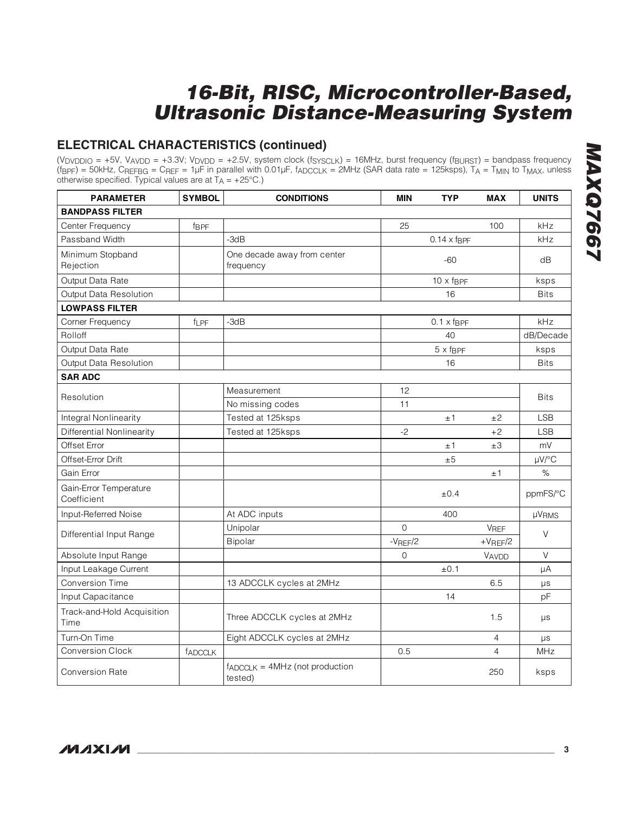### **ELECTRICAL CHARACTERISTICS (continued)**

(V<sub>DVDDIO</sub> = +5V, V<sub>AVDD</sub> = +3.3V; V<sub>DVDD</sub> = +2.5V, system clock (f<sub>SYSCLK</sub>) = 16MHz, burst frequency (f<sub>BURST</sub>) = bandpass frequency (fBPF) = 50kHz, CREFBG = CREF = 1µF in parallel with 0.01µF, fADCCLK = 2MHz (SAR data rate = 125ksps), TA = TMIN to TMAX, unless otherwise specified. Typical values are at  $T_A$  = +25°C.)

| <b>PARAMETER</b>                      | <b>SYMBOL</b> | <b>CONDITIONS</b>                             | <b>MIN</b>     | <b>TYP</b>                   | <b>MAX</b>     | <b>UNITS</b> |
|---------------------------------------|---------------|-----------------------------------------------|----------------|------------------------------|----------------|--------------|
| <b>BANDPASS FILTER</b>                |               |                                               |                |                              |                |              |
| Center Frequency                      | fBPF          |                                               | 25             |                              | 100            | kHz          |
| Passband Width                        |               | $-3dB$                                        |                | $0.14 \times f_{\text{BPF}}$ |                | kHz          |
| Minimum Stopband<br>Rejection         |               | One decade away from center<br>frequency      |                | $-60$                        |                | dB           |
| Output Data Rate                      |               |                                               |                | $10 \times f_{\text{BPF}}$   |                | ksps         |
| Output Data Resolution                |               |                                               |                | 16                           |                | <b>Bits</b>  |
| <b>LOWPASS FILTER</b>                 |               |                                               |                |                              |                |              |
| Corner Frequency                      | <b>fLPF</b>   | -3dB                                          |                | $0.1 \times f_{\text{BPF}}$  |                | kHz          |
| Rolloff                               |               |                                               |                | 40                           |                | dB/Decade    |
| Output Data Rate                      |               |                                               |                | $5 \times f_{\text{BPF}}$    |                | ksps         |
| Output Data Resolution                |               |                                               |                | 16                           |                | <b>Bits</b>  |
| <b>SAR ADC</b>                        |               |                                               |                |                              |                |              |
| Resolution                            |               | Measurement                                   | 12             |                              |                | <b>Bits</b>  |
|                                       |               | No missing codes                              | 11             |                              |                |              |
| Integral Nonlinearity                 |               | Tested at 125ksps                             |                | ±1                           | ±2             | <b>LSB</b>   |
| Differential Nonlinearity             |               | Tested at 125ksps                             | $-2$           |                              | $+2$           | <b>LSB</b>   |
| Offset Error                          |               |                                               |                | ±1                           | ±3             | mV           |
| Offset-Error Drift                    |               |                                               |                | ±5                           |                | $\mu V$ /°C  |
| Gain Error                            |               |                                               |                |                              | ±1             | %            |
| Gain-Error Temperature<br>Coefficient |               |                                               |                | ±0.4                         |                | ppmFS/°C     |
| Input-Referred Noise                  |               | At ADC inputs                                 |                | 400                          |                | <b>µVRMS</b> |
|                                       |               | Unipolar                                      | $\Omega$       |                              | <b>VREF</b>    | $\vee$       |
| Differential Input Range              |               | Bipolar                                       | $-V$ REF $/2$  |                              | $+V$ REF/2     |              |
| Absolute Input Range                  |               |                                               | $\overline{0}$ |                              | VAVDD          | V            |
| Input Leakage Current                 |               |                                               |                | ±0.1                         |                | μA           |
| Conversion Time                       |               | 13 ADCCLK cycles at 2MHz                      |                |                              | 6.5            | μs           |
| Input Capacitance                     |               |                                               |                | 14                           |                | pF           |
| Track-and-Hold Acquisition<br>Time    |               | Three ADCCLK cycles at 2MHz                   |                |                              | 1.5            | $\mu s$      |
| Turn-On Time                          |               | Eight ADCCLK cycles at 2MHz                   |                |                              | 4              | μs           |
| <b>Conversion Clock</b>               | fADCCLK       |                                               | 0.5            |                              | $\overline{4}$ | <b>MHz</b>   |
| <b>Conversion Rate</b>                |               | $f_{ADCLK} = 4MHz$ (not production<br>tested) |                |                              | 250            | ksps         |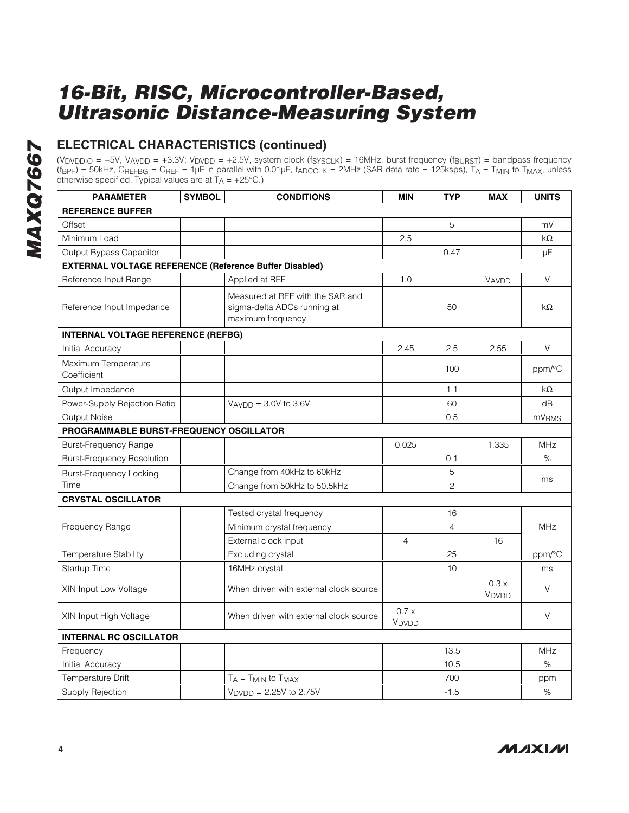### **ELECTRICAL CHARACTERISTICS (continued)**

(V<sub>DVDDIO</sub> = +5V, V<sub>AVDD</sub> = +3.3V; V<sub>DVDD</sub> = +2.5V, system clock (f<sub>SYSCLK</sub>) = 16MHz, burst frequency (f<sub>BURST</sub>) = bandpass frequency (fBPF) = 50kHz, CREFBG = CREF = 1µF in parallel with 0.01µF, fADCCLK = 2MHz (SAR data rate = 125ksps), TA = TMIN to TMAX, unless otherwise specified. Typical values are at  $T_A = +25^{\circ}C$ .)

| <b>PARAMETER</b>                                              | <b>SYMBOL</b> | <b>CONDITIONS</b>                                                                    | <b>MIN</b>     | <b>TYP</b>     | <b>MAX</b>                | <b>UNITS</b>      |  |
|---------------------------------------------------------------|---------------|--------------------------------------------------------------------------------------|----------------|----------------|---------------------------|-------------------|--|
| <b>REFERENCE BUFFER</b>                                       |               |                                                                                      |                |                |                           |                   |  |
| Offset                                                        |               |                                                                                      |                | 5              |                           | mV                |  |
| Minimum Load                                                  |               |                                                                                      | 2.5            |                |                           | kΩ                |  |
| Output Bypass Capacitor                                       |               |                                                                                      |                | 0.47           |                           | μF                |  |
| <b>EXTERNAL VOLTAGE REFERENCE (Reference Buffer Disabled)</b> |               |                                                                                      |                |                |                           |                   |  |
| Reference Input Range                                         |               | Applied at REF                                                                       | 1.0            |                | VAVDD                     | V                 |  |
| Reference Input Impedance                                     |               | Measured at REF with the SAR and<br>sigma-delta ADCs running at<br>maximum frequency |                | 50             |                           | kΩ                |  |
| <b>INTERNAL VOLTAGE REFERENCE (REFBG)</b>                     |               |                                                                                      |                |                |                           |                   |  |
| Initial Accuracy                                              |               |                                                                                      | 2.45           | 2.5            | 2.55                      | V                 |  |
| Maximum Temperature<br>Coefficient                            |               |                                                                                      |                | 100            |                           | ppm/°C            |  |
| Output Impedance                                              |               |                                                                                      |                | 1.1            |                           | $k\Omega$         |  |
| Power-Supply Rejection Ratio                                  |               | $V_{AVDD} = 3.0V$ to 3.6V                                                            |                | 60             |                           | dB                |  |
| Output Noise                                                  |               |                                                                                      |                | 0.5            |                           | mV <sub>RMS</sub> |  |
| PROGRAMMABLE BURST-FREQUENCY OSCILLATOR                       |               |                                                                                      |                |                |                           |                   |  |
| <b>Burst-Frequency Range</b>                                  |               |                                                                                      | 0.025          |                | 1.335                     | MHz               |  |
| <b>Burst-Frequency Resolution</b>                             |               |                                                                                      |                | 0.1            |                           | $\%$              |  |
| <b>Burst-Frequency Locking</b>                                |               | Change from 40kHz to 60kHz                                                           |                | 5              |                           | ms                |  |
| Time                                                          |               | Change from 50kHz to 50.5kHz                                                         |                | $\overline{c}$ |                           |                   |  |
| <b>CRYSTAL OSCILLATOR</b>                                     |               |                                                                                      |                |                |                           |                   |  |
|                                                               |               | Tested crystal frequency                                                             |                | 16             |                           |                   |  |
| Frequency Range                                               |               | Minimum crystal frequency                                                            |                | $\overline{4}$ |                           | <b>MHz</b>        |  |
|                                                               |               | External clock input                                                                 | $\overline{4}$ |                | 16                        |                   |  |
| <b>Temperature Stability</b>                                  |               | Excluding crystal                                                                    |                | 25             |                           | ppm/°C            |  |
| Startup Time                                                  |               | 16MHz crystal                                                                        |                | 10             |                           | ms                |  |
| XIN Input Low Voltage                                         |               | When driven with external clock source                                               |                |                | 0.3x<br>V <sub>DVDD</sub> | V                 |  |
| XIN Input High Voltage                                        |               | When driven with external clock source                                               | 0.7x<br>VDVDD  |                |                           | $\vee$            |  |
| <b>INTERNAL RC OSCILLATOR</b>                                 |               |                                                                                      |                |                |                           |                   |  |
| Frequency                                                     |               |                                                                                      |                | 13.5           |                           | <b>MHz</b>        |  |
| Initial Accuracy                                              |               |                                                                                      |                | 10.5           |                           | ℅                 |  |
| <b>Temperature Drift</b>                                      |               | $T_A = T_{MIN}$ to $T_{MAX}$                                                         |                | 700            |                           | ppm               |  |
| Supply Rejection                                              |               | $V_{\text{DVDD}} = 2.25V$ to 2.75V                                                   |                | $-1.5$         |                           | %                 |  |

**MAXM**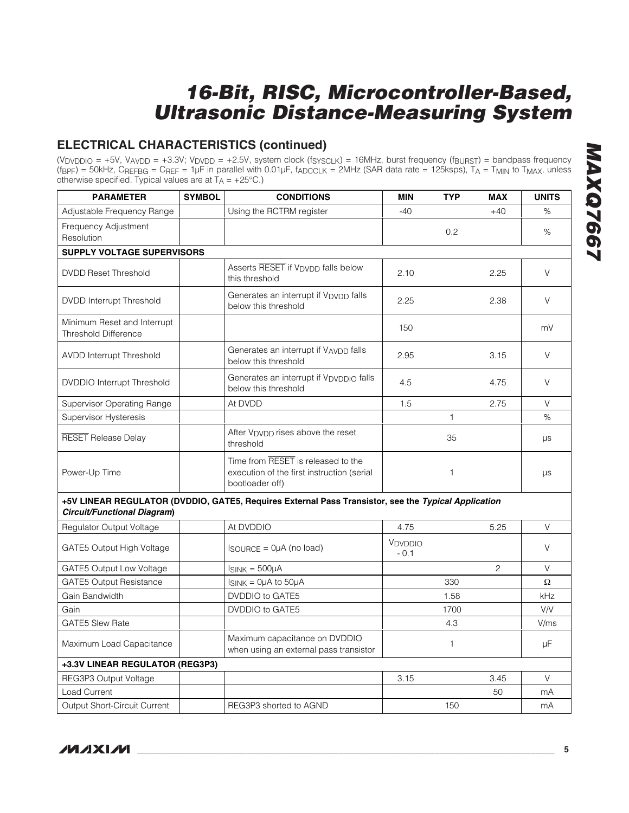### **ELECTRICAL CHARACTERISTICS (continued)**

(V<sub>DVDDIO</sub> = +5V, V<sub>AVDD</sub> = +3.3V; V<sub>DVDD</sub> = +2.5V, system clock (f<sub>SYSCLK</sub>) = 16MHz, burst frequency (f<sub>BURST</sub>) = bandpass frequency (fBPF) = 50kHz, CREFBG = CREF = 1µF in parallel with 0.01µF, fADCCLK = 2MHz (SAR data rate = 125ksps), TA = TMIN to TMAX, unless otherwise specified. Typical values are at  $T_A = +25^{\circ}C$ .)

| <b>PARAMETER</b>                                           | <b>SYMBOL</b> | <b>CONDITIONS</b>                                                                                   | <b>MIN</b>        | <b>TYP</b>   | <b>MAX</b>   | <b>UNITS</b> |
|------------------------------------------------------------|---------------|-----------------------------------------------------------------------------------------------------|-------------------|--------------|--------------|--------------|
| Adjustable Frequency Range                                 |               | Using the RCTRM register                                                                            | $-40$             |              | $+40$        | %            |
| Frequency Adjustment<br>Resolution                         |               |                                                                                                     |                   | 0.2          |              | %            |
| <b>SUPPLY VOLTAGE SUPERVISORS</b>                          |               |                                                                                                     |                   |              |              |              |
| <b>DVDD Reset Threshold</b>                                |               | Asserts RESET if V <sub>DVDD</sub> falls below<br>this threshold                                    | 2.10              |              | 2.25         | V            |
| <b>DVDD Interrupt Threshold</b>                            |               | Generates an interrupt if V <sub>DVDD</sub> falls<br>below this threshold                           | 2.25              |              | 2.38         | V            |
| Minimum Reset and Interrupt<br><b>Threshold Difference</b> |               |                                                                                                     | 150               |              |              | mV           |
| <b>AVDD Interrupt Threshold</b>                            |               | Generates an interrupt if VAVDD falls<br>below this threshold                                       | 2.95              |              | 3.15         | V            |
| <b>DVDDIO</b> Interrupt Threshold                          |               | Generates an interrupt if VDVDDIO falls<br>below this threshold                                     | 4.5               |              | 4.75         | V            |
| <b>Supervisor Operating Range</b>                          |               | At DVDD                                                                                             | 1.5               |              | 2.75         | $\vee$       |
| <b>Supervisor Hysteresis</b>                               |               |                                                                                                     |                   | $\mathbf{1}$ |              | %            |
| <b>RESET</b> Release Delay                                 |               | After V <sub>DVDD</sub> rises above the reset<br>threshold                                          |                   | 35           |              | μs           |
| Power-Up Time                                              |               | Time from RESET is released to the<br>execution of the first instruction (serial<br>bootloader off) |                   | $\mathbf{1}$ |              | $\mu s$      |
| Circuit/Functional Diagram)                                |               | +5V LINEAR REGULATOR (DVDDIO, GATE5, Requires External Pass Transistor, see the Typical Application |                   |              |              |              |
| Regulator Output Voltage                                   |               | At DVDDIO                                                                                           | 4.75              |              | 5.25         | V            |
| GATE5 Output High Voltage                                  |               | $lgou$ RCE = $0\mu$ A (no load)                                                                     | VDVDDIO<br>$-0.1$ |              |              | $\vee$       |
| GATE5 Output Low Voltage                                   |               | $I_{SINK} = 500 \mu A$                                                                              |                   |              | $\mathbf{2}$ | $\vee$       |
| <b>GATE5 Output Resistance</b>                             |               | $I_{SINK} = 0\mu A$ to 50 $\mu A$                                                                   |                   | 330          |              | Ω            |
| Gain Bandwidth                                             |               | DVDDIO to GATE5                                                                                     |                   | 1.58         |              | kHz          |
| Gain                                                       |               | DVDDIO to GATE5                                                                                     |                   | 1700         |              | <b>V/V</b>   |
| <b>GATE5 Slew Rate</b>                                     |               |                                                                                                     |                   | 4.3          |              | V/ms         |
| Maximum Load Capacitance                                   |               | Maximum capacitance on DVDDIO<br>when using an external pass transistor                             |                   | $\mathbf{1}$ |              | μF           |
| +3.3V LINEAR REGULATOR (REG3P3)                            |               |                                                                                                     |                   |              |              |              |
| REG3P3 Output Voltage                                      |               |                                                                                                     | 3.15              |              | 3.45         | $\vee$       |
| <b>Load Current</b>                                        |               |                                                                                                     |                   |              | 50           | mA           |
| <b>Output Short-Circuit Current</b>                        |               | REG3P3 shorted to AGND                                                                              |                   | 150          |              | mA           |

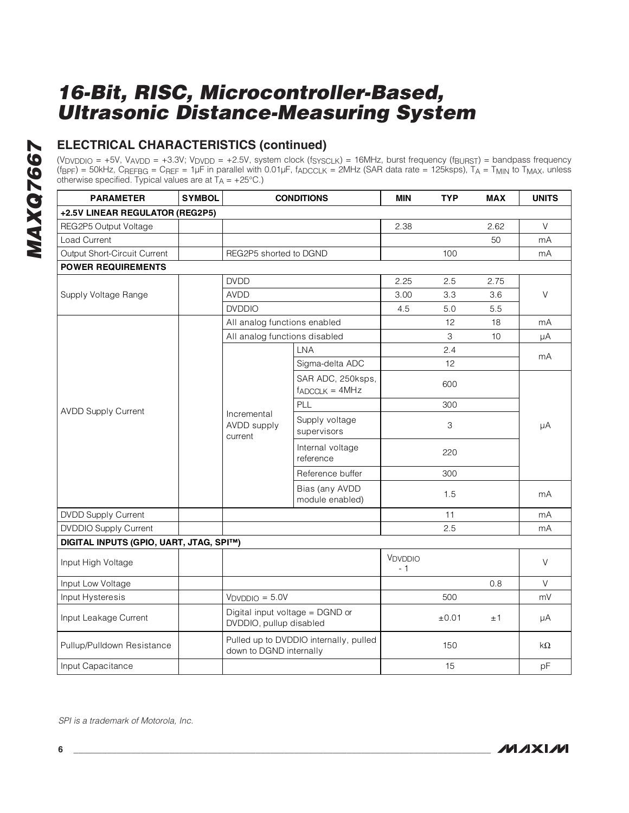### **ELECTRICAL CHARACTERISTICS (continued)**

(V<sub>DVDDIO</sub> = +5V, V<sub>AVDD</sub> = +3.3V; V<sub>DVDD</sub> = +2.5V, system clock (f<sub>SYSCLK</sub>) = 16MHz, burst frequency (f<sub>BURST</sub>) = bandpass frequency (fBPF) = 50kHz, CREFBG = CREF = 1µF in parallel with 0.01µF, fADCCLK = 2MHz (SAR data rate = 125ksps), TA = TMIN to TMAX, unless otherwise specified. Typical values are at  $T_A = +25^{\circ}C$ .)

| <b>PARAMETER</b>                        | <b>SYMBOL</b> |                                       | <b>CONDITIONS</b>                       | <b>MIN</b>     | <b>TYP</b> | <b>MAX</b> | <b>UNITS</b> |  |  |
|-----------------------------------------|---------------|---------------------------------------|-----------------------------------------|----------------|------------|------------|--------------|--|--|
| +2.5V LINEAR REGULATOR (REG2P5)         |               |                                       |                                         |                |            |            |              |  |  |
| REG2P5 Output Voltage                   |               |                                       |                                         | 2.38           |            | 2.62       | V            |  |  |
| <b>Load Current</b>                     |               |                                       |                                         |                |            | 50         | mA           |  |  |
| Output Short-Circuit Current            |               | REG2P5 shorted to DGND                |                                         |                | 100        |            | mA           |  |  |
| <b>POWER REQUIREMENTS</b>               |               |                                       |                                         |                |            |            |              |  |  |
|                                         |               | <b>DVDD</b>                           | 2.25                                    | 2.5            | 2.75       |            |              |  |  |
| Supply Voltage Range                    |               | <b>AVDD</b>                           |                                         | 3.00           | 3.3        | 3.6        | $\vee$       |  |  |
|                                         |               | <b>DVDDIO</b>                         |                                         | 4.5            | 5.0        | 5.5        |              |  |  |
|                                         |               | All analog functions enabled          |                                         |                | 12         | 18         | mA           |  |  |
|                                         |               | All analog functions disabled         |                                         |                | 3          | 10         | μA           |  |  |
|                                         |               |                                       | LNA                                     |                | 2.4        |            |              |  |  |
|                                         |               |                                       | Sigma-delta ADC                         |                | 12         |            | mA<br>μA     |  |  |
| <b>AVDD Supply Current</b>              |               | Incremental<br>AVDD supply<br>current | SAR ADC, 250ksps,<br>$f_{ADCLK} = 4MHz$ |                | 600        |            |              |  |  |
|                                         |               |                                       | PLL                                     |                | 300        |            |              |  |  |
|                                         |               |                                       | Supply voltage<br>supervisors           |                | 3          |            |              |  |  |
|                                         |               |                                       | Internal voltage<br>reference           |                | 220        |            |              |  |  |
|                                         |               |                                       | Reference buffer                        |                | 300        |            |              |  |  |
|                                         |               |                                       | Bias (any AVDD<br>module enabled)       |                | 1.5        |            | mA           |  |  |
| <b>DVDD Supply Current</b>              |               |                                       |                                         |                | 11         |            | mA           |  |  |
| <b>DVDDIO Supply Current</b>            |               |                                       |                                         |                | 2.5        |            | mA           |  |  |
| DIGITAL INPUTS (GPIO, UART, JTAG, SPI™) |               |                                       |                                         |                |            |            |              |  |  |
| Input High Voltage                      |               |                                       |                                         | VDVDDIO<br>- 1 |            |            | $\vee$       |  |  |
| Input Low Voltage                       |               |                                       |                                         |                |            | 0.8        | V            |  |  |
| Input Hysteresis                        |               | $VDVDDIO = 5.0V$                      |                                         |                | 500        |            | mV           |  |  |
| Input Leakage Current                   |               | DVDDIO, pullup disabled               | Digital input voltage = DGND or         |                | ±0.01      | ±1         | μA           |  |  |
| Pullup/Pulldown Resistance              |               | down to DGND internally               | Pulled up to DVDDIO internally, pulled  |                | 150        |            | kΩ           |  |  |
| Input Capacitance                       |               |                                       |                                         |                | 15         |            | pF           |  |  |

SPI is a trademark of Motorola, Inc.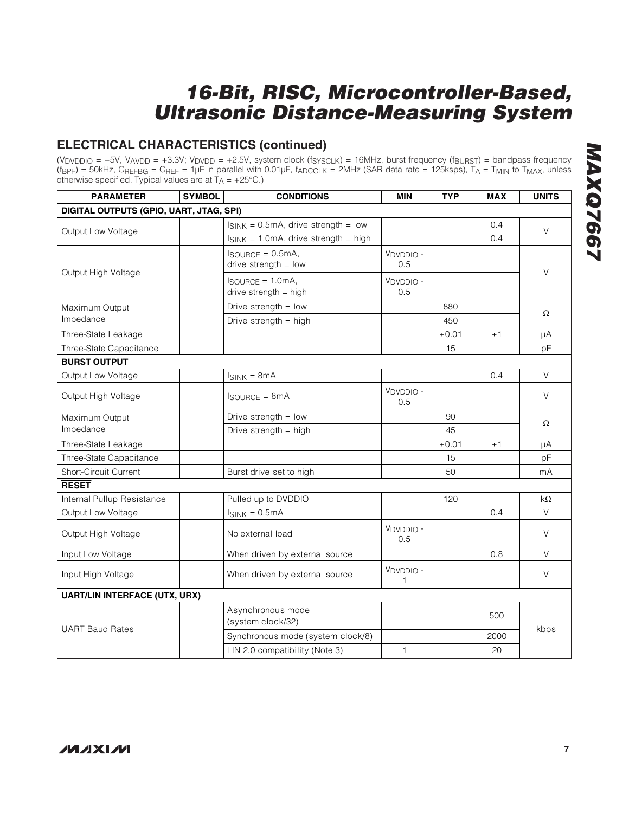### **ELECTRICAL CHARACTERISTICS (continued)**

(V<sub>DVDDIO</sub> = +5V, V<sub>AVDD</sub> = +3.3V; V<sub>DVDD</sub> = +2.5V, system clock (f<sub>SYSCLK</sub>) = 16MHz, burst frequency (f<sub>BURST</sub>) = bandpass frequency (fBPF) = 50kHz, CREFBG = CREF = 1µF in parallel with 0.01µF, fADCCLK = 2MHz (SAR data rate = 125ksps), TA = TMIN to TMAX, unless otherwise specified. Typical values are at  $T_A = +25^{\circ}C$ .)

| <b>PARAMETER</b>                        | <b>SYMBOL</b> | <b>CONDITIONS</b>                                            | <b>MIN</b>       | <b>TYP</b> | <b>MAX</b> | <b>UNITS</b> |  |  |
|-----------------------------------------|---------------|--------------------------------------------------------------|------------------|------------|------------|--------------|--|--|
| DIGITAL OUTPUTS (GPIO, UART, JTAG, SPI) |               |                                                              |                  |            |            |              |  |  |
| Output Low Voltage                      |               | $I_{SINK} = 0.5mA$ , drive strength = low                    |                  |            | 0.4        | $\vee$       |  |  |
|                                         |               | $I_{SINK}$ = 1.0mA, drive strength = high                    |                  |            | 0.4        |              |  |  |
|                                         |               | $I$ SOURCE = $0.5mA$ ,<br>drive strength $=$ low             | VDVDDIO -<br>0.5 |            |            | $\vee$       |  |  |
| Output High Voltage                     |               | $I_{\text{SOURCE}} = 1.0 \text{mA}$<br>drive strength = high | VDVDDIO-<br>0.5  |            |            |              |  |  |
| Maximum Output                          |               | Drive strength $=$ low                                       |                  | 880        |            | $\Omega$     |  |  |
| Impedance                               |               | Drive strength = high                                        |                  | 450        |            |              |  |  |
| Three-State Leakage                     |               |                                                              |                  | $\pm 0.01$ | ±1         | μA           |  |  |
| Three-State Capacitance                 |               |                                                              |                  | 15         |            | pF           |  |  |
| <b>BURST OUTPUT</b>                     |               |                                                              |                  |            |            |              |  |  |
| Output Low Voltage                      |               | $I_{SINK} = 8mA$                                             |                  |            | 0.4        | $\vee$       |  |  |
| Output High Voltage                     |               | $I$ SOURCE = 8 $mA$                                          | VDVDDIO-<br>0.5  |            |            | V            |  |  |
| Maximum Output                          |               | Drive strength $=$ low                                       |                  | 90         |            |              |  |  |
| Impedance                               |               | Drive strength = high                                        |                  | 45         |            | Ω            |  |  |
| Three-State Leakage                     |               |                                                              |                  | ±0.01      | ±1         | μA           |  |  |
| Three-State Capacitance                 |               |                                                              |                  | 15         |            | pF           |  |  |
| Short-Circuit Current                   |               | Burst drive set to high                                      |                  | 50         |            | mA           |  |  |
| <b>RESET</b>                            |               |                                                              |                  |            |            |              |  |  |
| Internal Pullup Resistance              |               | Pulled up to DVDDIO                                          |                  | 120        |            | kΩ           |  |  |
| Output Low Voltage                      |               | $I_{SINK} = 0.5mA$                                           |                  |            | 0.4        | $\mathsf V$  |  |  |
| Output High Voltage                     |               | No external load                                             | VDVDDIO-<br>0.5  |            |            | V            |  |  |
| Input Low Voltage                       |               | When driven by external source                               |                  |            | 0.8        | $\vee$       |  |  |
| Input High Voltage                      |               | When driven by external source                               | VDVDDIO-<br>1    |            |            | $\vee$       |  |  |
| <b>UART/LIN INTERFACE (UTX, URX)</b>    |               |                                                              |                  |            |            |              |  |  |
| <b>UART Baud Rates</b>                  |               | Asynchronous mode<br>(system clock/32)                       |                  |            | 500        |              |  |  |
|                                         |               | Synchronous mode (system clock/8)                            |                  |            | 2000       | kbps         |  |  |
|                                         |               | LIN 2.0 compatibility (Note 3)                               | $\mathbf{1}$     |            | 20         |              |  |  |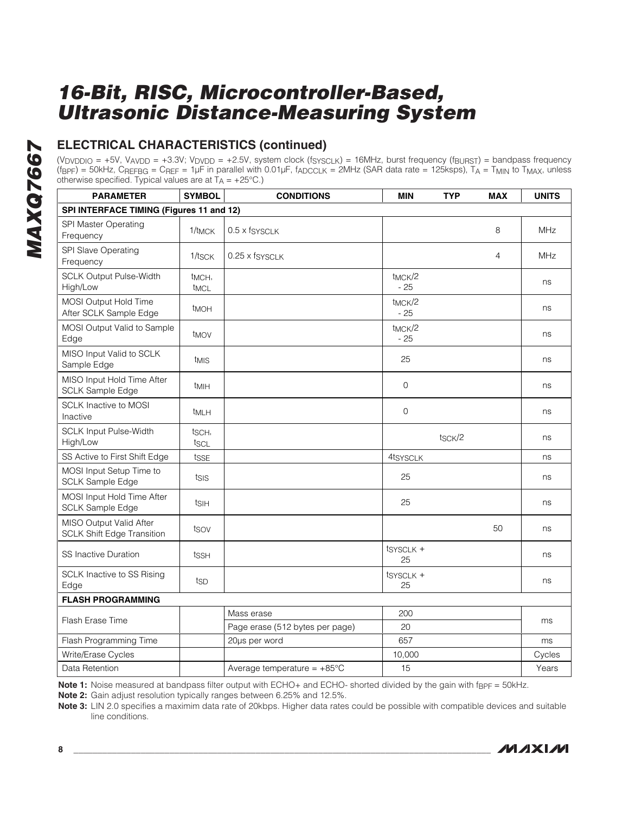### **ELECTRICAL CHARACTERISTICS (continued)**

(V<sub>DVDDIO</sub> = +5V, V<sub>AVDD</sub> = +3.3V; V<sub>DVDD</sub> = +2.5V, system clock (f<sub>SYSCLK</sub>) = 16MHz, burst frequency (f<sub>BURST</sub>) = bandpass frequency (fBPF) = 50kHz, CREFBG = CREF = 1µF in parallel with 0.01µF, fADCCLK = 2MHz (SAR data rate = 125ksps), TA = TMIN to TMAX, unless otherwise specified. Typical values are at  $T_A = +25^{\circ}C$ .)

| <b>PARAMETER</b>                                             | <b>SYMBOL</b>                            | <b>CONDITIONS</b>                     | <b>MIN</b>                   | <b>TYP</b> | <b>MAX</b>     | <b>UNITS</b> |  |
|--------------------------------------------------------------|------------------------------------------|---------------------------------------|------------------------------|------------|----------------|--------------|--|
|                                                              | SPI INTERFACE TIMING (Figures 11 and 12) |                                       |                              |            |                |              |  |
| SPI Master Operating<br>Frequency                            | 1/t <sub>MCK</sub>                       | 0.5 x fsysclk                         |                              |            | 8              | <b>MHz</b>   |  |
| SPI Slave Operating<br>Frequency                             | 1/tsck                                   | 0.25 x fsysclk                        |                              |            | $\overline{4}$ | <b>MHz</b>   |  |
| <b>SCLK Output Pulse-Width</b><br>High/Low                   | t <sub>MCH</sub> ,<br>t <sub>MCL</sub>   |                                       | t <sub>MCK</sub> /2<br>$-25$ |            |                | ns           |  |
| MOSI Output Hold Time<br>After SCLK Sample Edge              | <b>t</b> MOH                             |                                       | t <sub>MCK</sub> /2<br>$-25$ |            |                | ns           |  |
| MOSI Output Valid to Sample<br>Edge                          | t <sub>MOV</sub>                         |                                       | t <sub>MCK</sub> /2<br>$-25$ |            |                | ns           |  |
| MISO Input Valid to SCLK<br>Sample Edge                      | t <sub>MIS</sub>                         |                                       | 25                           |            |                | ns           |  |
| MISO Input Hold Time After<br><b>SCLK Sample Edge</b>        | t <sub>MIH</sub>                         |                                       | $\overline{0}$               |            |                | ns           |  |
| <b>SCLK Inactive to MOSI</b><br>Inactive                     | <sup>t</sup> MLH                         |                                       | 0                            |            |                | ns           |  |
| <b>SCLK Input Pulse-Width</b><br>High/Low                    | tsch,<br>tscl                            |                                       |                              | tsck/2     |                | ns           |  |
| SS Active to First Shift Edge                                | tsse                                     |                                       | 4tsysclk                     |            |                | ns           |  |
| MOSI Input Setup Time to<br><b>SCLK Sample Edge</b>          | tsis                                     |                                       | 25                           |            |                | ns           |  |
| MOSI Input Hold Time After<br><b>SCLK Sample Edge</b>        | tsih                                     |                                       | 25                           |            |                | ns           |  |
| MISO Output Valid After<br><b>SCLK Shift Edge Transition</b> | tsov                                     |                                       |                              |            | 50             | ns           |  |
| <b>SS Inactive Duration</b>                                  | tssh                                     |                                       | tsysclk +<br>25              |            |                | ns           |  |
| SCLK Inactive to SS Rising<br>Edge                           | tsp                                      |                                       | tsysclk +<br>25              |            |                | ns           |  |
| <b>FLASH PROGRAMMING</b>                                     |                                          |                                       |                              |            |                |              |  |
| Flash Erase Time                                             |                                          | Mass erase                            | 200                          |            |                |              |  |
|                                                              |                                          | Page erase (512 bytes per page)       | 20                           |            |                | ms           |  |
| Flash Programming Time                                       |                                          | 20us per word                         | 657                          |            |                | ms           |  |
| Write/Erase Cycles                                           |                                          |                                       | 10,000                       |            |                | Cycles       |  |
| Data Retention                                               |                                          | Average temperature = $+85^{\circ}$ C | 15                           |            |                | Years        |  |

**Note 1:** Noise measured at bandpass filter output with ECHO+ and ECHO- shorted divided by the gain with f<sub>BPF</sub> = 50kHz.

**Note 2:** Gain adjust resolution typically ranges between 6.25% and 12.5%.

**Note 3:** LIN 2.0 specifies a maximim data rate of 20kbps. Higher data rates could be possible with compatible devices and suitable line conditions.

**MAXM**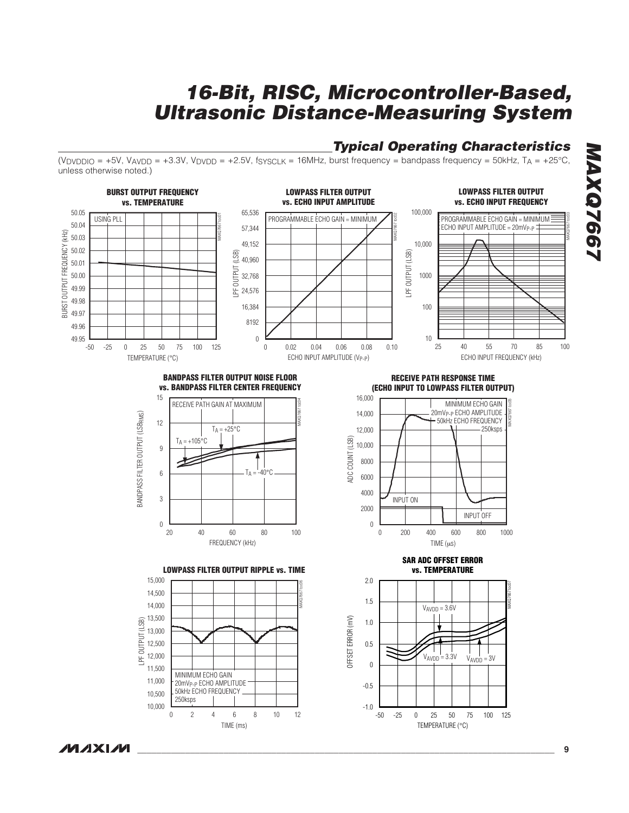### **Typical Operating Characteristics**

(VDVDDIO = +5V, VAVDD = +3.3V, VDVDD = +2.5V, fsyscl $K = 16$ MHz, burst frequency = bandpass frequency = 50kHz, TA = +25°C, unless otherwise noted.)



### **NAIXINI**

**MAXQ7667 MAXQ7667**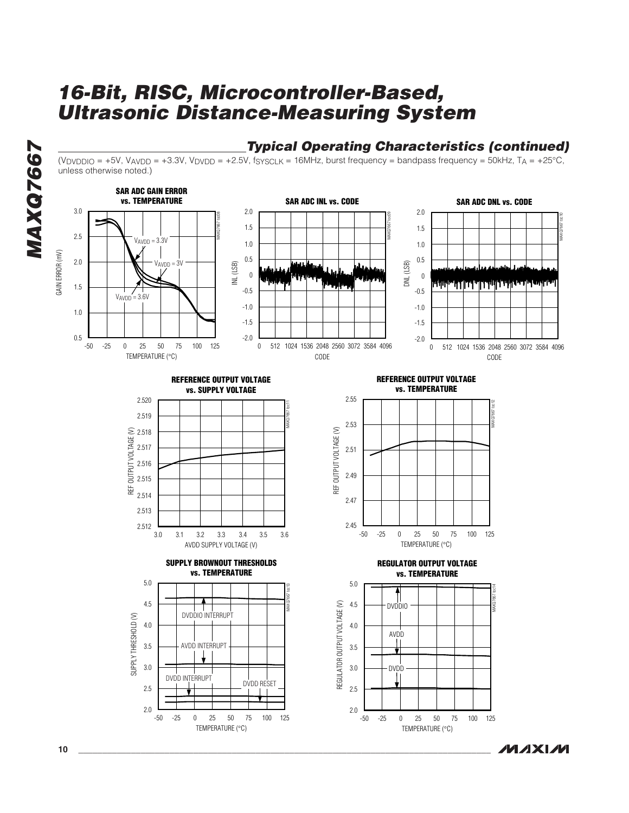

(VDVDDIO = +5V, VAVDD = +3.3V, VDVDD = +2.5V, fs $_{\text{YSCLK}}$  = 16MHz, burst frequency = bandpass frequency = 50kHz, T<sub>A</sub> = +25°C, unless otherwise noted.)



**MAXM** 

**MAXQ7667**

MAXQ7667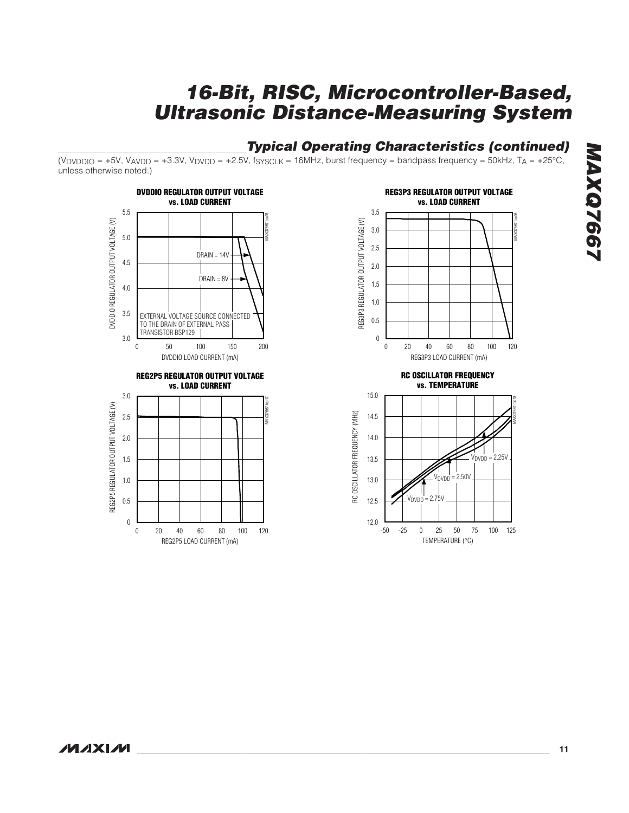### **Typical Operating Characteristics (continued)**

 $(V_{DVDDIO} = +5V$ ,  $V_{AVDD} = +3.3V$ ,  $V_{DVDD} = +2.5V$ ,  $f_{SYSCLK} = 16MHz$ , burst frequency = bandpass frequency = 50kHz,  $T_A = +25^{\circ}C$ , unless otherwise noted.)



REG2P5 LOAD CURRENT (mA)

0 20 40 60 80 100 120

40 60



TEMPERATURE (°C)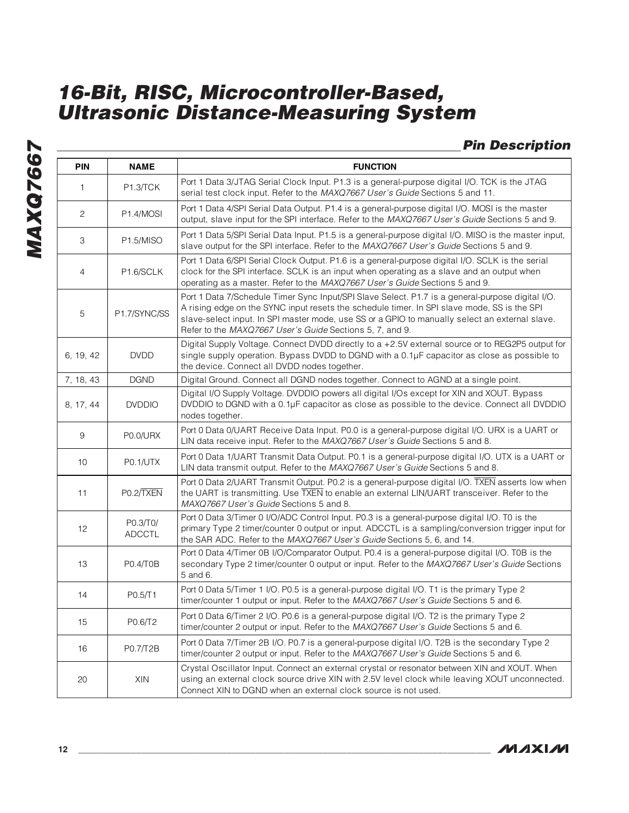### **Pin Description**

| <b>PIN</b> | <b>NAME</b>               | <b>FUNCTION</b>                                                                                                                                                                                                                                                                                                                                               |
|------------|---------------------------|---------------------------------------------------------------------------------------------------------------------------------------------------------------------------------------------------------------------------------------------------------------------------------------------------------------------------------------------------------------|
| 1          | P1.3/TCK                  | Port 1 Data 3/JTAG Serial Clock Input. P1.3 is a general-purpose digital I/O. TCK is the JTAG<br>serial test clock input. Refer to the MAXQ7667 User's Guide Sections 5 and 11.                                                                                                                                                                               |
| 2          | P1.4/MOSI                 | Port 1 Data 4/SPI Serial Data Output. P1.4 is a general-purpose digital I/O. MOSI is the master<br>output, slave input for the SPI interface. Refer to the MAXQ7667 User's Guide Sections 5 and 9.                                                                                                                                                            |
| 3          | P1.5/MISO                 | Port 1 Data 5/SPI Serial Data Input. P1.5 is a general-purpose digital I/O. MISO is the master input,<br>slave output for the SPI interface. Refer to the MAXQ7667 User's Guide Sections 5 and 9.                                                                                                                                                             |
| 4          | P1.6/SCLK                 | Port 1 Data 6/SPI Serial Clock Output. P1.6 is a general-purpose digital I/O. SCLK is the serial<br>clock for the SPI interface. SCLK is an input when operating as a slave and an output when<br>operating as a master. Refer to the MAXQ7667 User's Guide Sections 5 and 9.                                                                                 |
| 5          | P1.7/SYNC/SS              | Port 1 Data 7/Schedule Timer Sync Input/SPI Slave Select. P1.7 is a general-purpose digital I/O.<br>A rising edge on the SYNC input resets the schedule timer. In SPI slave mode, SS is the SPI<br>slave-select input. In SPI master mode, use SS or a GPIO to manually select an external slave.<br>Refer to the MAXQ7667 User's Guide Sections 5, 7, and 9. |
| 6, 19, 42  | <b>DVDD</b>               | Digital Supply Voltage. Connect DVDD directly to a +2.5V external source or to REG2P5 output for<br>single supply operation. Bypass DVDD to DGND with a 0.1µF capacitor as close as possible to<br>the device. Connect all DVDD nodes together.                                                                                                               |
| 7, 18, 43  | <b>DGND</b>               | Digital Ground. Connect all DGND nodes together. Connect to AGND at a single point.                                                                                                                                                                                                                                                                           |
| 8, 17, 44  | <b>DVDDIO</b>             | Digital I/O Supply Voltage. DVDDIO powers all digital I/Os except for XIN and XOUT. Bypass<br>DVDDIO to DGND with a 0.1µF capacitor as close as possible to the device. Connect all DVDDIO<br>nodes together.                                                                                                                                                 |
| 9          | P0.0/URX                  | Port 0 Data 0/UART Receive Data Input. P0.0 is a general-purpose digital I/O. URX is a UART or<br>LIN data receive input. Refer to the MAXQ7667 User's Guide Sections 5 and 8.                                                                                                                                                                                |
| 10         | <b>P0.1/UTX</b>           | Port 0 Data 1/UART Transmit Data Output. P0.1 is a general-purpose digital I/O. UTX is a UART or<br>LIN data transmit output. Refer to the MAXQ7667 User's Guide Sections 5 and 8.                                                                                                                                                                            |
| 11         | PO.2/TXEN                 | Port 0 Data 2/UART Transmit Output. P0.2 is a general-purpose digital I/O. TXEN asserts low when<br>the UART is transmitting. Use TXEN to enable an external LIN/UART transceiver. Refer to the<br>MAXQ7667 User's Guide Sections 5 and 8.                                                                                                                    |
| 12         | P0.3/T0/<br><b>ADCCTL</b> | Port 0 Data 3/Timer 0 I/O/ADC Control Input. P0.3 is a general-purpose digital I/O. T0 is the<br>primary Type 2 timer/counter 0 output or input. ADCCTL is a sampling/conversion trigger input for<br>the SAR ADC. Refer to the MAXQ7667 User's Guide Sections 5, 6, and 14.                                                                                  |
| 13         | P0.4/T0B                  | Port 0 Data 4/Timer 0B I/O/Comparator Output. P0.4 is a general-purpose digital I/O. T0B is the<br>secondary Type 2 timer/counter 0 output or input. Refer to the MAXQ7667 User's Guide Sections<br>5 and 6.                                                                                                                                                  |
| 14         | P0.5/T1                   | Port 0 Data 5/Timer 1 I/O. P0.5 is a general-purpose digital I/O. T1 is the primary Type 2<br>timer/counter 1 output or input. Refer to the MAXQ7667 User's Guide Sections 5 and 6.                                                                                                                                                                           |
| 15         | P0.6/T2                   | Port 0 Data 6/Timer 2 I/O. P0.6 is a general-purpose digital I/O. T2 is the primary Type 2<br>timer/counter 2 output or input. Refer to the MAXQ7667 User's Guide Sections 5 and 6.                                                                                                                                                                           |
| 16         | P0.7/T2B                  | Port 0 Data 7/Timer 2B I/O. P0.7 is a general-purpose digital I/O. T2B is the secondary Type 2<br>timer/counter 2 output or input. Refer to the MAXQ7667 User's Guide Sections 5 and 6.                                                                                                                                                                       |
| 20         | XIN                       | Crystal Oscillator Input. Connect an external crystal or resonator between XIN and XOUT. When<br>using an external clock source drive XIN with 2.5V level clock while leaving XOUT unconnected.<br>Connect XIN to DGND when an external clock source is not used.                                                                                             |

**MAXQ7667**

MAXQ7667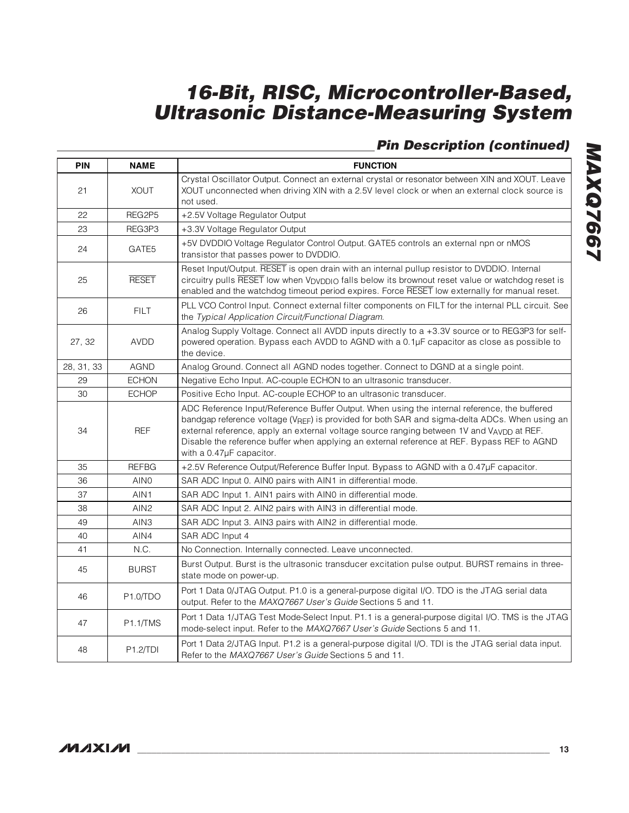### **Pin Description (continued)**

| <b>PIN</b> | <b>NAME</b>      | <b>FUNCTION</b>                                                                                                                                                                                                                                                                                                                                                                                                       |
|------------|------------------|-----------------------------------------------------------------------------------------------------------------------------------------------------------------------------------------------------------------------------------------------------------------------------------------------------------------------------------------------------------------------------------------------------------------------|
| 21         | <b>TUOX</b>      | Crystal Oscillator Output. Connect an external crystal or resonator between XIN and XOUT. Leave<br>XOUT unconnected when driving XIN with a 2.5V level clock or when an external clock source is<br>not used.                                                                                                                                                                                                         |
| 22         | REG2P5           | +2.5V Voltage Regulator Output                                                                                                                                                                                                                                                                                                                                                                                        |
| 23         | REG3P3           | +3.3V Voltage Regulator Output                                                                                                                                                                                                                                                                                                                                                                                        |
| 24         | GATE5            | +5V DVDDIO Voltage Regulator Control Output. GATE5 controls an external npn or nMOS<br>transistor that passes power to DVDDIO.                                                                                                                                                                                                                                                                                        |
| 25         | <b>RESET</b>     | Reset Input/Output. RESET is open drain with an internal pullup resistor to DVDDIO. Internal<br>circuitry pulls RESET low when V <sub>DVDDIO</sub> falls below its brownout reset value or watchdog reset is<br>enabled and the watchdog timeout period expires. Force RESET low externally for manual reset.                                                                                                         |
| 26         | <b>FILT</b>      | PLL VCO Control Input. Connect external filter components on FILT for the internal PLL circuit. See<br>the Typical Application Circuit/Functional Diagram.                                                                                                                                                                                                                                                            |
| 27, 32     | <b>AVDD</b>      | Analog Supply Voltage. Connect all AVDD inputs directly to a +3.3V source or to REG3P3 for self-<br>powered operation. Bypass each AVDD to AGND with a 0.1µF capacitor as close as possible to<br>the device.                                                                                                                                                                                                         |
| 28, 31, 33 | <b>AGND</b>      | Analog Ground. Connect all AGND nodes together. Connect to DGND at a single point.                                                                                                                                                                                                                                                                                                                                    |
| 29         | <b>ECHON</b>     | Negative Echo Input. AC-couple ECHON to an ultrasonic transducer.                                                                                                                                                                                                                                                                                                                                                     |
| 30         | <b>ECHOP</b>     | Positive Echo Input. AC-couple ECHOP to an ultrasonic transducer.                                                                                                                                                                                                                                                                                                                                                     |
| 34         | <b>REF</b>       | ADC Reference Input/Reference Buffer Output. When using the internal reference, the buffered<br>bandgap reference voltage (VREF) is provided for both SAR and sigma-delta ADCs. When using an<br>external reference, apply an external voltage source ranging between 1V and VAVDD at REF.<br>Disable the reference buffer when applying an external reference at REF. Bypass REF to AGND<br>with a 0.47µF capacitor. |
| 35         | <b>REFBG</b>     | +2.5V Reference Output/Reference Buffer Input. Bypass to AGND with a 0.47µF capacitor.                                                                                                                                                                                                                                                                                                                                |
| 36         | AIN <sub>0</sub> | SAR ADC Input 0. AINO pairs with AIN1 in differential mode.                                                                                                                                                                                                                                                                                                                                                           |
| 37         | AIN1             | SAR ADC Input 1. AIN1 pairs with AIN0 in differential mode.                                                                                                                                                                                                                                                                                                                                                           |
| 38         | AIN <sub>2</sub> | SAR ADC Input 2. AIN2 pairs with AIN3 in differential mode.                                                                                                                                                                                                                                                                                                                                                           |
| 49         | AIN <sub>3</sub> | SAR ADC Input 3. AIN3 pairs with AIN2 in differential mode.                                                                                                                                                                                                                                                                                                                                                           |
| 40         | AIN4             | SAR ADC Input 4                                                                                                                                                                                                                                                                                                                                                                                                       |
| 41         | N.C.             | No Connection. Internally connected. Leave unconnected.                                                                                                                                                                                                                                                                                                                                                               |
| 45         | <b>BURST</b>     | Burst Output. Burst is the ultrasonic transducer excitation pulse output. BURST remains in three-<br>state mode on power-up.                                                                                                                                                                                                                                                                                          |
| 46         | P1.0/TDO         | Port 1 Data 0/JTAG Output. P1.0 is a general-purpose digital I/O. TDO is the JTAG serial data<br>output. Refer to the MAXQ7667 User's Guide Sections 5 and 11.                                                                                                                                                                                                                                                        |
| 47         | <b>P1.1/TMS</b>  | Port 1 Data 1/JTAG Test Mode-Select Input. P1.1 is a general-purpose digital I/O. TMS is the JTAG<br>mode-select input. Refer to the MAXQ7667 User's Guide Sections 5 and 11.                                                                                                                                                                                                                                         |
| 48         | P1.2/TDI         | Port 1 Data 2/JTAG Input. P1.2 is a general-purpose digital I/O. TDI is the JTAG serial data input.<br>Refer to the MAXQ7667 User's Guide Sections 5 and 11.                                                                                                                                                                                                                                                          |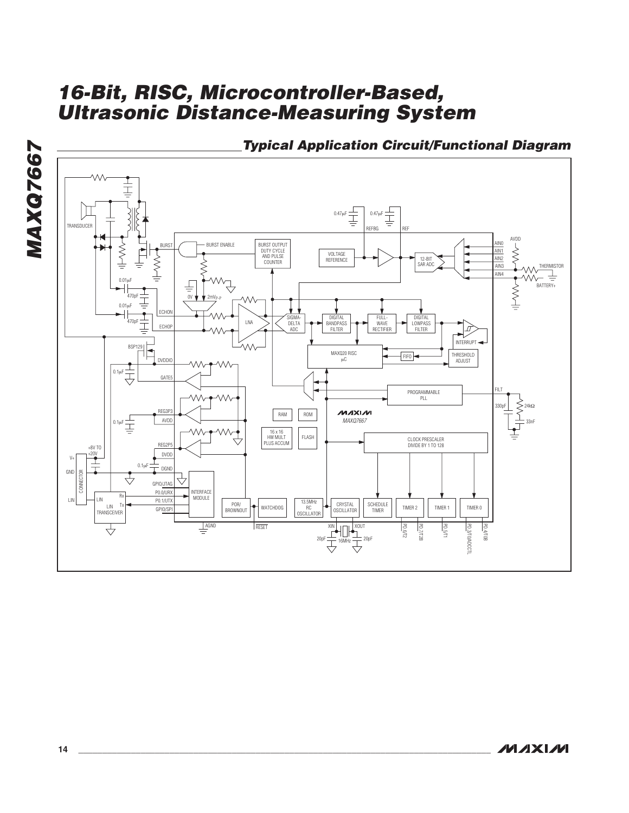



**Typical Application Circuit/Functional Diagram**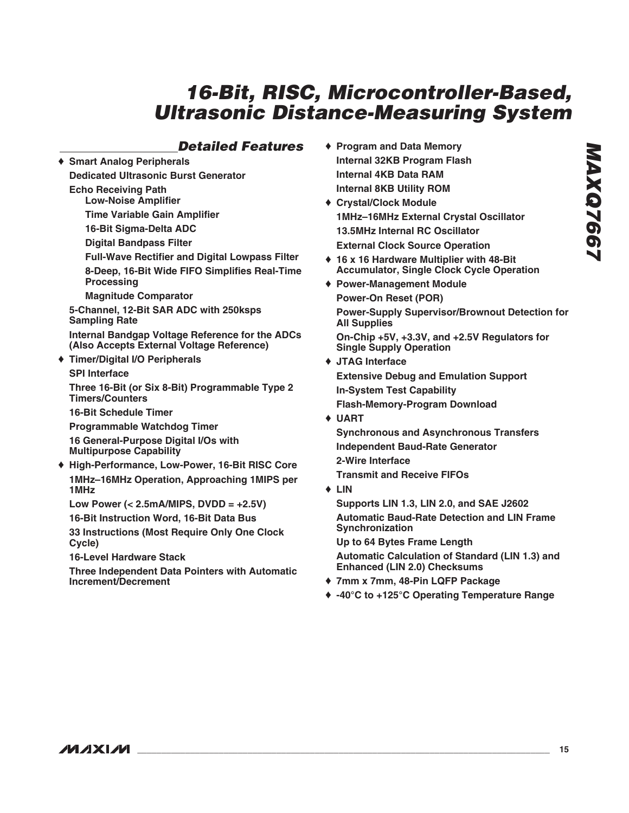### **Detailed Features**

♦ **Smart Analog Peripherals Dedicated Ultrasonic Burst Generator Echo Receiving Path Low-Noise Amplifier Time Variable Gain Amplifier**

**16-Bit Sigma-Delta ADC**

**Digital Bandpass Filter**

**Full-Wave Rectifier and Digital Lowpass Filter 8-Deep, 16-Bit Wide FIFO Simplifies Real-Time Processing**

**Magnitude Comparator**

**5-Channel, 12-Bit SAR ADC with 250ksps Sampling Rate**

**Internal Bandgap Voltage Reference for the ADCs (Also Accepts External Voltage Reference)**

### ♦ **Timer/Digital I/O Peripherals**

**SPI Interface**

**Three 16-Bit (or Six 8-Bit) Programmable Type 2 Timers/Counters**

**16-Bit Schedule Timer**

**Programmable Watchdog Timer**

**16 General-Purpose Digital I/Os with Multipurpose Capability**

♦ **High-Performance, Low-Power, 16-Bit RISC Core 1MHz–16MHz Operation, Approaching 1MIPS per 1MHz**

**Low Power (< 2.5mA/MIPS, DVDD = +2.5V)**

**16-Bit Instruction Word, 16-Bit Data Bus**

**33 Instructions (Most Require Only One Clock Cycle)**

**16-Level Hardware Stack**

**Three Independent Data Pointers with Automatic Increment/Decrement**

- ♦ **Program and Data Memory Internal 32KB Program Flash Internal 4KB Data RAM Internal 8KB Utility ROM**
- ♦ **Crystal/Clock Module 1MHz–16MHz External Crystal Oscillator 13.5MHz Internal RC Oscillator External Clock Source Operation**
- ♦ **16 x 16 Hardware Multiplier with 48-Bit Accumulator, Single Clock Cycle Operation**
- ♦ **Power-Management Module Power-On Reset (POR) Power-Supply Supervisor/Brownout Detection for All Supplies On-Chip +5V, +3.3V, and +2.5V Regulators for Single Supply Operation**
- ♦ **JTAG Interface Extensive Debug and Emulation Support In-System Test Capability**
	- **Flash-Memory-Program Download**
- ♦ **UART**

**Synchronous and Asynchronous Transfers Independent Baud-Rate Generator 2-Wire Interface**

**Transmit and Receive FIFOs**

♦ **LIN**

**Supports LIN 1.3, LIN 2.0, and SAE J2602**

**Automatic Baud-Rate Detection and LIN Frame Synchronization**

**Up to 64 Bytes Frame Length Automatic Calculation of Standard (LIN 1.3) and Enhanced (LIN 2.0) Checksums**

- ♦ **7mm x 7mm, 48-Pin LQFP Package**
- ♦ **-40°C to +125°C Operating Temperature Range**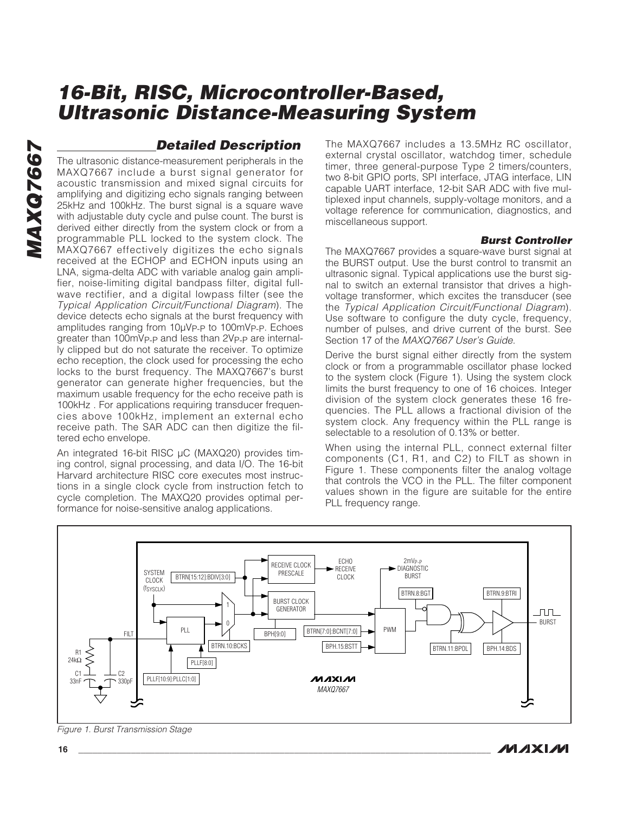### **Detailed Description**

The ultrasonic distance-measurement peripherals in the MAXQ7667 include a burst signal generator for acoustic transmission and mixed signal circuits for amplifying and digitizing echo signals ranging between 25kHz and 100kHz. The burst signal is a square wave with adjustable duty cycle and pulse count. The burst is derived either directly from the system clock or from a programmable PLL locked to the system clock. The MAXQ7667 effectively digitizes the echo signals received at the ECHOP and ECHON inputs using an LNA, sigma-delta ADC with variable analog gain amplifier, noise-limiting digital bandpass filter, digital fullwave rectifier, and a digital lowpass filter (see the Typical Application Circuit/Functional Diagram). The device detects echo signals at the burst frequency with amplitudes ranging from 10µV<sub>P-P</sub> to 100mV<sub>P-P</sub>. Echoes greater than 100mVp-p and less than 2Vp-p are internally clipped but do not saturate the receiver. To optimize echo reception, the clock used for processing the echo locks to the burst frequency. The MAXQ7667's burst generator can generate higher frequencies, but the maximum usable frequency for the echo receive path is 100kHz . For applications requiring transducer frequencies above 100kHz, implement an external echo receive path. The SAR ADC can then digitize the filtered echo envelope.

An integrated 16-bit RISC µC (MAXQ20) provides timing control, signal processing, and data I/O. The 16-bit Harvard architecture RISC core executes most instructions in a single clock cycle from instruction fetch to cycle completion. The MAXQ20 provides optimal performance for noise-sensitive analog applications.

The MAXQ7667 includes a 13.5MHz RC oscillator, external crystal oscillator, watchdog timer, schedule timer, three general-purpose Type 2 timers/counters, two 8-bit GPIO ports, SPI interface, JTAG interface, LIN capable UART interface, 12-bit SAR ADC with five multiplexed input channels, supply-voltage monitors, and a voltage reference for communication, diagnostics, and miscellaneous support.

### **Burst Controller**

The MAXQ7667 provides a square-wave burst signal at the BURST output. Use the burst control to transmit an ultrasonic signal. Typical applications use the burst signal to switch an external transistor that drives a highvoltage transformer, which excites the transducer (see the Typical Application Circuit/Functional Diagram). Use software to configure the duty cycle, frequency, number of pulses, and drive current of the burst. See Section 17 of the MAXQ7667 User's Guide.

Derive the burst signal either directly from the system clock or from a programmable oscillator phase locked to the system clock (Figure 1). Using the system clock limits the burst frequency to one of 16 choices. Integer division of the system clock generates these 16 frequencies. The PLL allows a fractional division of the system clock. Any frequency within the PLL range is selectable to a resolution of 0.13% or better.

When using the internal PLL, connect external filter components (C1, R1, and C2) to FILT as shown in Figure 1. These components filter the analog voltage that controls the VCO in the PLL. The filter component values shown in the figure are suitable for the entire PLL frequency range.



Figure 1. Burst Transmission Stage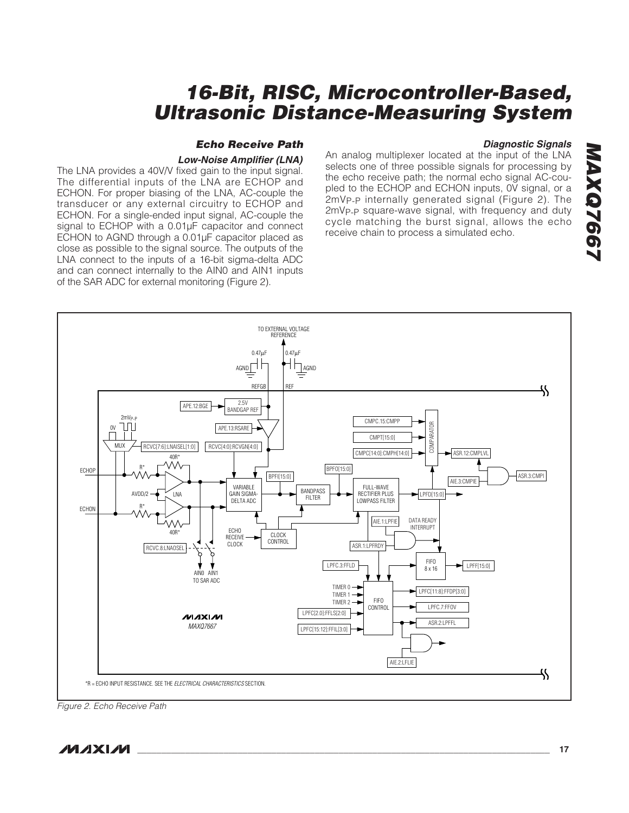### **Echo Receive Path**

### **Low-Noise Amplifier (LNA)**

The LNA provides a 40V/V fixed gain to the input signal. The differential inputs of the LNA are ECHOP and ECHON. For proper biasing of the LNA, AC-couple the transducer or any external circuitry to ECHOP and ECHON. For a single-ended input signal, AC-couple the signal to ECHOP with a 0.01µF capacitor and connect ECHON to AGND through a 0.01µF capacitor placed as close as possible to the signal source. The outputs of the LNA connect to the inputs of a 16-bit sigma-delta ADC and can connect internally to the AIN0 and AIN1 inputs of the SAR ADC for external monitoring (Figure 2).

**Diagnostic Signals** An analog multiplexer located at the input of the LNA selects one of three possible signals for processing by the echo receive path; the normal echo signal AC-coupled to the ECHOP and ECHON inputs, 0V signal, or a 2mVP-P internally generated signal (Figure 2). The 2mVP-P square-wave signal, with frequency and duty cycle matching the burst signal, allows the echo receive chain to process a simulated echo.



Figure 2. Echo Receive Path

**MAXQ7667**

**MAXQ7667**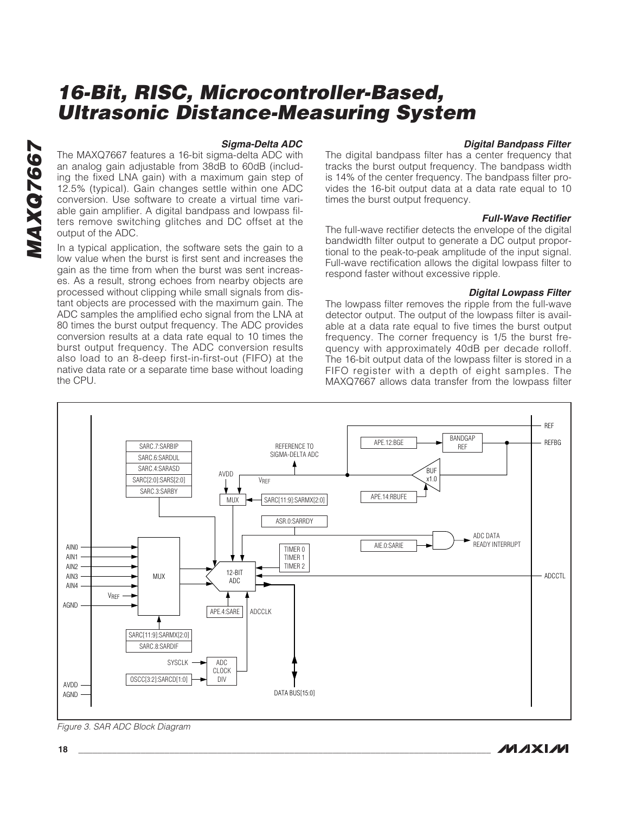### **Sigma-Delta ADC**

The MAXQ7667 features a 16-bit sigma-delta ADC with an analog gain adjustable from 38dB to 60dB (including the fixed LNA gain) with a maximum gain step of 12.5% (typical). Gain changes settle within one ADC conversion. Use software to create a virtual time variable gain amplifier. A digital bandpass and lowpass filters remove switching glitches and DC offset at the output of the ADC.

In a typical application, the software sets the gain to a low value when the burst is first sent and increases the gain as the time from when the burst was sent increases. As a result, strong echoes from nearby objects are processed without clipping while small signals from distant objects are processed with the maximum gain. The ADC samples the amplified echo signal from the LNA at 80 times the burst output frequency. The ADC provides conversion results at a data rate equal to 10 times the burst output frequency. The ADC conversion results also load to an 8-deep first-in-first-out (FIFO) at the native data rate or a separate time base without loading the CPU.

### **Digital Bandpass Filter**

The digital bandpass filter has a center frequency that tracks the burst output frequency. The bandpass width is 14% of the center frequency. The bandpass filter provides the 16-bit output data at a data rate equal to 10 times the burst output frequency.

### **Full-Wave Rectifier**

The full-wave rectifier detects the envelope of the digital bandwidth filter output to generate a DC output proportional to the peak-to-peak amplitude of the input signal. Full-wave rectification allows the digital lowpass filter to respond faster without excessive ripple.

### **Digital Lowpass Filter**

The lowpass filter removes the ripple from the full-wave detector output. The output of the lowpass filter is available at a data rate equal to five times the burst output frequency. The corner frequency is 1/5 the burst frequency with approximately 40dB per decade rolloff. The 16-bit output data of the lowpass filter is stored in a FIFO register with a depth of eight samples. The MAXQ7667 allows data transfer from the lowpass filter



Figure 3. SAR ADC Block Diagram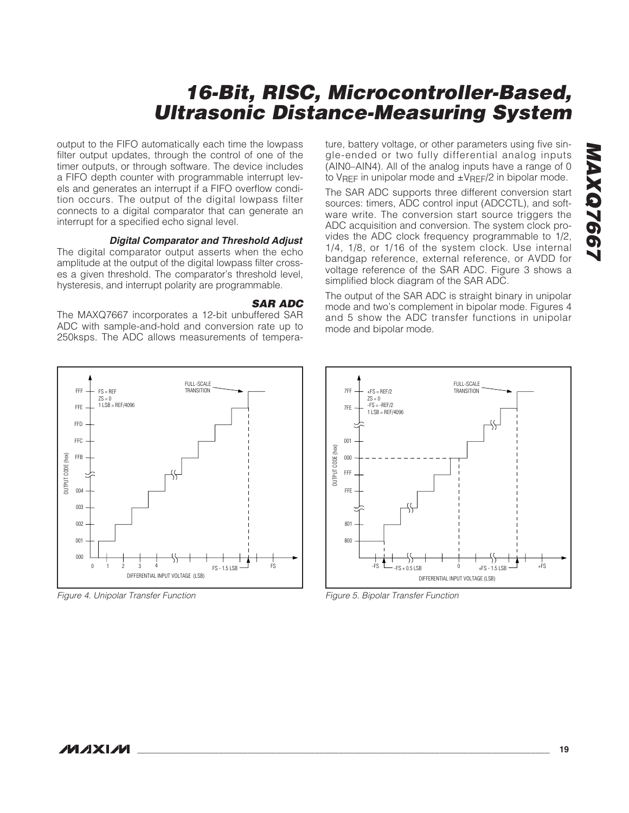output to the FIFO automatically each time the lowpass filter output updates, through the control of one of the timer outputs, or through software. The device includes a FIFO depth counter with programmable interrupt levels and generates an interrupt if a FIFO overflow condition occurs. The output of the digital lowpass filter connects to a digital comparator that can generate an interrupt for a specified echo signal level.

### **Digital Comparator and Threshold Adjust**

The digital comparator output asserts when the echo amplitude at the output of the digital lowpass filter crosses a given threshold. The comparator's threshold level, hysteresis, and interrupt polarity are programmable.

### **SAR ADC**

The MAXQ7667 incorporates a 12-bit unbuffered SAR ADC with sample-and-hold and conversion rate up to 250ksps. The ADC allows measurements of tempera-



Figure 4. Unipolar Transfer Function

ture, battery voltage, or other parameters using five single-ended or two fully differential analog inputs (AIN0–AIN4). All of the analog inputs have a range of 0 to VREF in unipolar mode and  $\pm$ VREF/2 in bipolar mode.

The SAR ADC supports three different conversion start sources: timers, ADC control input (ADCCTL), and software write. The conversion start source triggers the ADC acquisition and conversion. The system clock provides the ADC clock frequency programmable to 1/2, 1/4, 1/8, or 1/16 of the system clock. Use internal bandgap reference, external reference, or AVDD for voltage reference of the SAR ADC. Figure 3 shows a simplified block diagram of the SAR ADC.

The output of the SAR ADC is straight binary in unipolar mode and two's complement in bipolar mode. Figures 4 and 5 show the ADC transfer functions in unipolar mode and bipolar mode.



Figure 5. Bipolar Transfer Function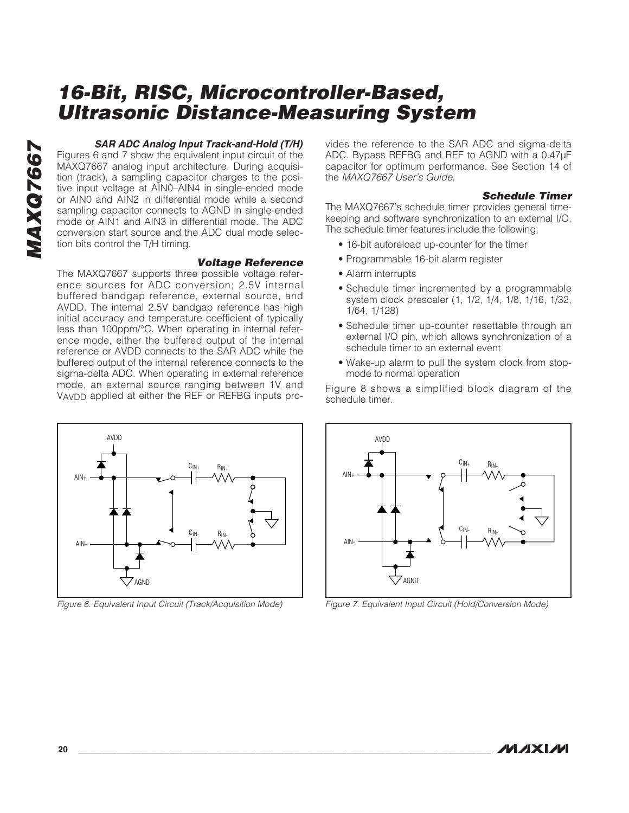**MAXQ7667** MAXQ7667

### **SAR ADC Analog Input Track-and-Hold (T/H)**

Figures 6 and 7 show the equivalent input circuit of the MAXQ7667 analog input architecture. During acquisition (track), a sampling capacitor charges to the positive input voltage at AIN0–AIN4 in single-ended mode or AIN0 and AIN2 in differential mode while a second sampling capacitor connects to AGND in single-ended mode or AIN1 and AIN3 in differential mode. The ADC conversion start source and the ADC dual mode selection bits control the T/H timing.

### **Voltage Reference**

The MAXQ7667 supports three possible voltage reference sources for ADC conversion; 2.5V internal buffered bandgap reference, external source, and AVDD. The internal 2.5V bandgap reference has high initial accuracy and temperature coefficient of typically less than 100ppm/°C. When operating in internal reference mode, either the buffered output of the internal reference or AVDD connects to the SAR ADC while the buffered output of the internal reference connects to the sigma-delta ADC. When operating in external reference mode, an external source ranging between 1V and VAVDD applied at either the REF or REFBG inputs pro-



Figure 6. Equivalent Input Circuit (Track/Acquisition Mode)

vides the reference to the SAR ADC and sigma-delta ADC. Bypass REFBG and REF to AGND with a 0.47µF capacitor for optimum performance. See Section 14 of the MAXQ7667 User's Guide.

### **Schedule Timer**

The MAXQ7667's schedule timer provides general timekeeping and software synchronization to an external I/O. The schedule timer features include the following:

- 16-bit autoreload up-counter for the timer
- Programmable 16-bit alarm register
- Alarm interrupts
- Schedule timer incremented by a programmable system clock prescaler (1, 1/2, 1/4, 1/8, 1/16, 1/32, 1/64, 1/128)
- Schedule timer up-counter resettable through an external I/O pin, which allows synchronization of a schedule timer to an external event
- Wake-up alarm to pull the system clock from stopmode to normal operation

Figure 8 shows a simplified block diagram of the schedule timer.



Figure 7. Equivalent Input Circuit (Hold/Conversion Mode)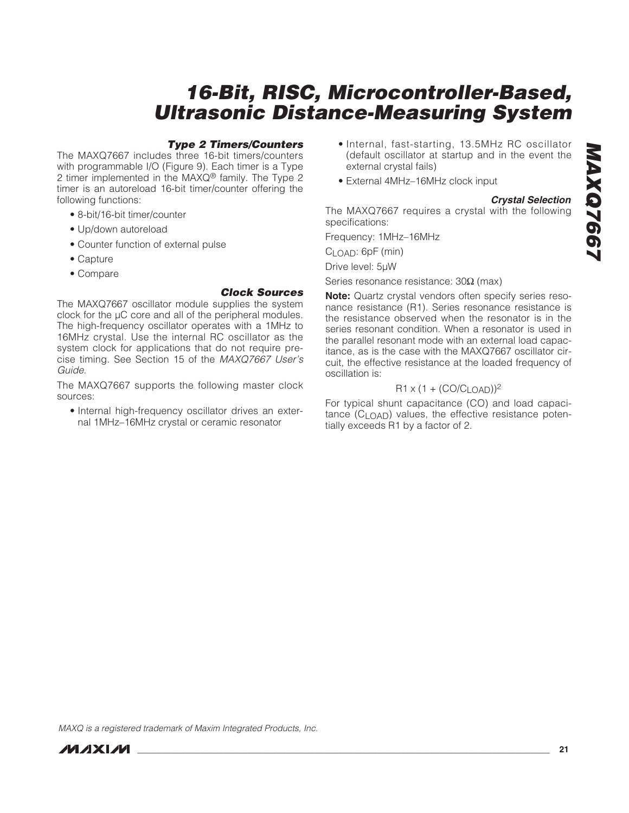### **Type 2 Timers/Counters**

The MAXQ7667 includes three 16-bit timers/counters with programmable I/O (Figure 9). Each timer is a Type 2 timer implemented in the MAXQ® family. The Type 2 timer is an autoreload 16-bit timer/counter offering the following functions:

- 8-bit/16-bit timer/counter
- Up/down autoreload
- Counter function of external pulse
- Capture
- Compare

### **Clock Sources**

The MAXQ7667 oscillator module supplies the system clock for the µC core and all of the peripheral modules. The high-frequency oscillator operates with a 1MHz to 16MHz crystal. Use the internal RC oscillator as the system clock for applications that do not require precise timing. See Section 15 of the MAXQ7667 User's Guide.

The MAXQ7667 supports the following master clock sources:

• Internal high-frequency oscillator drives an external 1MHz–16MHz crystal or ceramic resonator

- Internal, fast-starting, 13.5MHz RC oscillator (default oscillator at startup and in the event the external crystal fails)
- External 4MHz–16MHz clock input

### **Crystal Selection**

The MAXQ7667 requires a crystal with the following specifications:

Frequency: 1MHz–16MHz

 $C<sub>1</sub>$   $OAD:$   $6pF$  (min)

Drive level: 5µW

Series resonance resistance: 30Ω (max)

**Note:** Quartz crystal vendors often specify series resonance resistance (R1). Series resonance resistance is the resistance observed when the resonator is in the series resonant condition. When a resonator is used in the parallel resonant mode with an external load capacitance, as is the case with the MAXQ7667 oscillator circuit, the effective resistance at the loaded frequency of oscillation is:

### $R1 \times (1 + (CO/CLOAD))^2$

For typical shunt capacitance (CO) and load capacitance  $(C_1 \cap A)$  values, the effective resistance potentially exceeds R1 by a factor of 2.

MAXQ is a registered trademark of Maxim Integrated Products, Inc.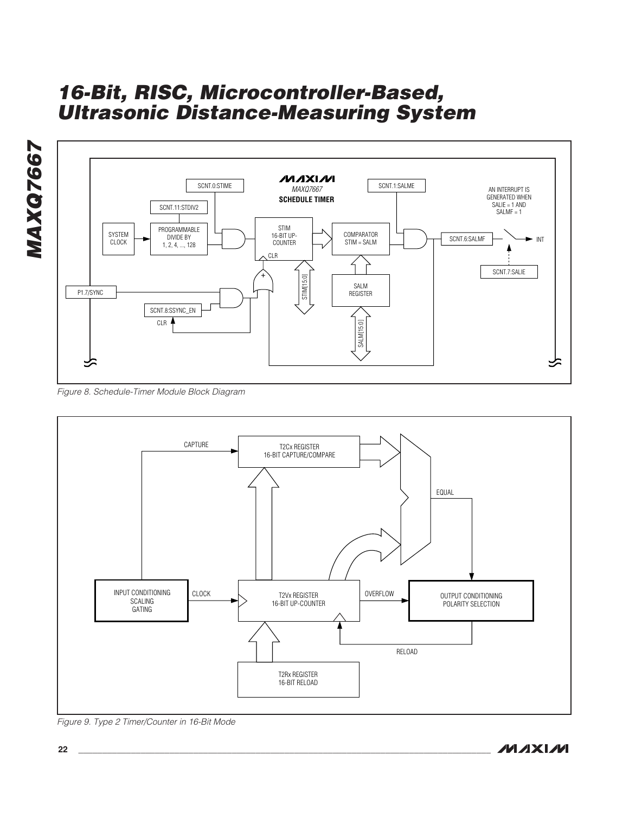

Figure 8. Schedule-Timer Module Block Diagram



Figure 9. Type 2 Timer/Counter in 16-Bit Mode

**MAXM**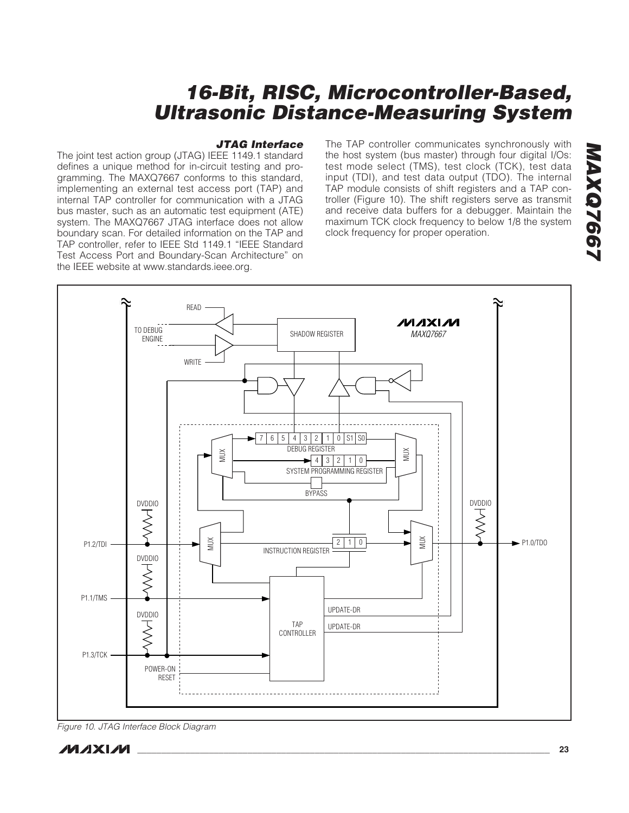### **JTAG Interface**

The joint test action group (JTAG) IEEE 1149.1 standard defines a unique method for in-circuit testing and programming. The MAXQ7667 conforms to this standard, implementing an external test access port (TAP) and internal TAP controller for communication with a JTAG bus master, such as an automatic test equipment (ATE) system. The MAXQ7667 JTAG interface does not allow boundary scan. For detailed information on the TAP and TAP controller, refer to IEEE Std 1149.1 "IEEE Standard Test Access Port and Boundary-Scan Architecture" on the IEEE website at www.standards.ieee.org.

The TAP controller communicates synchronously with the host system (bus master) through four digital I/Os: test mode select (TMS), test clock (TCK), test data input (TDI), and test data output (TDO). The internal TAP module consists of shift registers and a TAP controller (Figure 10). The shift registers serve as transmit and receive data buffers for a debugger. Maintain the maximum TCK clock frequency to below 1/8 the system clock frequency for proper operation.



Figure 10. JTAG Interface Block Diagram

**MAXQ7667**

**MAXQ7667**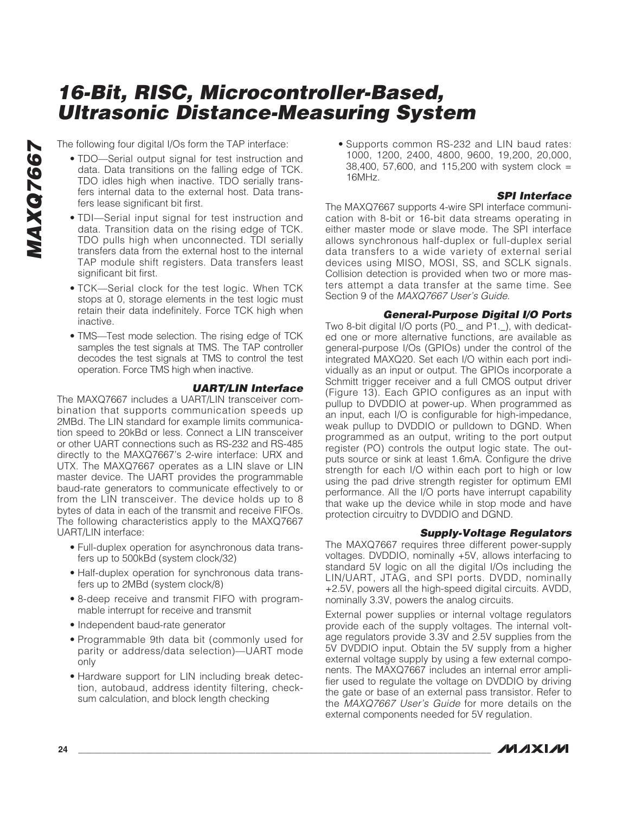The following four digital I/Os form the TAP interface:

- TDO—Serial output signal for test instruction and data. Data transitions on the falling edge of TCK. TDO idles high when inactive. TDO serially transfers internal data to the external host. Data transfers lease significant bit first.
- TDI—Serial input signal for test instruction and data. Transition data on the rising edge of TCK. TDO pulls high when unconnected. TDI serially transfers data from the external host to the internal TAP module shift registers. Data transfers least significant bit first.
- TCK—Serial clock for the test logic. When TCK stops at 0, storage elements in the test logic must retain their data indefinitely. Force TCK high when inactive.
- TMS—Test mode selection. The rising edge of TCK samples the test signals at TMS. The TAP controller decodes the test signals at TMS to control the test operation. Force TMS high when inactive.

### **UART/LIN Interface**

The MAXQ7667 includes a UART/LIN transceiver combination that supports communication speeds up 2MBd. The LIN standard for example limits communication speed to 20kBd or less. Connect a LIN transceiver or other UART connections such as RS-232 and RS-485 directly to the MAXQ7667's 2-wire interface: URX and UTX. The MAXQ7667 operates as a LIN slave or LIN master device. The UART provides the programmable baud-rate generators to communicate effectively to or from the LIN transceiver. The device holds up to 8 bytes of data in each of the transmit and receive FIFOs. The following characteristics apply to the MAXQ7667 UART/LIN interface:

- Full-duplex operation for asynchronous data transfers up to 500kBd (system clock/32)
- Half-duplex operation for synchronous data transfers up to 2MBd (system clock/8)
- 8-deep receive and transmit FIFO with programmable interrupt for receive and transmit
- Independent baud-rate generator
- Programmable 9th data bit (commonly used for parity or address/data selection)—UART mode only
- Hardware support for LIN including break detection, autobaud, address identity filtering, checksum calculation, and block length checking

• Supports common RS-232 and LIN baud rates: 1000, 1200, 2400, 4800, 9600, 19,200, 20,000, 38,400, 57,600, and 115,200 with system clock = 16MHz.

### **SPI Interface**

The MAXQ7667 supports 4-wire SPI interface communication with 8-bit or 16-bit data streams operating in either master mode or slave mode. The SPI interface allows synchronous half-duplex or full-duplex serial data transfers to a wide variety of external serial devices using MISO, MOSI, SS, and SCLK signals. Collision detection is provided when two or more masters attempt a data transfer at the same time. See Section 9 of the MAXQ7667 User's Guide.

### **General-Purpose Digital I/O Ports**

Two 8-bit digital I/O ports (P0.\_ and P1.\_), with dedicated one or more alternative functions, are available as general-purpose I/Os (GPIOs) under the control of the integrated MAXQ20. Set each I/O within each port individually as an input or output. The GPIOs incorporate a Schmitt trigger receiver and a full CMOS output driver (Figure 13). Each GPIO configures as an input with pullup to DVDDIO at power-up. When programmed as an input, each I/O is configurable for high-impedance, weak pullup to DVDDIO or pulldown to DGND. When programmed as an output, writing to the port output register (PO) controls the output logic state. The outputs source or sink at least 1.6mA. Configure the drive strength for each I/O within each port to high or low using the pad drive strength register for optimum EMI performance. All the I/O ports have interrupt capability that wake up the device while in stop mode and have protection circuitry to DVDDIO and DGND.

### **Supply-Voltage Regulators**

The MAXQ7667 requires three different power-supply voltages. DVDDIO, nominally +5V, allows interfacing to standard 5V logic on all the digital I/Os including the LIN/UART, JTAG, and SPI ports. DVDD, nominally +2.5V, powers all the high-speed digital circuits. AVDD, nominally 3.3V, powers the analog circuits.

External power supplies or internal voltage regulators provide each of the supply voltages. The internal voltage regulators provide 3.3V and 2.5V supplies from the 5V DVDDIO input. Obtain the 5V supply from a higher external voltage supply by using a few external components. The MAXQ7667 includes an internal error amplifier used to regulate the voltage on DVDDIO by driving the gate or base of an external pass transistor. Refer to the MAXQ7667 User's Guide for more details on the external components needed for 5V regulation.

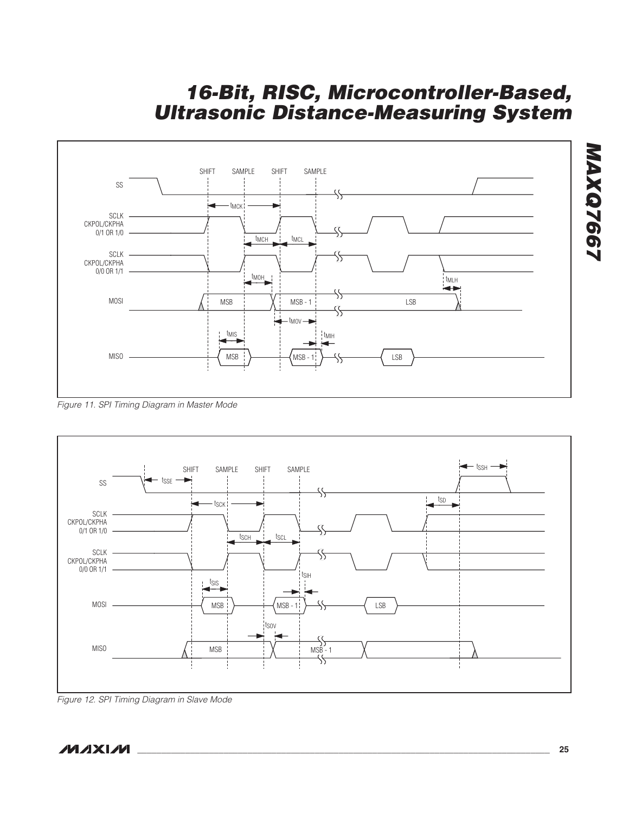

Figure 11. SPI Timing Diagram in Master Mode



Figure 12. SPI Timing Diagram in Slave Mode

**MAXM** 

**MAXQ7667**

**MAXQ7667**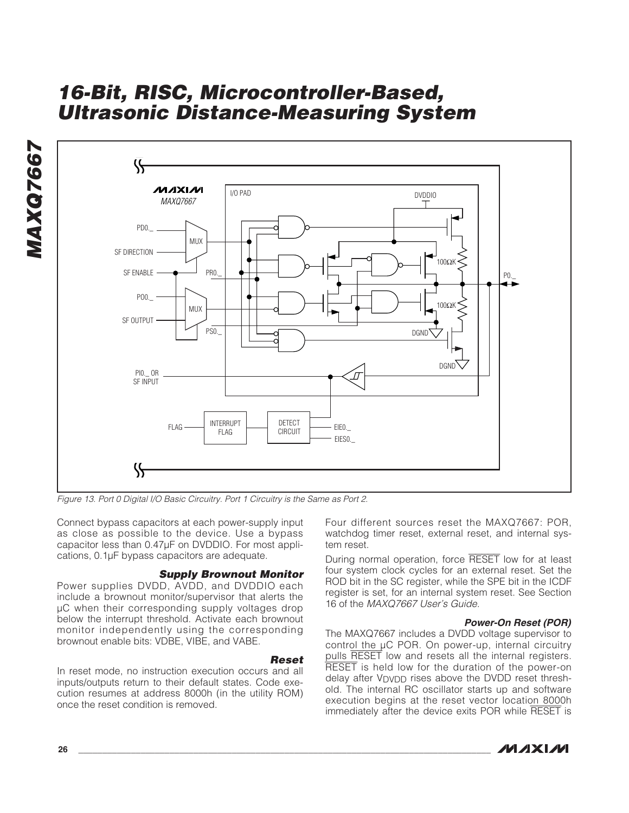



Figure 13. Port 0 Digital I/O Basic Circuitry. Port 1 Circuitry is the Same as Port 2.

Connect bypass capacitors at each power-supply input as close as possible to the device. Use a bypass capacitor less than 0.47µF on DVDDIO. For most applications, 0.1µF bypass capacitors are adequate.

### **Supply Brownout Monitor**

Power supplies DVDD, AVDD, and DVDDIO each include a brownout monitor/supervisor that alerts the µC when their corresponding supply voltages drop below the interrupt threshold. Activate each brownout monitor independently using the corresponding brownout enable bits: VDBE, VIBE, and VABE.

### **Reset**

In reset mode, no instruction execution occurs and all inputs/outputs return to their default states. Code execution resumes at address 8000h (in the utility ROM) once the reset condition is removed.

Four different sources reset the MAXQ7667: POR, watchdog timer reset, external reset, and internal system reset.

During normal operation, force RESET low for at least four system clock cycles for an external reset. Set the ROD bit in the SC register, while the SPE bit in the ICDF register is set, for an internal system reset. See Section 16 of the MAXQ7667 User's Guide.

### **Power-On Reset (POR)**

The MAXQ7667 includes a DVDD voltage supervisor to control the µC POR. On power-up, internal circuitry pulls RESET low and resets all the internal registers. RESET is held low for the duration of the power-on delay after VDVDD rises above the DVDD reset threshold. The internal RC oscillator starts up and software execution begins at the reset vector location 8000h immediately after the device exits POR while RESET is

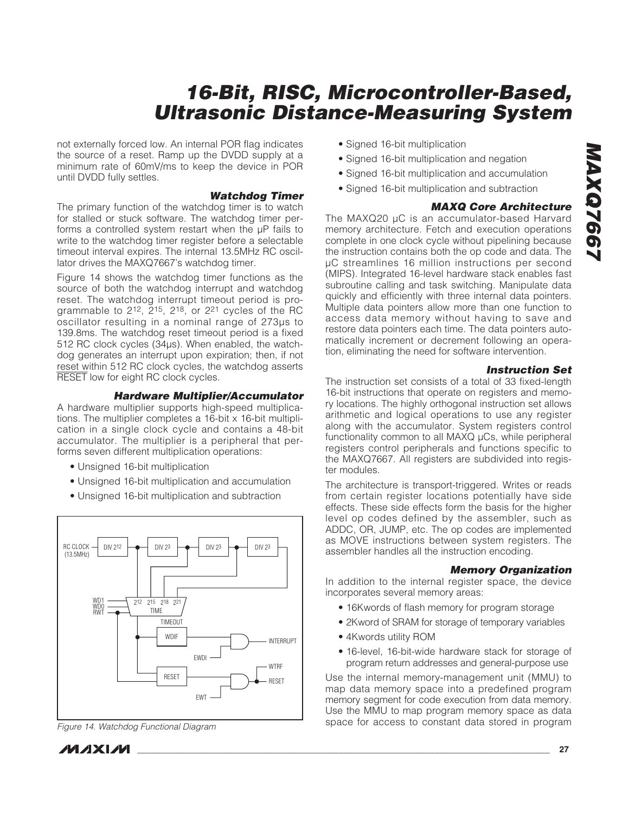not externally forced low. An internal POR flag indicates the source of a reset. Ramp up the DVDD supply at a minimum rate of 60mV/ms to keep the device in POR until DVDD fully settles.

### **Watchdog Timer**

The primary function of the watchdog timer is to watch for stalled or stuck software. The watchdog timer performs a controlled system restart when the µP fails to write to the watchdog timer register before a selectable timeout interval expires. The internal 13.5MHz RC oscillator drives the MAXQ7667's watchdog timer.

Figure 14 shows the watchdog timer functions as the source of both the watchdog interrupt and watchdog reset. The watchdog interrupt timeout period is programmable to 212, 215, 218, or 221 cycles of the RC oscillator resulting in a nominal range of 273µs to 139.8ms. The watchdog reset timeout period is a fixed 512 RC clock cycles (34µs). When enabled, the watchdog generates an interrupt upon expiration; then, if not reset within 512 RC clock cycles, the watchdog asserts RESET low for eight RC clock cycles.

### **Hardware Multiplier/Accumulator**

A hardware multiplier supports high-speed multiplications. The multiplier completes a 16-bit x 16-bit multiplication in a single clock cycle and contains a 48-bit accumulator. The multiplier is a peripheral that performs seven different multiplication operations:

- Unsigned 16-bit multiplication
- Unsigned 16-bit multiplication and accumulation
- Unsigned 16-bit multiplication and subtraction



Figure 14. Watchdog Functional Diagram

- Signed 16-bit multiplication
- Signed 16-bit multiplication and negation
- Signed 16-bit multiplication and accumulation
- Signed 16-bit multiplication and subtraction

### **MAXQ Core Architecture**

The MAXQ20 µC is an accumulator-based Harvard memory architecture. Fetch and execution operations complete in one clock cycle without pipelining because the instruction contains both the op code and data. The µC streamlines 16 million instructions per second (MIPS). Integrated 16-level hardware stack enables fast subroutine calling and task switching. Manipulate data quickly and efficiently with three internal data pointers. Multiple data pointers allow more than one function to access data memory without having to save and restore data pointers each time. The data pointers automatically increment or decrement following an operation, eliminating the need for software intervention.

### **Instruction Set**

The instruction set consists of a total of 33 fixed-length 16-bit instructions that operate on registers and memory locations. The highly orthogonal instruction set allows arithmetic and logical operations to use any register along with the accumulator. System registers control functionality common to all MAXQ µCs, while peripheral registers control peripherals and functions specific to the MAXQ7667. All registers are subdivided into register modules.

The architecture is transport-triggered. Writes or reads from certain register locations potentially have side effects. These side effects form the basis for the higher level op codes defined by the assembler, such as ADDC, OR, JUMP, etc. The op codes are implemented as MOVE instructions between system registers. The assembler handles all the instruction encoding.

### **Memory Organization**

In addition to the internal register space, the device incorporates several memory areas:

- 16Kwords of flash memory for program storage
- 2Kword of SRAM for storage of temporary variables
- 4Kwords utility ROM
- 16-level, 16-bit-wide hardware stack for storage of program return addresses and general-purpose use

Use the internal memory-management unit (MMU) to map data memory space into a predefined program memory segment for code execution from data memory. Use the MMU to map program memory space as data space for access to constant data stored in program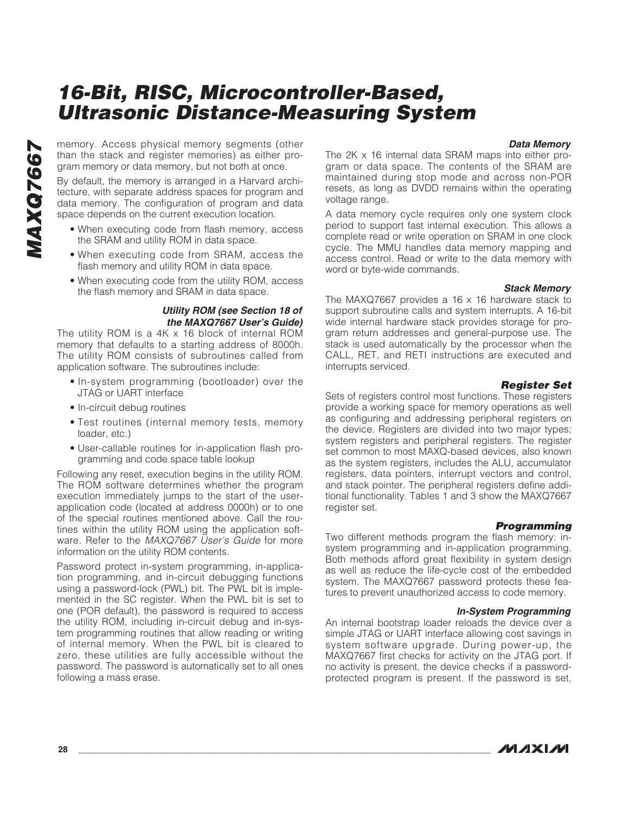**Data Memory**

memory. Access physical memory segments (other than the stack and register memories) as either program memory or data memory, but not both at once.

By default, the memory is arranged in a Harvard architecture, with separate address spaces for program and data memory. The configuration of program and data space depends on the current execution location.

- When executing code from flash memory, access the SRAM and utility ROM in data space.
- When executing code from SRAM, access the flash memory and utility ROM in data space.
- When executing code from the utility ROM, access the flash memory and SRAM in data space.

### **Utility ROM (see Section 18 of the MAXQ7667 User's Guide)**

The utility ROM is a 4K x 16 block of internal ROM memory that defaults to a starting address of 8000h. The utility ROM consists of subroutines called from application software. The subroutines include:

- In-system programming (bootloader) over the JTAG or UART interface
- In-circuit debug routines
- Test routines (internal memory tests, memory loader, etc.)
- User-callable routines for in-application flash programming and code space table lookup

Following any reset, execution begins in the utility ROM. The ROM software determines whether the program execution immediately jumps to the start of the userapplication code (located at address 0000h) or to one of the special routines mentioned above. Call the routines within the utility ROM using the application software. Refer to the MAXQ7667 User's Guide for more information on the utility ROM contents.

Password protect in-system programming, in-application programming, and in-circuit debugging functions using a password-lock (PWL) bit. The PWL bit is implemented in the SC register. When the PWL bit is set to one (POR default), the password is required to access the utility ROM, including in-circuit debug and in-system programming routines that allow reading or writing of internal memory. When the PWL bit is cleared to zero, these utilities are fully accessible without the password. The password is automatically set to all ones following a mass erase.

The 2K x 16 internal data SRAM maps into either program or data space. The contents of the SRAM are maintained during stop mode and across non-POR resets, as long as DVDD remains within the operating voltage range.

A data memory cycle requires only one system clock period to support fast internal execution. This allows a complete read or write operation on SRAM in one clock cycle. The MMU handles data memory mapping and access control. Read or write to the data memory with word or byte-wide commands.

### **Stack Memory**

The MAXQ7667 provides a 16 x 16 hardware stack to support subroutine calls and system interrupts. A 16-bit wide internal hardware stack provides storage for program return addresses and general-purpose use. The stack is used automatically by the processor when the CALL, RET, and RETI instructions are executed and interrupts serviced.

### **Register Set**

Sets of registers control most functions. These registers provide a working space for memory operations as well as configuring and addressing peripheral registers on the device. Registers are divided into two major types; system registers and peripheral registers. The register set common to most MAXQ-based devices, also known as the system registers, includes the ALU, accumulator registers, data pointers, interrupt vectors and control, and stack pointer. The peripheral registers define additional functionality. Tables 1 and 3 show the MAXQ7667 register set.

### **Programming**

Two different methods program the flash memory: insystem programming and in-application programming. Both methods afford great flexibility in system design as well as reduce the life-cycle cost of the embedded system. The MAXQ7667 password protects these features to prevent unauthorized access to code memory.

### **In-System Programming**

An internal bootstrap loader reloads the device over a simple JTAG or UART interface allowing cost savings in system software upgrade. During power-up, the MAXQ7667 first checks for activity on the JTAG port. If no activity is present, the device checks if a passwordprotected program is present. If the password is set,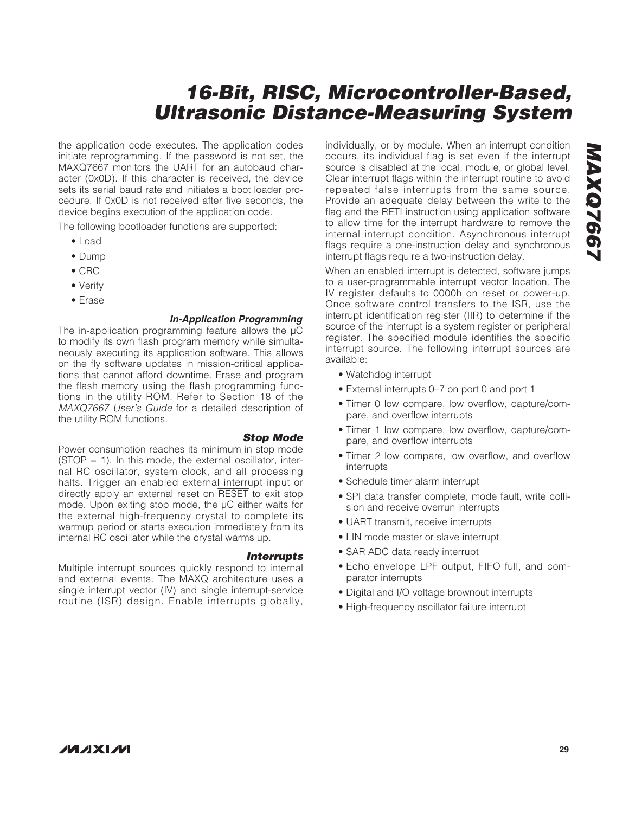the application code executes. The application codes initiate reprogramming. If the password is not set, the MAXQ7667 monitors the UART for an autobaud character (0x0D). If this character is received, the device sets its serial baud rate and initiates a boot loader procedure. If 0x0D is not received after five seconds, the device begins execution of the application code.

The following bootloader functions are supported:

- Load
- Dump
- CRC
- Verify
- Erase

### **In-Application Programming**

The in-application programming feature allows the  $\mu$ C to modify its own flash program memory while simultaneously executing its application software. This allows on the fly software updates in mission-critical applications that cannot afford downtime. Erase and program the flash memory using the flash programming functions in the utility ROM. Refer to Section 18 of the MAXQ7667 User's Guide for a detailed description of the utility ROM functions.

### **Stop Mode**

Power consumption reaches its minimum in stop mode  $(STOP = 1)$ . In this mode, the external oscillator, internal RC oscillator, system clock, and all processing halts. Trigger an enabled external interrupt input or directly apply an external reset on RESET to exit stop mode. Upon exiting stop mode, the µC either waits for the external high-frequency crystal to complete its warmup period or starts execution immediately from its internal RC oscillator while the crystal warms up.

### **Interrupts**

Multiple interrupt sources quickly respond to internal and external events. The MAXQ architecture uses a single interrupt vector (IV) and single interrupt-service routine (ISR) design. Enable interrupts globally, individually, or by module. When an interrupt condition occurs, its individual flag is set even if the interrupt source is disabled at the local, module, or global level. Clear interrupt flags within the interrupt routine to avoid repeated false interrupts from the same source. Provide an adequate delay between the write to the flag and the RETI instruction using application software to allow time for the interrupt hardware to remove the internal interrupt condition. Asynchronous interrupt flags require a one-instruction delay and synchronous interrupt flags require a two-instruction delay.

When an enabled interrupt is detected, software jumps to a user-programmable interrupt vector location. The IV register defaults to 0000h on reset or power-up. Once software control transfers to the ISR, use the interrupt identification register (IIR) to determine if the source of the interrupt is a system register or peripheral register. The specified module identifies the specific interrupt source. The following interrupt sources are available:

- Watchdog interrupt
- External interrupts 0–7 on port 0 and port 1
- Timer 0 low compare, low overflow, capture/compare, and overflow interrupts
- Timer 1 low compare, low overflow, capture/compare, and overflow interrupts
- Timer 2 low compare, low overflow, and overflow interrupts
- Schedule timer alarm interrupt
- SPI data transfer complete, mode fault, write collision and receive overrun interrupts
- UART transmit, receive interrupts
- LIN mode master or slave interrupt
- SAR ADC data ready interrupt
- Echo envelope LPF output, FIFO full, and comparator interrupts
- Digital and I/O voltage brownout interrupts
- High-frequency oscillator failure interrupt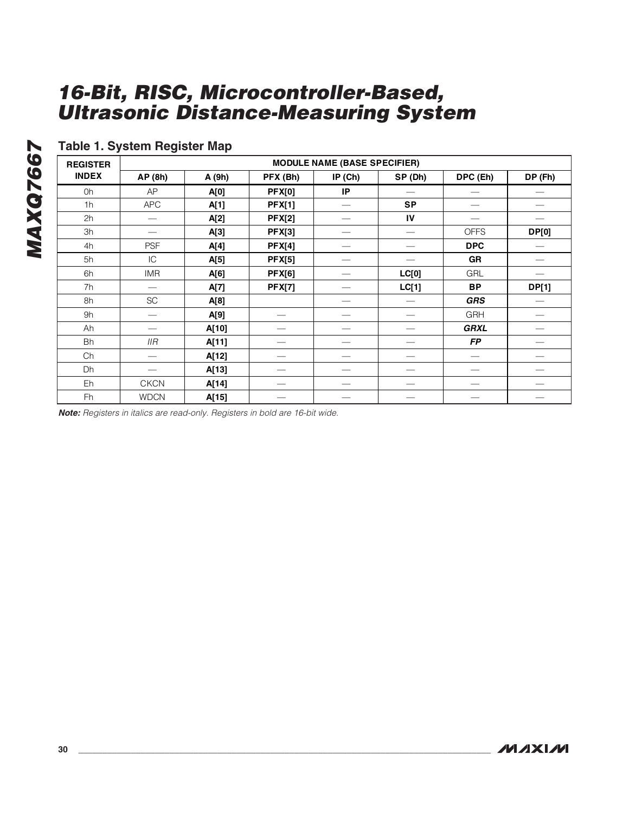### **Table 1. System Register Map**

**REGISTER** MODULE NAME (BASE SPECIFIER)<br>INDEX AP (8b) A (9b) PFX (Bb) IP (Cb) SP (D) **INDEX AP (8h) A (9h) PFX (Bh) IP (Ch) SP (Dh) DPC (Eh) DP (Fh)**  0h | AP | **A[0] | PFX[0] | IP |** — | — | — 1h | APC | **A[1] | PFX[1]** |  $-$  | SP |  $-$  |  $-$ 2h | — | **A[2] | PFX[2] |** — | IV | — | — 3h — **A[3] PFX[3]** — — OFFS **DP[0]**  4h PSF **A[4] PFX[4]** — — **DPC** — 5h IC **A[5] PFX[5]** — — **GR** — 6h IMR **A[6] PFX[6]** — **LC[0]** GRL — 7h — **A[7] PFX[7]** — **LC[1] BP DP[1]**  8h | SC | **A[8]** | — | — | *GRS* **| —** 9h — **A[9]** — — — GRH — Ah — **A[10]** — — — *GRXL* — Bh IIR **A[11]** — — — *FP* — Ch | — | **A[12]** | — | — | — | — | — Dh — **A[13]** — — — — — Eh | CKCN | **A[14]** | — | — | — | — | — Fh | WDCN | **A[15]** | — | — | — | — | —

**Note:** Registers in italics are read-only. Registers in bold are 16-bit wide.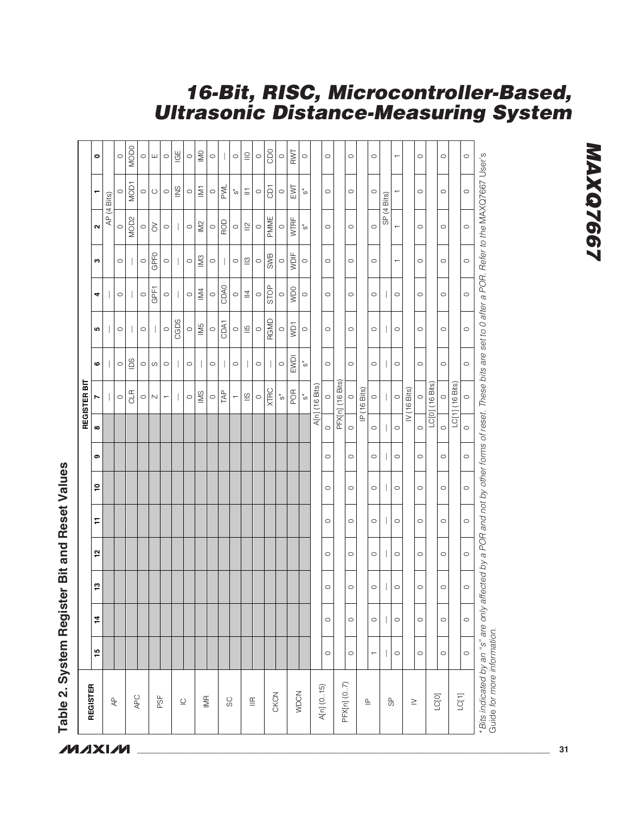| GPFO<br>WDIF<br>SWB<br>N3<br>$\stackrel{\textstyle\circ}{=}$<br>$\circ$<br>$\circ$<br>$\circ$<br>$\circ$<br>$\circ$<br>$\circ$<br>c<br>$\circ$<br>$\circ$<br>$\circ$<br>$\circ$<br>$\circ$<br>$\circ$<br>$\circ$<br>$\circ$<br>$\overline{\phantom{0}}$<br>CDA0<br>STOP<br><b>OCIM</b><br>GPF1<br>IM4<br>$\overline{\phantom{a}}$<br>$\circ$<br>$\circ$<br>$\circ$<br>$\circ$<br>$\circ$<br>$\circ$<br>$\circ$<br>4<br>$\circ$<br>$\circ$<br>$\circ$<br>$\circ$<br>$\circ$<br>$\circ$<br>$\circ$<br>$\circ$<br>CGDS<br>RGMD<br>CDA1<br>IM5<br>VD <sub>1</sub><br>$\stackrel{5}{=}$<br>$\circ$<br>$\circ$<br>$\circ$<br>$\circ$<br>$\circ$<br>$\circ$<br>$\circ$<br>$\circ$<br>ю<br>$\circ$<br>$\circ$<br>$\circ$<br>$\circ$<br>$\circ$<br>$\circ$<br>$\circ$<br>EWDI<br>$\overline{0}$<br>$\circ$<br>$\circ$<br>$\circ$<br>$\circ$<br>$\circ$<br>*ທ<br>ဖ<br>$\circ$<br>$\mathcal O$<br>$\circ$<br>$\circ$<br>$\circ$<br>$\circ$<br>$\circ$<br>$\circ$<br>$\circ$<br>$\circ$<br>REGISTER BIT<br>PFX[n] (16 Bits)<br>LC[0] (16 Bits)<br>LC[1] (16 Bits)<br>A[n] (16 Bits)<br>IV (16 Bits)<br>IP (16 Bits)<br>XTRC<br>POR<br><b>CLR</b><br>TAP<br>$\frac{1}{2}$<br>$\stackrel{\textstyle\circ}{=}$<br>$_{\rm o}^*$<br>$^{\ast}_{\rm O}$<br>$\circ$<br>$\circ$<br>$\circ$<br>$\circ$<br>$\circ$<br>$\circ$<br>$\circ$<br>$\circ$<br>$\overline{\phantom{a}}$<br>$\circ$<br>$\circ$<br>$\circ$<br>$\mathrel{\ensuremath{\mathsf{N}}}$<br>r<br>$\overline{\phantom{0}}$<br>┯<br>$\circ$<br>$\circ$<br>$\infty$<br>$\circ$<br>$\circ$<br>$\circ$<br>$\circ$<br>$\circ$<br>$\circ$<br>$\circ$<br>$\circ$<br>$\circ$<br>თ<br>$\circ$<br><u>۽</u><br>$\circ$<br>$\circ$<br>$\circ$<br>$\circ$<br>$\circ$<br>$\circ$<br>F<br>$\circ$<br>$\circ$<br>$\circ$<br>$\circ$<br>$\circ$<br>$\circ$<br>51<br>$\circ$<br>$\circ$<br>$\circ$<br>$\circ$<br>$\circ$<br>$\circ$<br>13<br>$\circ$<br>$\circ$<br>$\circ$<br>$\circ$<br>$\circ$<br>$\circ$<br>4<br>$\overline{\phantom{a}}$<br>$\circ$<br>$\circ$<br>$\circ$<br>$\circ$<br>$\circ$<br>$\circ$<br>15<br>I<br>$\circ$<br>$\circ$<br>$\circ$<br>$\circ$<br>$\circ$<br>$\leftarrow$<br>PFX[n] (07)<br>REGISTER<br>A[n] (0.15)<br><b>WDCN</b><br>CKCN<br>$\begin{bmatrix} 1 \\ 2 \end{bmatrix}$<br>LC[O]<br>APC<br>PSF<br><b>IMR</b><br>$\mathbb{A}^{\mathsf{D}}$<br>SC<br>$\mathop{\underline{\mathfrak{E}}}\nolimits$<br>99<br>$\mathrel{\underline{\cup}}$<br>$\mathrel{\underline{\mathsf{a}}}$<br>$\geq$ |  |  |  |  |  |  |  |                                                                                                                                                                                                                                                                                                                                                                                                                                                                                                                                                                                                    |                             |                         |
|------------------------------------------------------------------------------------------------------------------------------------------------------------------------------------------------------------------------------------------------------------------------------------------------------------------------------------------------------------------------------------------------------------------------------------------------------------------------------------------------------------------------------------------------------------------------------------------------------------------------------------------------------------------------------------------------------------------------------------------------------------------------------------------------------------------------------------------------------------------------------------------------------------------------------------------------------------------------------------------------------------------------------------------------------------------------------------------------------------------------------------------------------------------------------------------------------------------------------------------------------------------------------------------------------------------------------------------------------------------------------------------------------------------------------------------------------------------------------------------------------------------------------------------------------------------------------------------------------------------------------------------------------------------------------------------------------------------------------------------------------------------------------------------------------------------------------------------------------------------------------------------------------------------------------------------------------------------------------------------------------------------------------------------------------------------------------------------------------------------------------------------------------------------------------------------------------------------------------------------------------------------------------------------------------------------------------------------------------------------------------------------------------------------------------------------------|--|--|--|--|--|--|--|----------------------------------------------------------------------------------------------------------------------------------------------------------------------------------------------------------------------------------------------------------------------------------------------------------------------------------------------------------------------------------------------------------------------------------------------------------------------------------------------------------------------------------------------------------------------------------------------------|-----------------------------|-------------------------|
|                                                                                                                                                                                                                                                                                                                                                                                                                                                                                                                                                                                                                                                                                                                                                                                                                                                                                                                                                                                                                                                                                                                                                                                                                                                                                                                                                                                                                                                                                                                                                                                                                                                                                                                                                                                                                                                                                                                                                                                                                                                                                                                                                                                                                                                                                                                                                                                                                                                |  |  |  |  |  |  |  |                                                                                                                                                                                                                                                                                                                                                                                                                                                                                                                                                                                                    |                             |                         |
|                                                                                                                                                                                                                                                                                                                                                                                                                                                                                                                                                                                                                                                                                                                                                                                                                                                                                                                                                                                                                                                                                                                                                                                                                                                                                                                                                                                                                                                                                                                                                                                                                                                                                                                                                                                                                                                                                                                                                                                                                                                                                                                                                                                                                                                                                                                                                                                                                                                |  |  |  |  |  |  |  | Ν                                                                                                                                                                                                                                                                                                                                                                                                                                                                                                                                                                                                  | ┯                           | $\bullet$               |
|                                                                                                                                                                                                                                                                                                                                                                                                                                                                                                                                                                                                                                                                                                                                                                                                                                                                                                                                                                                                                                                                                                                                                                                                                                                                                                                                                                                                                                                                                                                                                                                                                                                                                                                                                                                                                                                                                                                                                                                                                                                                                                                                                                                                                                                                                                                                                                                                                                                |  |  |  |  |  |  |  |                                                                                                                                                                                                                                                                                                                                                                                                                                                                                                                                                                                                    | AP (4 Bits)                 |                         |
|                                                                                                                                                                                                                                                                                                                                                                                                                                                                                                                                                                                                                                                                                                                                                                                                                                                                                                                                                                                                                                                                                                                                                                                                                                                                                                                                                                                                                                                                                                                                                                                                                                                                                                                                                                                                                                                                                                                                                                                                                                                                                                                                                                                                                                                                                                                                                                                                                                                |  |  |  |  |  |  |  | $\circ$                                                                                                                                                                                                                                                                                                                                                                                                                                                                                                                                                                                            | $\circ$                     | $\circ$                 |
|                                                                                                                                                                                                                                                                                                                                                                                                                                                                                                                                                                                                                                                                                                                                                                                                                                                                                                                                                                                                                                                                                                                                                                                                                                                                                                                                                                                                                                                                                                                                                                                                                                                                                                                                                                                                                                                                                                                                                                                                                                                                                                                                                                                                                                                                                                                                                                                                                                                |  |  |  |  |  |  |  | MOD <sub>2</sub>                                                                                                                                                                                                                                                                                                                                                                                                                                                                                                                                                                                   | <b>NOD1</b>                 | <b>MODO</b>             |
|                                                                                                                                                                                                                                                                                                                                                                                                                                                                                                                                                                                                                                                                                                                                                                                                                                                                                                                                                                                                                                                                                                                                                                                                                                                                                                                                                                                                                                                                                                                                                                                                                                                                                                                                                                                                                                                                                                                                                                                                                                                                                                                                                                                                                                                                                                                                                                                                                                                |  |  |  |  |  |  |  | $\circ$                                                                                                                                                                                                                                                                                                                                                                                                                                                                                                                                                                                            | $\circ$                     | $\circ$                 |
|                                                                                                                                                                                                                                                                                                                                                                                                                                                                                                                                                                                                                                                                                                                                                                                                                                                                                                                                                                                                                                                                                                                                                                                                                                                                                                                                                                                                                                                                                                                                                                                                                                                                                                                                                                                                                                                                                                                                                                                                                                                                                                                                                                                                                                                                                                                                                                                                                                                |  |  |  |  |  |  |  | $\delta$                                                                                                                                                                                                                                                                                                                                                                                                                                                                                                                                                                                           | $\circ$                     | ш                       |
|                                                                                                                                                                                                                                                                                                                                                                                                                                                                                                                                                                                                                                                                                                                                                                                                                                                                                                                                                                                                                                                                                                                                                                                                                                                                                                                                                                                                                                                                                                                                                                                                                                                                                                                                                                                                                                                                                                                                                                                                                                                                                                                                                                                                                                                                                                                                                                                                                                                |  |  |  |  |  |  |  | $\circ$                                                                                                                                                                                                                                                                                                                                                                                                                                                                                                                                                                                            | $\circ$                     | $\circ$                 |
|                                                                                                                                                                                                                                                                                                                                                                                                                                                                                                                                                                                                                                                                                                                                                                                                                                                                                                                                                                                                                                                                                                                                                                                                                                                                                                                                                                                                                                                                                                                                                                                                                                                                                                                                                                                                                                                                                                                                                                                                                                                                                                                                                                                                                                                                                                                                                                                                                                                |  |  |  |  |  |  |  |                                                                                                                                                                                                                                                                                                                                                                                                                                                                                                                                                                                                    | $\frac{8}{2}$               | $\overline{G}$          |
|                                                                                                                                                                                                                                                                                                                                                                                                                                                                                                                                                                                                                                                                                                                                                                                                                                                                                                                                                                                                                                                                                                                                                                                                                                                                                                                                                                                                                                                                                                                                                                                                                                                                                                                                                                                                                                                                                                                                                                                                                                                                                                                                                                                                                                                                                                                                                                                                                                                |  |  |  |  |  |  |  | $\circ$                                                                                                                                                                                                                                                                                                                                                                                                                                                                                                                                                                                            | $\circ$                     | $\circ$                 |
|                                                                                                                                                                                                                                                                                                                                                                                                                                                                                                                                                                                                                                                                                                                                                                                                                                                                                                                                                                                                                                                                                                                                                                                                                                                                                                                                                                                                                                                                                                                                                                                                                                                                                                                                                                                                                                                                                                                                                                                                                                                                                                                                                                                                                                                                                                                                                                                                                                                |  |  |  |  |  |  |  | $102$                                                                                                                                                                                                                                                                                                                                                                                                                                                                                                                                                                                              | $\overline{\triangleright}$ | $\overline{\mathbb{M}}$ |
|                                                                                                                                                                                                                                                                                                                                                                                                                                                                                                                                                                                                                                                                                                                                                                                                                                                                                                                                                                                                                                                                                                                                                                                                                                                                                                                                                                                                                                                                                                                                                                                                                                                                                                                                                                                                                                                                                                                                                                                                                                                                                                                                                                                                                                                                                                                                                                                                                                                |  |  |  |  |  |  |  | $\circ$                                                                                                                                                                                                                                                                                                                                                                                                                                                                                                                                                                                            | $\circ$                     | $\circ$                 |
|                                                                                                                                                                                                                                                                                                                                                                                                                                                                                                                                                                                                                                                                                                                                                                                                                                                                                                                                                                                                                                                                                                                                                                                                                                                                                                                                                                                                                                                                                                                                                                                                                                                                                                                                                                                                                                                                                                                                                                                                                                                                                                                                                                                                                                                                                                                                                                                                                                                |  |  |  |  |  |  |  | ROD                                                                                                                                                                                                                                                                                                                                                                                                                                                                                                                                                                                                | PWL                         |                         |
|                                                                                                                                                                                                                                                                                                                                                                                                                                                                                                                                                                                                                                                                                                                                                                                                                                                                                                                                                                                                                                                                                                                                                                                                                                                                                                                                                                                                                                                                                                                                                                                                                                                                                                                                                                                                                                                                                                                                                                                                                                                                                                                                                                                                                                                                                                                                                                                                                                                |  |  |  |  |  |  |  | $\circ$                                                                                                                                                                                                                                                                                                                                                                                                                                                                                                                                                                                            | *თ                          | $\circ$                 |
|                                                                                                                                                                                                                                                                                                                                                                                                                                                                                                                                                                                                                                                                                                                                                                                                                                                                                                                                                                                                                                                                                                                                                                                                                                                                                                                                                                                                                                                                                                                                                                                                                                                                                                                                                                                                                                                                                                                                                                                                                                                                                                                                                                                                                                                                                                                                                                                                                                                |  |  |  |  |  |  |  | $\mathop{\underline{\mathop{\scriptstyle\mathop{\scriptstyle\mathop{\scriptstyle\mathop{\scriptstyle\mathop{\scriptstyle\mathop{\scriptstyle\mathop{\scriptstyle\mathop{\scriptstyle\mathop{\scriptstyle\mathop{\scriptstyle\mathop{\scriptstyle\mathop{\scriptstyle\mathop{\scriptstyle\mathop{\scriptstyle\mathop{\scriptstyle\mathop{\scriptstyle\mathop{\scriptstyle\mathop{\cal E}}}}}}}}}}}\math}}\mathop{\underline{\mathop{\scriptstyle\mathop{\scriptstyle\mathop{\scriptstyle\mathop{\scriptstyle\mathop{\scriptstyle\mathop{\scriptstyle\mathop{\scriptstyle\mathop{\cal E}}}}}}}}}}}}$ | $\equiv$                    | $\subseteqq$            |
|                                                                                                                                                                                                                                                                                                                                                                                                                                                                                                                                                                                                                                                                                                                                                                                                                                                                                                                                                                                                                                                                                                                                                                                                                                                                                                                                                                                                                                                                                                                                                                                                                                                                                                                                                                                                                                                                                                                                                                                                                                                                                                                                                                                                                                                                                                                                                                                                                                                |  |  |  |  |  |  |  | $\circ$                                                                                                                                                                                                                                                                                                                                                                                                                                                                                                                                                                                            | $\circ$                     | $\circ$                 |
|                                                                                                                                                                                                                                                                                                                                                                                                                                                                                                                                                                                                                                                                                                                                                                                                                                                                                                                                                                                                                                                                                                                                                                                                                                                                                                                                                                                                                                                                                                                                                                                                                                                                                                                                                                                                                                                                                                                                                                                                                                                                                                                                                                                                                                                                                                                                                                                                                                                |  |  |  |  |  |  |  | PMME                                                                                                                                                                                                                                                                                                                                                                                                                                                                                                                                                                                               | G<br>D                      | CDO                     |
|                                                                                                                                                                                                                                                                                                                                                                                                                                                                                                                                                                                                                                                                                                                                                                                                                                                                                                                                                                                                                                                                                                                                                                                                                                                                                                                                                                                                                                                                                                                                                                                                                                                                                                                                                                                                                                                                                                                                                                                                                                                                                                                                                                                                                                                                                                                                                                                                                                                |  |  |  |  |  |  |  | $\circ$                                                                                                                                                                                                                                                                                                                                                                                                                                                                                                                                                                                            | $\circ$                     | $\circ$                 |
|                                                                                                                                                                                                                                                                                                                                                                                                                                                                                                                                                                                                                                                                                                                                                                                                                                                                                                                                                                                                                                                                                                                                                                                                                                                                                                                                                                                                                                                                                                                                                                                                                                                                                                                                                                                                                                                                                                                                                                                                                                                                                                                                                                                                                                                                                                                                                                                                                                                |  |  |  |  |  |  |  | WTRF                                                                                                                                                                                                                                                                                                                                                                                                                                                                                                                                                                                               | EMI                         | RWT                     |
|                                                                                                                                                                                                                                                                                                                                                                                                                                                                                                                                                                                                                                                                                                                                                                                                                                                                                                                                                                                                                                                                                                                                                                                                                                                                                                                                                                                                                                                                                                                                                                                                                                                                                                                                                                                                                                                                                                                                                                                                                                                                                                                                                                                                                                                                                                                                                                                                                                                |  |  |  |  |  |  |  | *თ                                                                                                                                                                                                                                                                                                                                                                                                                                                                                                                                                                                                 | *ທ                          | $\circ$                 |
|                                                                                                                                                                                                                                                                                                                                                                                                                                                                                                                                                                                                                                                                                                                                                                                                                                                                                                                                                                                                                                                                                                                                                                                                                                                                                                                                                                                                                                                                                                                                                                                                                                                                                                                                                                                                                                                                                                                                                                                                                                                                                                                                                                                                                                                                                                                                                                                                                                                |  |  |  |  |  |  |  |                                                                                                                                                                                                                                                                                                                                                                                                                                                                                                                                                                                                    |                             |                         |
|                                                                                                                                                                                                                                                                                                                                                                                                                                                                                                                                                                                                                                                                                                                                                                                                                                                                                                                                                                                                                                                                                                                                                                                                                                                                                                                                                                                                                                                                                                                                                                                                                                                                                                                                                                                                                                                                                                                                                                                                                                                                                                                                                                                                                                                                                                                                                                                                                                                |  |  |  |  |  |  |  | $\circ$                                                                                                                                                                                                                                                                                                                                                                                                                                                                                                                                                                                            | $\circ$                     | $\circ$                 |
|                                                                                                                                                                                                                                                                                                                                                                                                                                                                                                                                                                                                                                                                                                                                                                                                                                                                                                                                                                                                                                                                                                                                                                                                                                                                                                                                                                                                                                                                                                                                                                                                                                                                                                                                                                                                                                                                                                                                                                                                                                                                                                                                                                                                                                                                                                                                                                                                                                                |  |  |  |  |  |  |  |                                                                                                                                                                                                                                                                                                                                                                                                                                                                                                                                                                                                    |                             |                         |
|                                                                                                                                                                                                                                                                                                                                                                                                                                                                                                                                                                                                                                                                                                                                                                                                                                                                                                                                                                                                                                                                                                                                                                                                                                                                                                                                                                                                                                                                                                                                                                                                                                                                                                                                                                                                                                                                                                                                                                                                                                                                                                                                                                                                                                                                                                                                                                                                                                                |  |  |  |  |  |  |  | $\circ$                                                                                                                                                                                                                                                                                                                                                                                                                                                                                                                                                                                            | $\circ$                     | $\circ$                 |
|                                                                                                                                                                                                                                                                                                                                                                                                                                                                                                                                                                                                                                                                                                                                                                                                                                                                                                                                                                                                                                                                                                                                                                                                                                                                                                                                                                                                                                                                                                                                                                                                                                                                                                                                                                                                                                                                                                                                                                                                                                                                                                                                                                                                                                                                                                                                                                                                                                                |  |  |  |  |  |  |  |                                                                                                                                                                                                                                                                                                                                                                                                                                                                                                                                                                                                    |                             |                         |
|                                                                                                                                                                                                                                                                                                                                                                                                                                                                                                                                                                                                                                                                                                                                                                                                                                                                                                                                                                                                                                                                                                                                                                                                                                                                                                                                                                                                                                                                                                                                                                                                                                                                                                                                                                                                                                                                                                                                                                                                                                                                                                                                                                                                                                                                                                                                                                                                                                                |  |  |  |  |  |  |  | $\circ$                                                                                                                                                                                                                                                                                                                                                                                                                                                                                                                                                                                            | $\circ$                     | $\circ$                 |
|                                                                                                                                                                                                                                                                                                                                                                                                                                                                                                                                                                                                                                                                                                                                                                                                                                                                                                                                                                                                                                                                                                                                                                                                                                                                                                                                                                                                                                                                                                                                                                                                                                                                                                                                                                                                                                                                                                                                                                                                                                                                                                                                                                                                                                                                                                                                                                                                                                                |  |  |  |  |  |  |  |                                                                                                                                                                                                                                                                                                                                                                                                                                                                                                                                                                                                    | SP (4 Bits)                 |                         |
|                                                                                                                                                                                                                                                                                                                                                                                                                                                                                                                                                                                                                                                                                                                                                                                                                                                                                                                                                                                                                                                                                                                                                                                                                                                                                                                                                                                                                                                                                                                                                                                                                                                                                                                                                                                                                                                                                                                                                                                                                                                                                                                                                                                                                                                                                                                                                                                                                                                |  |  |  |  |  |  |  | $\overline{ }$                                                                                                                                                                                                                                                                                                                                                                                                                                                                                                                                                                                     |                             | $\overline{ }$          |
|                                                                                                                                                                                                                                                                                                                                                                                                                                                                                                                                                                                                                                                                                                                                                                                                                                                                                                                                                                                                                                                                                                                                                                                                                                                                                                                                                                                                                                                                                                                                                                                                                                                                                                                                                                                                                                                                                                                                                                                                                                                                                                                                                                                                                                                                                                                                                                                                                                                |  |  |  |  |  |  |  |                                                                                                                                                                                                                                                                                                                                                                                                                                                                                                                                                                                                    |                             |                         |
|                                                                                                                                                                                                                                                                                                                                                                                                                                                                                                                                                                                                                                                                                                                                                                                                                                                                                                                                                                                                                                                                                                                                                                                                                                                                                                                                                                                                                                                                                                                                                                                                                                                                                                                                                                                                                                                                                                                                                                                                                                                                                                                                                                                                                                                                                                                                                                                                                                                |  |  |  |  |  |  |  | $\circ$                                                                                                                                                                                                                                                                                                                                                                                                                                                                                                                                                                                            | $\circ$                     | $\circ$                 |
|                                                                                                                                                                                                                                                                                                                                                                                                                                                                                                                                                                                                                                                                                                                                                                                                                                                                                                                                                                                                                                                                                                                                                                                                                                                                                                                                                                                                                                                                                                                                                                                                                                                                                                                                                                                                                                                                                                                                                                                                                                                                                                                                                                                                                                                                                                                                                                                                                                                |  |  |  |  |  |  |  |                                                                                                                                                                                                                                                                                                                                                                                                                                                                                                                                                                                                    |                             |                         |
|                                                                                                                                                                                                                                                                                                                                                                                                                                                                                                                                                                                                                                                                                                                                                                                                                                                                                                                                                                                                                                                                                                                                                                                                                                                                                                                                                                                                                                                                                                                                                                                                                                                                                                                                                                                                                                                                                                                                                                                                                                                                                                                                                                                                                                                                                                                                                                                                                                                |  |  |  |  |  |  |  | $\circ$                                                                                                                                                                                                                                                                                                                                                                                                                                                                                                                                                                                            | $\circ$                     | $\circ$                 |
|                                                                                                                                                                                                                                                                                                                                                                                                                                                                                                                                                                                                                                                                                                                                                                                                                                                                                                                                                                                                                                                                                                                                                                                                                                                                                                                                                                                                                                                                                                                                                                                                                                                                                                                                                                                                                                                                                                                                                                                                                                                                                                                                                                                                                                                                                                                                                                                                                                                |  |  |  |  |  |  |  |                                                                                                                                                                                                                                                                                                                                                                                                                                                                                                                                                                                                    |                             |                         |
| $\circ$<br>$\circ$<br>$\circ$<br>$\circ$<br>$\circ$<br>$\circ$<br>$\circ$<br>$\circ$<br>$\circ$<br>$\circ$<br>$\circ$<br>$\circ$<br>$\circ$                                                                                                                                                                                                                                                                                                                                                                                                                                                                                                                                                                                                                                                                                                                                                                                                                                                                                                                                                                                                                                                                                                                                                                                                                                                                                                                                                                                                                                                                                                                                                                                                                                                                                                                                                                                                                                                                                                                                                                                                                                                                                                                                                                                                                                                                                                    |  |  |  |  |  |  |  | $\circ$                                                                                                                                                                                                                                                                                                                                                                                                                                                                                                                                                                                            | $\circ$                     | $\circ$                 |
| 'Bits indicated by an "s" are only affected by a POR and not by other forms of reset. These bits are set to 0 after a POR. Refer to the MAXQ7667 User's<br>Guide for more information.                                                                                                                                                                                                                                                                                                                                                                                                                                                                                                                                                                                                                                                                                                                                                                                                                                                                                                                                                                                                                                                                                                                                                                                                                                                                                                                                                                                                                                                                                                                                                                                                                                                                                                                                                                                                                                                                                                                                                                                                                                                                                                                                                                                                                                                         |  |  |  |  |  |  |  |                                                                                                                                                                                                                                                                                                                                                                                                                                                                                                                                                                                                    |                             |                         |

### Table 2. System Register Bit and Reset Values **Table 2. System Register Bit and Reset Values**

### **MXXVIVI**

### **16-Bit, RISC, Microcontroller-Based, Ultrasonic Distance-Measuring System**

**MAXQ7667 MAXQ7667**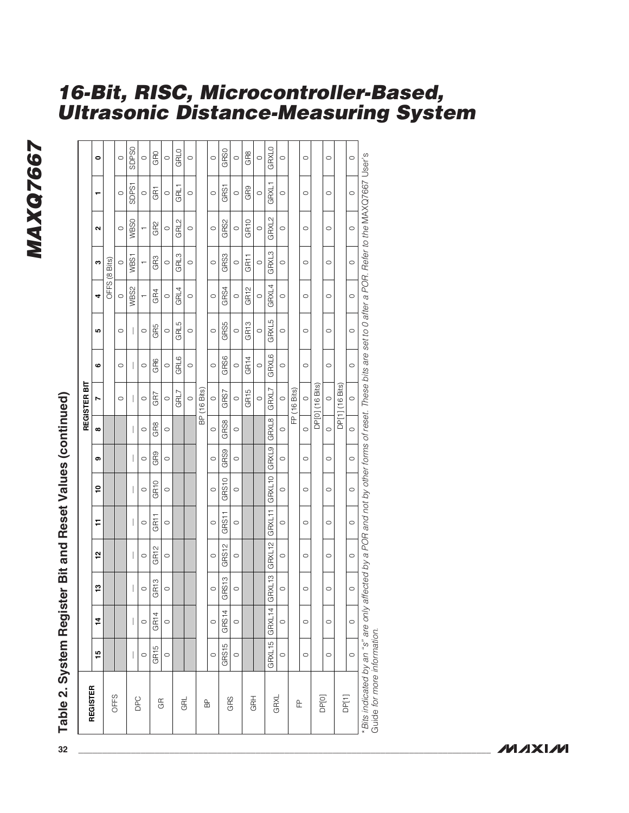### **MAXQ7667 MAXQ7667**

|                       |                  |                  |                  |                  |                  |                  |                 |                | REGISTER BIT            |                  |                  |                  |                                 |                   |         |                   |
|-----------------------|------------------|------------------|------------------|------------------|------------------|------------------|-----------------|----------------|-------------------------|------------------|------------------|------------------|---------------------------------|-------------------|---------|-------------------|
| REGISTER              | 45               | $\frac{1}{4}$    | م.               | 51               | Ξ                | ە,               | თ               | $\pmb{\infty}$ | r                       | ဖ                | LO.              | 4                | c                               | $\mathbf{\Omega}$ | ┯       | $\bullet$         |
|                       |                  |                  |                  |                  |                  |                  |                 |                |                         |                  |                  | OFFS             | Bits)<br>$\overset{\circ}{\in}$ |                   |         |                   |
| OFFS                  |                  |                  |                  |                  |                  |                  |                 |                | $\circ$                 | $\circ$          | $\circ$          | $\circ$          | 0                               | $\circ$           | $\circ$ | $\circ$           |
|                       |                  |                  |                  |                  |                  |                  |                 |                |                         |                  |                  | WBS2             | WBS1                            | WBS0              | SDPS1   | SDP <sub>SO</sub> |
| DPC                   | $\circ$          | $\circ$          | $\circ$          | $\circ$          | $\circ$          | $\circ$          | $\circ$         | $\circ$        | $\circ$                 | $\circ$          | $\circ$          |                  |                                 | T                 | $\circ$ | $\circ$           |
|                       | GR <sub>15</sub> | GR <sub>14</sub> | GR <sub>13</sub> | GR <sub>12</sub> | GR <sub>11</sub> | GR <sub>10</sub> | GR <sub>9</sub> | GR8            | GR7                     | GR6              | GR5              | GR4              | GR3                             | GR <sub>2</sub>   | GRT     | GRO               |
| $\mathbb G$           | $\circ$          | $\circ$          | $\circ$          | $\circ$          | $\circ$          | $\circ$          | $\circ$         | $\circ$        | $\circ$                 | $\circ$          | $\circ$          | $\circ$          | $\circ$                         | $\circ$           | $\circ$ | $\circ$           |
|                       |                  |                  |                  |                  |                  |                  |                 |                | GRL7                    | GRL6             | GRL5             | GRL4             | GRL3                            | GRL2              | GRL1    | GRLO              |
| GRL                   |                  |                  |                  |                  |                  |                  |                 |                | $\circ$                 | $\circ$          | $\circ$          | $\circ$          | $\circ$                         | $\circ$           | $\circ$ | $\circ$           |
|                       |                  |                  |                  |                  |                  |                  |                 | $\overline{B}$ | Bits)<br>$\frac{6}{16}$ |                  |                  |                  |                                 |                   |         |                   |
| $\frac{\rho}{\Box}$   | $\circ$          | $\circ$          | $\circ$          | $\circ$          | $\circ$          | $\circ$          | $\circ$         | $\circ$        | $\circ$                 | $\circ$          | $\circ$          | $\circ$          | $\circ$                         | $\circ$           | $\circ$ | $\circ$           |
|                       | GRS15            | GRS14            | GRS13            | GRS12            | GRS11            | GRS10            | GRS9            | GRS8           | GRS7                    | GRS6             | GRS5             | GRS4             | GRS3                            | GRS2              | GRS1    | GRS0              |
| GRS                   | $\circ$          | $\circ$          | $\circ$          | $\circ$          | $\circ$          | $\circ$          | $\circ$         | $\circ$        | $\circ$                 | $\circ$          | $\circ$          | $\circ$          | $\circ$                         | $\circ$           | $\circ$ | $\circ$           |
|                       |                  |                  |                  |                  |                  |                  |                 |                | GR <sub>15</sub>        | GR <sub>14</sub> | GR <sub>13</sub> | GR <sub>12</sub> | GR <sub>11</sub>                | GR <sub>10</sub>  | GR9     | GR8               |
| <b>GRH</b>            |                  |                  |                  |                  |                  |                  |                 |                | $\circ$                 | $\circ$          | $\circ$          | $\circ$          | $\circ$                         | $\circ$           | $\circ$ | $\circ$           |
|                       | GRXL15           | GRXL14           | GRXL13           | GRXL12           | GRXL11           | GRXL10           | GRXL9           | GRXL8          | GRXL7                   | <b>GRXL6</b>     | GRXL5            | GRXL4            | GRXL3                           | GRXL2             | GRXL1   | GRXLO             |
| GRXL                  | $\circ$          | $\circ$          | $\circ$          | $\circ$          | $\circ$          | $\circ$          | $\circ$         | $\circ$        | $\circ$                 | $\circ$          | $\circ$          | $\circ$          | $\circ$                         | $\circ$           | $\circ$ | $\circ$           |
| $\mathop{\mathbb{E}}$ |                  |                  |                  |                  |                  |                  |                 | E              | $(16$ Bits)             |                  |                  |                  |                                 |                   |         |                   |
|                       | $\circ$          | $\circ$          | $\circ$          | $\circ$          | $\circ$          | $\circ$          | $\circ$         | $\circ$        | $\circ$                 | $\circ$          | $\circ$          | $\circ$          | $\circ$                         | $\circ$           | $\circ$ | $\circ$           |
| DP[0]                 |                  |                  |                  |                  |                  |                  |                 |                | DP[0] (16 Bits)         |                  |                  |                  |                                 |                   |         |                   |
|                       | $\circ$          | $\circ$          | $\circ$          | $\circ$          | $\circ$          | $\circ$          | $\circ$         | $\circ$        | $\circ$                 | $\circ$          | $\circ$          | $\circ$          | $\circ$                         | $\circ$           | $\circ$ | $\circ$           |
| DF[1]                 |                  |                  |                  |                  |                  |                  |                 |                | DP[1] (16 Bits)         |                  |                  |                  |                                 |                   |         |                   |
|                       | $\circ$          | $\circ$          | $\circ$          | $\circ$          | $\circ$          | $\circ$          | $\circ$         | $\circ$        | $\circ$                 | $\circ$          | $\circ$          | $\circ$          | $\circ$                         | $\circ$           | $\circ$ | $\circ$           |

**16-Bit, RISC, Microcontroller-Based,**

**Ultrasonic Distance-Measuring System**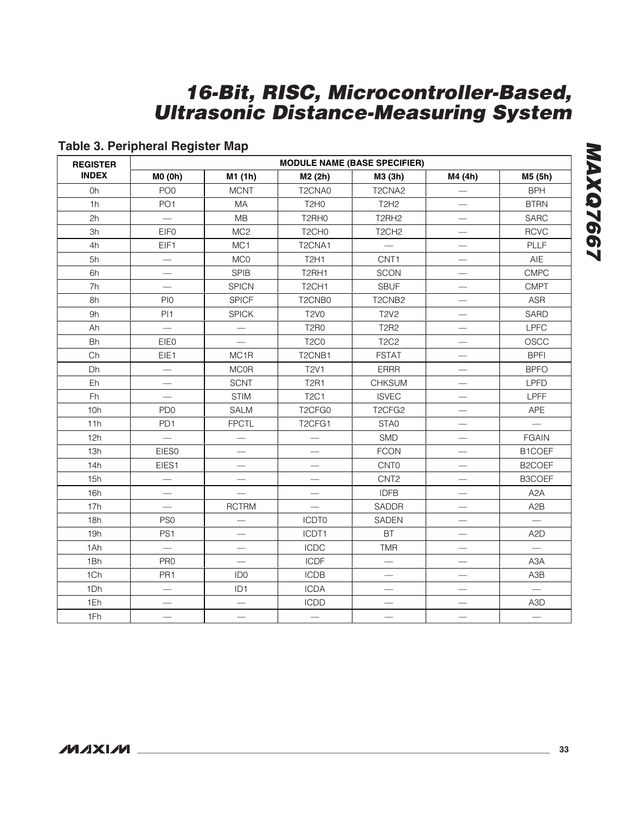### **Table 3. Peripheral Register Map**

| <b>REGISTER</b> |                          |                          |                                 | <b>MODULE NAME (BASE SPECIFIER)</b> |                               |                          |
|-----------------|--------------------------|--------------------------|---------------------------------|-------------------------------------|-------------------------------|--------------------------|
| <b>INDEX</b>    | M0 (0h)                  | M1 (1h)                  | M2 (2h)                         | M3 (3h)                             | M4 (4h)                       | M5 (5h)                  |
| 0h              | PO <sub>0</sub>          | <b>MCNT</b>              | T <sub>2</sub> CNA0             | T <sub>2</sub> CNA <sub>2</sub>     |                               | <b>BPH</b>               |
| 1h              | PO <sub>1</sub>          | MA                       | T <sub>2</sub> H <sub>0</sub>   | T2H2                                |                               | <b>BTRN</b>              |
| 2h              | $\equiv$                 | MB                       | T2RH0                           | T2RH2                               |                               | SARC                     |
| 3h              | <b>EIFO</b>              | MC <sub>2</sub>          | T <sub>2</sub> CH <sub>0</sub>  | T <sub>2</sub> CH <sub>2</sub>      |                               | <b>RCVC</b>              |
| 4h              | EIF1                     | MC <sub>1</sub>          | T <sub>2</sub> CNA1             |                                     |                               | <b>PLLF</b>              |
| 5h              |                          | MC <sub>0</sub>          | <b>T2H1</b>                     | CNT1                                |                               | AIE                      |
| 6h              |                          | <b>SPIB</b>              | T2RH1                           | <b>SCON</b>                         | $\overbrace{\phantom{13333}}$ | <b>CMPC</b>              |
| 7h              |                          | <b>SPICN</b>             | T <sub>2</sub> CH <sub>1</sub>  | <b>SBUF</b>                         |                               | <b>CMPT</b>              |
| 8h              | PI <sub>0</sub>          | <b>SPICF</b>             | T2CNB0                          | T2CNB2                              |                               | <b>ASR</b>               |
| 9h              | PI <sub>1</sub>          | <b>SPICK</b>             | <b>T2V0</b>                     | <b>T2V2</b>                         |                               | <b>SARD</b>              |
| Ah              | $\overline{\phantom{0}}$ |                          | <b>T2R0</b>                     | <b>T2R2</b>                         |                               | <b>LPFC</b>              |
| <b>Bh</b>       | <b>EIE0</b>              |                          | T <sub>2</sub> C <sub>0</sub>   | <b>T2C2</b>                         | $\overline{\phantom{0}}$      | OSCC                     |
| Ch              | EIE1                     | MC <sub>1R</sub>         | T <sub>2</sub> CNB <sub>1</sub> | <b>FSTAT</b>                        |                               | <b>BPFI</b>              |
| Dh              |                          | <b>MCOR</b>              | <b>T2V1</b>                     | ERRR                                |                               | <b>BPFO</b>              |
| Eh              |                          | <b>SCNT</b>              | <b>T2R1</b>                     | <b>CHKSUM</b>                       |                               | <b>LPFD</b>              |
| Fh              |                          | <b>STIM</b>              | <b>T2C1</b>                     | <b>ISVEC</b>                        |                               | LPFF                     |
| 10h             | PD <sub>0</sub>          | SALM                     | T <sub>2</sub> CF <sub>G0</sub> | T <sub>2</sub> CF <sub>G2</sub>     |                               | APE                      |
| 11h             | PD1                      | <b>FPCTL</b>             | T <sub>2</sub> CFG <sub>1</sub> | STA0                                |                               |                          |
| 12h             | $\overline{\phantom{0}}$ |                          |                                 | SMD                                 |                               | <b>FGAIN</b>             |
| 13h             | <b>EIES0</b>             |                          |                                 | <b>FCON</b>                         |                               | B1COEF                   |
| 14h             | EIES1                    |                          | $\overline{\phantom{0}}$        | <b>CNTO</b>                         |                               | B2COEF                   |
| 15h             |                          |                          | —                               | CNT <sub>2</sub>                    |                               | <b>B3COEF</b>            |
| 16h             |                          |                          | $\overline{\phantom{0}}$        | <b>IDFB</b>                         |                               | A <sub>2</sub> A         |
| 17h             |                          | <b>RCTRM</b>             |                                 | SADDR                               |                               | A <sub>2</sub> B         |
| 18h             | PS <sub>0</sub>          |                          | <b>ICDT0</b>                    | <b>SADEN</b>                        |                               | $\overline{\phantom{0}}$ |
| 19h             | PS <sub>1</sub>          |                          | ICDT1                           | <b>BT</b>                           |                               | A <sub>2</sub> D         |
| 1Ah             | $\qquad \qquad$          |                          | <b>ICDC</b>                     | <b>TMR</b>                          |                               | $\overline{\phantom{0}}$ |
| 1Bh             | PR <sub>0</sub>          | $\overline{\phantom{0}}$ | <b>ICDF</b>                     | $\equiv$                            |                               | A <sub>3</sub> A         |
| 1Ch             | PR <sub>1</sub>          | ID <sub>0</sub>          | <b>ICDB</b>                     |                                     |                               | A3B                      |
| 1Dh             |                          | ID <sub>1</sub>          | <b>ICDA</b>                     |                                     |                               |                          |
| 1Eh             |                          |                          | <b>ICDD</b>                     |                                     |                               | A <sub>3</sub> D         |
| 1Fh             |                          |                          | $\overline{\phantom{0}}$        |                                     |                               |                          |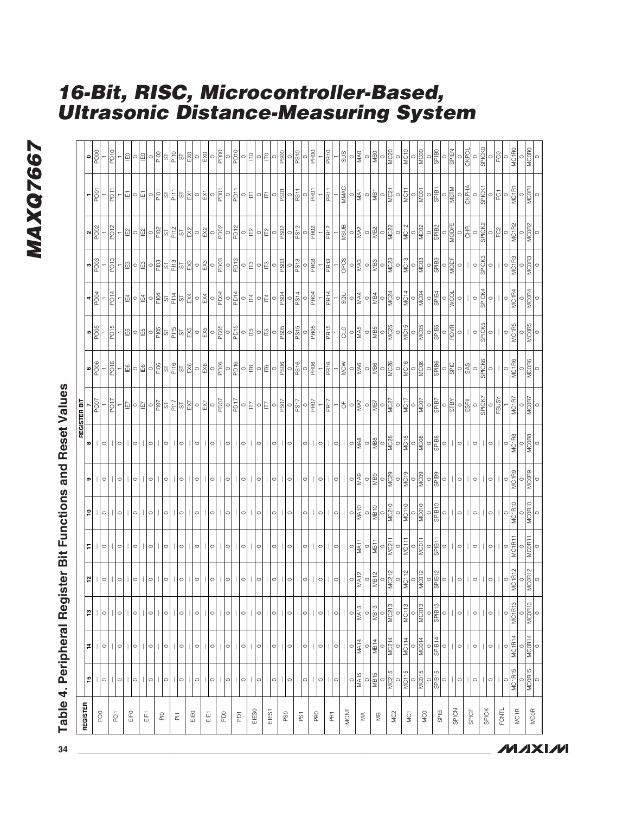### MAXQ7667 **MAXQ7667**

## **Table 4. Peripheral Register Bit Functions and Reset Values**

| REGISTER                                                      |                                                   |                                                                                                                                                                                                                                                                                                                                                            |                                                                 |                               |                              |                                                |                                                  |                                 | REGISTER BIT                                                              |                                                                                                                                                                                                                                                                                                                                                                                                                                                                                  |                                                                                                                                                                                              |                                                                                                                                                                                                                                        |                                                                                                                                                                                                                                                                                                                                                                                               |                                |                                                                                                                                                                                                                                                                                                                                                                                                                                                                                           |                                                                                                           |
|---------------------------------------------------------------|---------------------------------------------------|------------------------------------------------------------------------------------------------------------------------------------------------------------------------------------------------------------------------------------------------------------------------------------------------------------------------------------------------------------|-----------------------------------------------------------------|-------------------------------|------------------------------|------------------------------------------------|--------------------------------------------------|---------------------------------|---------------------------------------------------------------------------|----------------------------------------------------------------------------------------------------------------------------------------------------------------------------------------------------------------------------------------------------------------------------------------------------------------------------------------------------------------------------------------------------------------------------------------------------------------------------------|----------------------------------------------------------------------------------------------------------------------------------------------------------------------------------------------|----------------------------------------------------------------------------------------------------------------------------------------------------------------------------------------------------------------------------------------|-----------------------------------------------------------------------------------------------------------------------------------------------------------------------------------------------------------------------------------------------------------------------------------------------------------------------------------------------------------------------------------------------|--------------------------------|-------------------------------------------------------------------------------------------------------------------------------------------------------------------------------------------------------------------------------------------------------------------------------------------------------------------------------------------------------------------------------------------------------------------------------------------------------------------------------------------|-----------------------------------------------------------------------------------------------------------|
|                                                               | 15                                                | $\sharp$                                                                                                                                                                                                                                                                                                                                                   | ឌ $  $ ା                                                        | 12                            | F                            | $\mathop{^{\mathsf{e}}}\nolimits$              | თ                                                | $\pmb{\infty}$                  | PO <sub>0</sub>                                                           | $\frac{1}{\sqrt{2}}$                                                                                                                                                                                                                                                                                                                                                                                                                                                             | $\frac{5}{9005}$                                                                                                                                                                             | PO04<br>4                                                                                                                                                                                                                              | PO <sub>03</sub><br>ო                                                                                                                                                                                                                                                                                                                                                                         | PO02<br>$\boldsymbol{\sim}$    | PO <sub>01</sub>                                                                                                                                                                                                                                                                                                                                                                                                                                                                          | $\frac{1000}{\pi}$<br>$\bullet$                                                                           |
| $\frac{8}{2}$                                                 | 0                                                 | $\vert\vert$ o                                                                                                                                                                                                                                                                                                                                             |                                                                 | $\circ$                       | $\circ$                      | $\circ$                                        | $\circ$                                          | $\vert\vert \circ$              |                                                                           |                                                                                                                                                                                                                                                                                                                                                                                                                                                                                  |                                                                                                                                                                                              |                                                                                                                                                                                                                                        |                                                                                                                                                                                                                                                                                                                                                                                               |                                |                                                                                                                                                                                                                                                                                                                                                                                                                                                                                           |                                                                                                           |
|                                                               |                                                   |                                                                                                                                                                                                                                                                                                                                                            |                                                                 |                               |                              |                                                |                                                  |                                 | PO <sub>17</sub>                                                          | PO <sub>16</sub>                                                                                                                                                                                                                                                                                                                                                                                                                                                                 | PO <sub>15</sub>                                                                                                                                                                             | PO <sub>14</sub>                                                                                                                                                                                                                       | PO <sub>13</sub>                                                                                                                                                                                                                                                                                                                                                                              | POT2                           | FO <sub>11</sub>                                                                                                                                                                                                                                                                                                                                                                                                                                                                          | PO <sub>10</sub>                                                                                          |
| $\overleftarrow{\text{C}}$                                    | $\mathsf{I}\mathsf{I}\circ$                       | $\vert\vert$ o                                                                                                                                                                                                                                                                                                                                             | $\vert\vert$                                                    | $\circ$                       | $\circ$                      | $\circ$                                        | $\circ$                                          | $\circ$                         |                                                                           |                                                                                                                                                                                                                                                                                                                                                                                                                                                                                  |                                                                                                                                                                                              |                                                                                                                                                                                                                                        |                                                                                                                                                                                                                                                                                                                                                                                               |                                |                                                                                                                                                                                                                                                                                                                                                                                                                                                                                           |                                                                                                           |
| EIFO                                                          |                                                   |                                                                                                                                                                                                                                                                                                                                                            |                                                                 |                               |                              |                                                |                                                  |                                 |                                                                           |                                                                                                                                                                                                                                                                                                                                                                                                                                                                                  |                                                                                                                                                                                              |                                                                                                                                                                                                                                        |                                                                                                                                                                                                                                                                                                                                                                                               |                                |                                                                                                                                                                                                                                                                                                                                                                                                                                                                                           |                                                                                                           |
|                                                               | $\mathsf{I}\mathsf{I}\circ$                       | $\vert\vert$                                                                                                                                                                                                                                                                                                                                               | $\vert \vert \circ$                                             |                               |                              |                                                |                                                  | $\circ$                         | 의이필                                                                       |                                                                                                                                                                                                                                                                                                                                                                                                                                                                                  | <u>이었<mark>역 일정이</mark>하여</u>                                                                                                                                                                | $\boxed{\vec{\pi}\,}\circ\boxed{\vec{\pi}\,}\circ\boxed{\vec{\Xi}\,}\simeq\boxed{\vec{\Xi}\,}\simeq\boxed{\vec{\Xi}\,}\simeq\boxed{\vec{\Xi}\,}\simeq\boxed{\vec{\Xi}\,}\simeq\boxed{\vec{\Xi}\,}\simeq\color{red}\boxed{\vec{\Xi}\,}$ | $\frac{2}{5}$                                                                                                                                                                                                                                                                                                                                                                                 | ≅ ∘ ≌ ∘  <u>≋</u>  ≈ ≚ ≈ ¾ ∘ ‰ | $\frac{1}{2}$                                                                                                                                                                                                                                                                                                                                                                                                                                                                             | 의이의                                                                                                       |
| 뚬                                                             |                                                   |                                                                                                                                                                                                                                                                                                                                                            |                                                                 |                               |                              |                                                |                                                  |                                 |                                                                           |                                                                                                                                                                                                                                                                                                                                                                                                                                                                                  |                                                                                                                                                                                              |                                                                                                                                                                                                                                        | $\boxed{\underline{\mathbb{E}}\,}$                                                                                                                                                                                                                                                                                                                                                            |                                | 듸                                                                                                                                                                                                                                                                                                                                                                                                                                                                                         |                                                                                                           |
|                                                               | $\circ$                                           | $\circ$                                                                                                                                                                                                                                                                                                                                                    | $\circ$                                                         | $\circ$                       | $\circ$                      | $\circ$                                        | $\circ$                                          | $\circ$                         |                                                                           |                                                                                                                                                                                                                                                                                                                                                                                                                                                                                  |                                                                                                                                                                                              |                                                                                                                                                                                                                                        |                                                                                                                                                                                                                                                                                                                                                                                               |                                |                                                                                                                                                                                                                                                                                                                                                                                                                                                                                           |                                                                                                           |
| $\Xi$                                                         |                                                   |                                                                                                                                                                                                                                                                                                                                                            |                                                                 |                               |                              |                                                |                                                  |                                 |                                                                           |                                                                                                                                                                                                                                                                                                                                                                                                                                                                                  |                                                                                                                                                                                              |                                                                                                                                                                                                                                        |                                                                                                                                                                                                                                                                                                                                                                                               |                                |                                                                                                                                                                                                                                                                                                                                                                                                                                                                                           |                                                                                                           |
|                                                               | $\vert \vert \circ \vert$                         | $\vert \vert \circ$                                                                                                                                                                                                                                                                                                                                        |                                                                 | $\circ$                       | $\circ$                      | $\circ$                                        | $\circ$                                          | $\circ$                         |                                                                           |                                                                                                                                                                                                                                                                                                                                                                                                                                                                                  |                                                                                                                                                                                              |                                                                                                                                                                                                                                        |                                                                                                                                                                                                                                                                                                                                                                                               |                                |                                                                                                                                                                                                                                                                                                                                                                                                                                                                                           | - 읽히                                                                                                      |
| $\overleftarrow{\underline{\mathbb{a}}}$                      |                                                   |                                                                                                                                                                                                                                                                                                                                                            |                                                                 |                               |                              |                                                |                                                  |                                 |                                                                           |                                                                                                                                                                                                                                                                                                                                                                                                                                                                                  |                                                                                                                                                                                              |                                                                                                                                                                                                                                        |                                                                                                                                                                                                                                                                                                                                                                                               |                                |                                                                                                                                                                                                                                                                                                                                                                                                                                                                                           |                                                                                                           |
|                                                               |                                                   |                                                                                                                                                                                                                                                                                                                                                            |                                                                 | $\circ$                       | $\circ$                      | $\circ$                                        | $\circ$                                          | $\circ$                         |                                                                           |                                                                                                                                                                                                                                                                                                                                                                                                                                                                                  |                                                                                                                                                                                              |                                                                                                                                                                                                                                        |                                                                                                                                                                                                                                                                                                                                                                                               |                                |                                                                                                                                                                                                                                                                                                                                                                                                                                                                                           |                                                                                                           |
| EIEO                                                          | $  \circ   $ o                                    | 0                                                                                                                                                                                                                                                                                                                                                          | $   $ o $   $ o $   $ o                                         |                               |                              |                                                |                                                  |                                 |                                                                           |                                                                                                                                                                                                                                                                                                                                                                                                                                                                                  |                                                                                                                                                                                              |                                                                                                                                                                                                                                        |                                                                                                                                                                                                                                                                                                                                                                                               |                                | 이탈일 - [이 ]                                                                                                                                                                                                                                                                                                                                                                                                                                                                                | 해의                                                                                                        |
|                                                               |                                                   |                                                                                                                                                                                                                                                                                                                                                            |                                                                 | $\circ$                       | $\circ$                      | $\circ$                                        | $\circ$                                          | $\circ$                         |                                                                           |                                                                                                                                                                                                                                                                                                                                                                                                                                                                                  |                                                                                                                                                                                              |                                                                                                                                                                                                                                        |                                                                                                                                                                                                                                                                                                                                                                                               |                                |                                                                                                                                                                                                                                                                                                                                                                                                                                                                                           |                                                                                                           |
| ΕEΤ                                                           | $  \circ  $                                       | $\vert\vert \circ \vert$                                                                                                                                                                                                                                                                                                                                   | $\vert\vert \circ \vert$                                        |                               |                              |                                                |                                                  |                                 | <u>이 하지 말</u> 일 일 일 이 일                                                   |                                                                                                                                                                                                                                                                                                                                                                                                                                                                                  | $\begin{array}{c c c c} \hline \text{K} & \text{D} & \text{D} \\ \hline \text{K} & \text{D} & \text{D} & \text{D} \\ \hline \text{K} & \text{D} & \text{D} & \text{D} \\ \hline \end{array}$ |                                                                                                                                                                                                                                        | $\circ \frac{1}{2} \frac{1}{2} \frac{1}{2} \frac{1}{2} \frac{1}{2} \frac{1}{2} \frac{1}{2} \frac{1}{2} \frac{1}{2} \frac{1}{2} \frac{1}{2} \frac{1}{2} \frac{1}{2} \frac{1}{2} \frac{1}{2} \frac{1}{2} \frac{1}{2} \frac{1}{2} \frac{1}{2} \frac{1}{2} \frac{1}{2} \frac{1}{2} \frac{1}{2} \frac{1}{2} \frac{1}{2} \frac{1}{2} \frac{1}{2} \frac{1}{2} \frac{1}{2} \frac{1}{2} \frac{1}{2} \$ |                                | $\frac{1}{\sqrt{2}}$                                                                                                                                                                                                                                                                                                                                                                                                                                                                      | $\begin{array}{c c c c} \hline \text{SO} & \text{PS} \\\hline \text{SO} & \text{PS} \\\hline \end{array}$ |
|                                                               |                                                   |                                                                                                                                                                                                                                                                                                                                                            |                                                                 | $\circ$                       | $\circ$                      | $\circ$                                        | $\circ$                                          | $\circ$                         |                                                                           |                                                                                                                                                                                                                                                                                                                                                                                                                                                                                  |                                                                                                                                                                                              |                                                                                                                                                                                                                                        |                                                                                                                                                                                                                                                                                                                                                                                               |                                |                                                                                                                                                                                                                                                                                                                                                                                                                                                                                           |                                                                                                           |
| P <sub>DO</sub>                                               | $\mathbf{L}$                                      | $\mathbf{L}$                                                                                                                                                                                                                                                                                                                                               | $\vert \vert \circ \vert$                                       |                               | 0                            |                                                |                                                  |                                 |                                                                           |                                                                                                                                                                                                                                                                                                                                                                                                                                                                                  |                                                                                                                                                                                              |                                                                                                                                                                                                                                        |                                                                                                                                                                                                                                                                                                                                                                                               |                                |                                                                                                                                                                                                                                                                                                                                                                                                                                                                                           |                                                                                                           |
|                                                               | $\circ$                                           | $\circ   \circ   \circ$                                                                                                                                                                                                                                                                                                                                    |                                                                 | 0                             |                              | 0                                              | $\circ $                                         | $\mathbf{L}$<br>$\circ $        | $\frac{\sqrt{7}}{2} \Bigg  \sigma_1$                                      |                                                                                                                                                                                                                                                                                                                                                                                                                                                                                  | $\frac{1}{10}$                                                                                                                                                                               |                                                                                                                                                                                                                                        | $\frac{1}{2}$                                                                                                                                                                                                                                                                                                                                                                                 | $\frac{1}{2}$                  | $\begin{array}{c} \mid \frac{1}{\sqrt{2}} \mid \\ \mid \frac{1}{\sqrt{2}} \mid \\ \mid \frac{1}{\sqrt{2}} \mid \\ \mid \frac{1}{\sqrt{2}} \mid \\ \mid \frac{1}{\sqrt{2}} \mid \\ \mid \frac{1}{\sqrt{2}} \mid \\ \mid \frac{1}{\sqrt{2}} \mid \\ \mid \frac{1}{\sqrt{2}} \mid \\ \mid \frac{1}{\sqrt{2}} \mid \\ \mid \frac{1}{\sqrt{2}} \mid \\ \mid \frac{1}{\sqrt{2}} \mid \\ \mid \frac{1}{\sqrt{2}} \mid \\ \mid \frac{1}{\sqrt{2}} \mid \\ \mid \frac{1}{\sqrt{2}} \mid \\ \mid \$ | $\frac{0}{10}$                                                                                            |
| ā                                                             | $\vert \vert \circ \vert$                         |                                                                                                                                                                                                                                                                                                                                                            | $  \circ    \circ$                                              | $\circ$                       | $\circ$                      | $\circ$                                        | $\circ$                                          | $\circ$                         |                                                                           |                                                                                                                                                                                                                                                                                                                                                                                                                                                                                  |                                                                                                                                                                                              |                                                                                                                                                                                                                                        |                                                                                                                                                                                                                                                                                                                                                                                               |                                |                                                                                                                                                                                                                                                                                                                                                                                                                                                                                           |                                                                                                           |
| EIES0                                                         |                                                   |                                                                                                                                                                                                                                                                                                                                                            |                                                                 |                               |                              |                                                |                                                  |                                 | 이라이                                                                       | $\circ$ $\mathbb{E} \circ \mathbb{E}$                                                                                                                                                                                                                                                                                                                                                                                                                                            | 이라이티                                                                                                                                                                                         | 이퇴이퇴                                                                                                                                                                                                                                   | 이라이터                                                                                                                                                                                                                                                                                                                                                                                          | 이익이일                           | 이라이티                                                                                                                                                                                                                                                                                                                                                                                                                                                                                      | $\circ$ $\mathsf{E}$ $\circ$                                                                              |
|                                                               | $\vert \vert \circ$                               |                                                                                                                                                                                                                                                                                                                                                            |                                                                 | $\circ$                       | $\circ$                      | $\circ$                                        | $\circ$                                          | $\vert\vert$ o                  |                                                                           |                                                                                                                                                                                                                                                                                                                                                                                                                                                                                  |                                                                                                                                                                                              |                                                                                                                                                                                                                                        |                                                                                                                                                                                                                                                                                                                                                                                               |                                |                                                                                                                                                                                                                                                                                                                                                                                                                                                                                           |                                                                                                           |
| EIES <sub>1</sub>                                             |                                                   |                                                                                                                                                                                                                                                                                                                                                            |                                                                 |                               |                              |                                                |                                                  |                                 |                                                                           |                                                                                                                                                                                                                                                                                                                                                                                                                                                                                  |                                                                                                                                                                                              |                                                                                                                                                                                                                                        |                                                                                                                                                                                                                                                                                                                                                                                               |                                |                                                                                                                                                                                                                                                                                                                                                                                                                                                                                           | $\Box$                                                                                                    |
|                                                               | $\circ$                                           |                                                                                                                                                                                                                                                                                                                                                            | $\circ$                                                         | $\circ$                       | $\circ$                      | $\circ$                                        | $\circ$                                          | $\circ$                         |                                                                           |                                                                                                                                                                                                                                                                                                                                                                                                                                                                                  |                                                                                                                                                                                              |                                                                                                                                                                                                                                        | $\frac{1}{2}$                                                                                                                                                                                                                                                                                                                                                                                 | $\frac{1}{25}$                 | $\frac{1}{2}$                                                                                                                                                                                                                                                                                                                                                                                                                                                                             |                                                                                                           |
| PS <sub>0</sub>                                               |                                                   | $\circ$    $\circ$                                                                                                                                                                                                                                                                                                                                         | ○                                                               |                               |                              |                                                |                                                  |                                 | $\frac{1}{\sqrt{2}}\left \frac{\partial}{\partial\theta}\right _{\theta}$ | $\log \left  \frac{1}{\log \left  \frac{1}{\log \left( \frac{1}{\log \left( \frac{1}{\log \left( \frac{1}{\log \left( \frac{1}{\log \left( \frac{1}{\log \left( \frac{1}{\log \left( \frac{1}{\log \left( \frac{1}{\log \left( \frac{1}{\log \left( \frac{1}{\log \left( \frac{1}{\log \left( \frac{1}{\log \left( \frac{1}{\log \left( \frac{1}{\log \left( \frac{1}{\log \left( \frac{1}{\log \left( \frac{1}{\log \left( \frac{1}{\log \left( \frac{1}{\log \left( \frac{1}{$ | $\frac{1}{\sqrt{2}}\begin{bmatrix} 1 \\ 0 \\ 0 \\ 0 \end{bmatrix}$                                                                                                                           | $-\frac{150}{94}$                                                                                                                                                                                                                      |                                                                                                                                                                                                                                                                                                                                                                                               |                                |                                                                                                                                                                                                                                                                                                                                                                                                                                                                                           | $\frac{1}{\sqrt{2}}\left \frac{\partial}{\partial\theta}\right _{\theta}$                                 |
|                                                               | $\circ$                                           |                                                                                                                                                                                                                                                                                                                                                            |                                                                 | $\circ$                       | $\circ$                      | $\circ$                                        | $\circ$                                          | $\circ$                         | $\frac{1}{251}$                                                           | PS16                                                                                                                                                                                                                                                                                                                                                                                                                                                                             | PSSI<br>$\circ$                                                                                                                                                                              |                                                                                                                                                                                                                                        | PS13<br>$\circ$                                                                                                                                                                                                                                                                                                                                                                               | PS12<br>$\circ$                | $\frac{1}{15}$                                                                                                                                                                                                                                                                                                                                                                                                                                                                            | $\frac{0}{\sqrt{25}}$                                                                                     |
| ΡSΊ                                                           | $\circ$                                           | $\vert\vert\circ\vert$                                                                                                                                                                                                                                                                                                                                     | $\vert\vert \circ \vert$                                        | 0                             | $\circ$                      | $\circ$                                        | $\circ$                                          | 이                               |                                                                           |                                                                                                                                                                                                                                                                                                                                                                                                                                                                                  |                                                                                                                                                                                              |                                                                                                                                                                                                                                        |                                                                                                                                                                                                                                                                                                                                                                                               |                                |                                                                                                                                                                                                                                                                                                                                                                                                                                                                                           |                                                                                                           |
|                                                               | $\mathbf{H}$                                      |                                                                                                                                                                                                                                                                                                                                                            |                                                                 |                               |                              |                                                |                                                  |                                 | $\frac{1}{\sqrt{9R}}$                                                     | $\frac{1}{2}$                                                                                                                                                                                                                                                                                                                                                                                                                                                                    | $\frac{1}{\sqrt{2}}$                                                                                                                                                                         | $\frac{1}{2}$                                                                                                                                                                                                                          | $\frac{1}{2}$                                                                                                                                                                                                                                                                                                                                                                                 | $\frac{1}{2}$                  | $\frac{1}{\sqrt{2}}$                                                                                                                                                                                                                                                                                                                                                                                                                                                                      | $\frac{1}{2}$                                                                                             |
| <b>PRO</b>                                                    | $\mid$ o $\mid$                                   | $\circ$                                                                                                                                                                                                                                                                                                                                                    | $\vert\vert$ o $\vert$                                          | $\circ$                       | $\circ$                      | $\circ$                                        | $\circ$                                          | $\circ$                         |                                                                           |                                                                                                                                                                                                                                                                                                                                                                                                                                                                                  |                                                                                                                                                                                              |                                                                                                                                                                                                                                        |                                                                                                                                                                                                                                                                                                                                                                                               |                                |                                                                                                                                                                                                                                                                                                                                                                                                                                                                                           |                                                                                                           |
| $\overleftarrow{\Xi}$                                         |                                                   |                                                                                                                                                                                                                                                                                                                                                            |                                                                 |                               |                              |                                                |                                                  | $\vert \vert \circ \vert$       | PR17                                                                      | PR16                                                                                                                                                                                                                                                                                                                                                                                                                                                                             | PR15                                                                                                                                                                                         | PR <sub>14</sub>                                                                                                                                                                                                                       | PR <sub>13</sub>                                                                                                                                                                                                                                                                                                                                                                              | PR <sub>12</sub>               | PR11                                                                                                                                                                                                                                                                                                                                                                                                                                                                                      | $\frac{10}{2}$                                                                                            |
|                                                               | $\vert \vert \circ \vert$                         |                                                                                                                                                                                                                                                                                                                                                            |                                                                 | $\circ$                       | $\circ$                      | $\circ$                                        | $\circ$                                          |                                 | T                                                                         |                                                                                                                                                                                                                                                                                                                                                                                                                                                                                  |                                                                                                                                                                                              |                                                                                                                                                                                                                                        |                                                                                                                                                                                                                                                                                                                                                                                               |                                |                                                                                                                                                                                                                                                                                                                                                                                                                                                                                           |                                                                                                           |
| MCNT                                                          |                                                   | $\left  \circ \right  \left  \circ \right $ $\left  \circ \right $ $\left  \circ \right $ $\left  \circ \right $                                                                                                                                                                                                                                           | $    \circ        \circ   $                                     |                               |                              |                                                |                                                  |                                 | 5                                                                         | <b>MCW</b>                                                                                                                                                                                                                                                                                                                                                                                                                                                                       | <b>QLD</b>                                                                                                                                                                                   | SQU                                                                                                                                                                                                                                    | <b>OPCS</b>                                                                                                                                                                                                                                                                                                                                                                                   | <b>AUSIN</b>                   | MMAC                                                                                                                                                                                                                                                                                                                                                                                                                                                                                      | sus                                                                                                       |
|                                                               | MA <sub>15</sub><br>$\circ $                      |                                                                                                                                                                                                                                                                                                                                                            |                                                                 | MAT2<br>$\circ$               | MA <sub>11</sub><br>$\circ$  | MA <sub>10</sub><br>$\circ $                   | $\frac{6}{2}$                                    | $\frac{1}{2}$                   | $\frac{0}{M\lambda}$                                                      | $\frac{1}{2}$                                                                                                                                                                                                                                                                                                                                                                                                                                                                    | $\frac{1}{2}$                                                                                                                                                                                | $\frac{1}{2}$                                                                                                                                                                                                                          | <b>EVIN</b><br>$\circ$                                                                                                                                                                                                                                                                                                                                                                        | $\frac{1}{2}$                  | $\frac{1}{2}$<br>$\circ$                                                                                                                                                                                                                                                                                                                                                                                                                                                                  | $\frac{1}{2}$                                                                                             |
| $\lessgtr$                                                    | $\circ$                                           |                                                                                                                                                                                                                                                                                                                                                            | M <sub>13</sub><br>$\circ$                                      | $\circ$                       | $\circ$                      | $\circ$                                        | $\circ$                                          | $\circ$                         | $\circ$                                                                   | $\circ$                                                                                                                                                                                                                                                                                                                                                                                                                                                                          | $\circ$                                                                                                                                                                                      |                                                                                                                                                                                                                                        | $\circ$                                                                                                                                                                                                                                                                                                                                                                                       | $\circ$                        | $\circ$                                                                                                                                                                                                                                                                                                                                                                                                                                                                                   | $\circ$                                                                                                   |
|                                                               | MB15                                              |                                                                                                                                                                                                                                                                                                                                                            | MB <sub>13</sub>                                                | $M = 12$                      | $M = 1$                      | MB10                                           | <b>REM</b>                                       |                                 | VIB7                                                                      |                                                                                                                                                                                                                                                                                                                                                                                                                                                                                  |                                                                                                                                                                                              | $\frac{1}{\sqrt{B^4}}$                                                                                                                                                                                                                 | <b>MB3</b>                                                                                                                                                                                                                                                                                                                                                                                    | MB <sub>2</sub>                | $\frac{1}{2}$                                                                                                                                                                                                                                                                                                                                                                                                                                                                             | $\frac{1}{2}$                                                                                             |
| $\mathrel{\mathop{\raisebox{1.5pt}{\scriptsize g}}\nolimits}$ |                                                   | $\frac{0}{10}$                                                                                                                                                                                                                                                                                                                                             | $\circ$                                                         | $\circ$                       |                              |                                                | $\circ$                                          | 图<br>图                          | $\circ$                                                                   | $rac{6}{5}$                                                                                                                                                                                                                                                                                                                                                                                                                                                                      | $\frac{6}{2}$                                                                                                                                                                                | $\circ$                                                                                                                                                                                                                                | $\circ$                                                                                                                                                                                                                                                                                                                                                                                       | $\circ$                        | $\circ$                                                                                                                                                                                                                                                                                                                                                                                                                                                                                   | $\circ$                                                                                                   |
| ЙC <sub>2</sub>                                               | MC215                                             | MC214                                                                                                                                                                                                                                                                                                                                                      | MC213                                                           | MC212                         | MC211                        | MC210                                          | <b>MC29</b>                                      | <b>MC28</b>                     | $\overline{\text{MC27}}$                                                  | <b>MC26</b>                                                                                                                                                                                                                                                                                                                                                                                                                                                                      | $\overline{\text{MC25}}$                                                                                                                                                                     | MC24                                                                                                                                                                                                                                   | MC23                                                                                                                                                                                                                                                                                                                                                                                          | <b>MC22</b>                    | $\overline{\text{MC21}}$                                                                                                                                                                                                                                                                                                                                                                                                                                                                  | <b>MC20</b>                                                                                               |
|                                                               | $\frac{1}{\sqrt{2}}$                              | $\frac{1}{\sqrt{1014}}\n \frac{1}{\sqrt{10014}}\n \frac{1}{\sqrt{10014}}\n \frac{1}{\sqrt{10014}}\n \frac{1}{\sqrt{10014}}\n \frac{1}{\sqrt{10014}}\n \frac{1}{\sqrt{10014}}\n \frac{1}{\sqrt{10014}}\n \frac{1}{\sqrt{10014}}\n \frac{1}{\sqrt{10014}}\n \frac{1}{\sqrt{10014}}\n \frac{1}{\sqrt{10014}}\n \frac{1}{\sqrt{10014}}\n \frac{1}{\sqrt{10014$ | $rac{0}{\sqrt{13}}$                                             | $\frac{0}{MC112}$             | $\frac{0}{MCH1}$             | $\frac{0}{MC110}$                              | $\frac{1}{\sqrt{\frac{1}{2}}\sqrt{\frac{1}{2}}}$ | $\frac{1}{\sqrt{\frac{18}{5}}}$ | $\frac{1}{\log \left \frac{1}{2}\right }$                                 | $\frac{1}{\sqrt{\frac{1}{2}}}$                                                                                                                                                                                                                                                                                                                                                                                                                                                   | $\frac{1}{\sqrt{\frac{1}{2}}}$                                                                                                                                                               | $\frac{1}{\sqrt{2}}$                                                                                                                                                                                                                   | $10\frac{10}{2}$ $\frac{1}{2}$                                                                                                                                                                                                                                                                                                                                                                | $\frac{1}{\sqrt{2}}$           | $\frac{1}{\sqrt{\frac{1}{2}}}$                                                                                                                                                                                                                                                                                                                                                                                                                                                            | $\frac{10}{\sqrt{20}}$                                                                                    |
| $\overline{\mathbb{Q}}$                                       |                                                   |                                                                                                                                                                                                                                                                                                                                                            |                                                                 | $\circ$                       | $\circ$                      | $\circ$                                        |                                                  |                                 |                                                                           |                                                                                                                                                                                                                                                                                                                                                                                                                                                                                  |                                                                                                                                                                                              |                                                                                                                                                                                                                                        |                                                                                                                                                                                                                                                                                                                                                                                               |                                |                                                                                                                                                                                                                                                                                                                                                                                                                                                                                           |                                                                                                           |
|                                                               | MC015                                             |                                                                                                                                                                                                                                                                                                                                                            | MCO <sub>13</sub>                                               | MC012                         | MC011                        | MC010                                          |                                                  | <b>MCOB</b>                     | $\frac{1}{2}$                                                             |                                                                                                                                                                                                                                                                                                                                                                                                                                                                                  | <b>NOS</b>                                                                                                                                                                                   | MC04                                                                                                                                                                                                                                   | MC03                                                                                                                                                                                                                                                                                                                                                                                          | $\frac{20}{2}$                 | $\frac{1}{2}$                                                                                                                                                                                                                                                                                                                                                                                                                                                                             | $\frac{1}{2}$                                                                                             |
| $\sum_{i=1}^{n}$                                              |                                                   |                                                                                                                                                                                                                                                                                                                                                            |                                                                 | $\circ$                       | $\circ$                      |                                                | $\frac{1}{\sqrt{2}}$                             | $\circ$                         |                                                                           | $\frac{100}{\frac{100}{\frac{3}{2}}}{\frac{100}{2}}$                                                                                                                                                                                                                                                                                                                                                                                                                             | $\circ$                                                                                                                                                                                      | $\circ$                                                                                                                                                                                                                                |                                                                                                                                                                                                                                                                                                                                                                                               | $\circ$                        | $\circ$                                                                                                                                                                                                                                                                                                                                                                                                                                                                                   | $\circ$                                                                                                   |
| <b>SPIB</b>                                                   | $\begin{array}{c}\n0 \\ \hline\n\end{array}$      |                                                                                                                                                                                                                                                                                                                                                            | $\begin{array}{c c}\n & 0 \\  & 0 \\  & 0 \\  & 0\n\end{array}$ | SPIB <sub>12</sub>            | SPIB <sub>11</sub>           | $rac{1}{\sqrt{\frac{1}{2}}\sqrt{\frac{1}{2}}}$ |                                                  | SPIB <sub>8</sub>               | $rac{1}{\sqrt{10}}$                                                       |                                                                                                                                                                                                                                                                                                                                                                                                                                                                                  | <b>SBI</b>                                                                                                                                                                                   | SPIB4                                                                                                                                                                                                                                  | $\frac{1}{\sqrt{2}}$                                                                                                                                                                                                                                                                                                                                                                          | SPIB <sub>2</sub>              | <b>IBI</b>                                                                                                                                                                                                                                                                                                                                                                                                                                                                                | <b>SPIBO</b>                                                                                              |
|                                                               |                                                   |                                                                                                                                                                                                                                                                                                                                                            |                                                                 | $\circ$                       | $\circ$                      | $\circ$                                        | $\circ$                                          | $\circ$                         | $\circ$                                                                   | $\frac{1}{\sqrt{2}}\left \frac{1}{\sqrt{2}}\right _{\mathcal{C}}$                                                                                                                                                                                                                                                                                                                                                                                                                | $\circ$                                                                                                                                                                                      | $\circ$                                                                                                                                                                                                                                | $\circ$                                                                                                                                                                                                                                                                                                                                                                                       | $\circ$                        | $\circ$                                                                                                                                                                                                                                                                                                                                                                                                                                                                                   | $\circ$                                                                                                   |
| SPICN                                                         | $\circ$                                           | $  \circ  $                                                                                                                                                                                                                                                                                                                                                | $  \circ  $                                                     |                               |                              |                                                |                                                  | $\circ$                         | <b>ABLS</b>                                                               |                                                                                                                                                                                                                                                                                                                                                                                                                                                                                  | ROVR                                                                                                                                                                                         | <b>NCOL</b>                                                                                                                                                                                                                            | MODF<br>                                                                                                                                                                                                                                                                                                                                                                                      | MODFE                          | <b>MSTM</b>                                                                                                                                                                                                                                                                                                                                                                                                                                                                               | SPIEN                                                                                                     |
|                                                               |                                                   |                                                                                                                                                                                                                                                                                                                                                            |                                                                 | $\circ$                       | $\circ$                      | $\circ$                                        | $\circ$                                          |                                 | $rac{1}{\sqrt{2}}$                                                        | $\frac{1}{288}$                                                                                                                                                                                                                                                                                                                                                                                                                                                                  | $\circ$                                                                                                                                                                                      |                                                                                                                                                                                                                                        | $\circ$                                                                                                                                                                                                                                                                                                                                                                                       | $\frac{1}{\sqrt{2}}$           | $\frac{0}{\text{CKPHA}}$                                                                                                                                                                                                                                                                                                                                                                                                                                                                  | <b>CKPOL</b>                                                                                              |
| SPICF                                                         | $\vert\vert$ o $\vert$                            | $\vert \circ \vert$                                                                                                                                                                                                                                                                                                                                        | $\vert\vert$ o $\vert$                                          | $\circ$                       | 0                            | $\circ$                                        | $\circ$                                          | $\circ$                         |                                                                           | $\circ$                                                                                                                                                                                                                                                                                                                                                                                                                                                                          | $\circ$                                                                                                                                                                                      | $\circ$                                                                                                                                                                                                                                | $\circ$                                                                                                                                                                                                                                                                                                                                                                                       | $\circ$                        |                                                                                                                                                                                                                                                                                                                                                                                                                                                                                           |                                                                                                           |
| <b>SPICK</b>                                                  |                                                   |                                                                                                                                                                                                                                                                                                                                                            |                                                                 |                               |                              |                                                |                                                  |                                 | SPICK7                                                                    | $rac{6}{\sqrt{2}}$                                                                                                                                                                                                                                                                                                                                                                                                                                                               | $rac{\text{SPICK5}}{0}$                                                                                                                                                                      | $rac{6}{1}$                                                                                                                                                                                                                            | $rac{6}{\sqrt{1}}$                                                                                                                                                                                                                                                                                                                                                                            | $rac{\text{SPICK2}}{0}$        | $\frac{1}{\sqrt{\frac{1}{2}}}\left \frac{1}{2}\right _{\mathcal{O}}$                                                                                                                                                                                                                                                                                                                                                                                                                      | $rac{1}{\sqrt{1-\frac{1}{2}}}$                                                                            |
|                                                               | $\vert \vert \circ$                               | $\vert \vert \circ$                                                                                                                                                                                                                                                                                                                                        | $\vert \vert \circ$                                             | ∣⇔                            | $\circ$                      | $\circ$                                        | ○                                                | $\vert\vert$                    |                                                                           |                                                                                                                                                                                                                                                                                                                                                                                                                                                                                  |                                                                                                                                                                                              |                                                                                                                                                                                                                                        |                                                                                                                                                                                                                                                                                                                                                                                               |                                |                                                                                                                                                                                                                                                                                                                                                                                                                                                                                           |                                                                                                           |
| FONTL                                                         |                                                   |                                                                                                                                                                                                                                                                                                                                                            |                                                                 |                               |                              |                                                |                                                  |                                 | FBUSY                                                                     |                                                                                                                                                                                                                                                                                                                                                                                                                                                                                  |                                                                                                                                                                                              |                                                                                                                                                                                                                                        |                                                                                                                                                                                                                                                                                                                                                                                               | $\frac{1}{2}$                  | E <sub>C</sub>                                                                                                                                                                                                                                                                                                                                                                                                                                                                            | FC <sub>0</sub>                                                                                           |
|                                                               | MC1R15<br>$\circ$                                 | $\frac{1}{\sqrt{10}}$                                                                                                                                                                                                                                                                                                                                      | MC1R13<br>$\circ$                                               | MC <sub>1R12</sub><br>$\circ$ | MC <sub>1R1</sub><br>$\circ$ | MC <sub>1R10</sub><br>$\circ$                  | MC <sub>1R9</sub><br>$\circ$                     | MC <sub>1R8</sub><br>$\circ$    | MC <sub>1R7</sub>                                                         | MC <sub>1</sub> R6<br>$\circ$                                                                                                                                                                                                                                                                                                                                                                                                                                                    | MC <sub>1R5</sub><br>$\circ$                                                                                                                                                                 | MC <sub>1R4</sub><br>$\circ$                                                                                                                                                                                                           | MC <sub>1R3</sub><br>$\circ$                                                                                                                                                                                                                                                                                                                                                                  | MC <sub>1R2</sub>              | MC <sub>1R1</sub><br>$\vert \circ$                                                                                                                                                                                                                                                                                                                                                                                                                                                        | MC <sub>1RO</sub><br>$\circ$                                                                              |
| <b>MC1R</b>                                                   | $\frac{1}{\sqrt{\frac{1}{2}}\sqrt{\frac{1}{2}}}}$ | $\circ$                                                                                                                                                                                                                                                                                                                                                    | $\frac{1}{\sqrt{\frac{1}{2}}\sqrt{\frac{1}{2}}}}$               | $\circ$                       | $\circ$                      | $\circ$                                        | $\circ$                                          | $\circ$                         | $\circ$                                                                   | $\circ$                                                                                                                                                                                                                                                                                                                                                                                                                                                                          | $\circ$                                                                                                                                                                                      | $\circ$                                                                                                                                                                                                                                | $\circ$                                                                                                                                                                                                                                                                                                                                                                                       |                                | $\circ$                                                                                                                                                                                                                                                                                                                                                                                                                                                                                   | $\circ$                                                                                                   |
| <b>MCOR</b>                                                   |                                                   | MCOR14                                                                                                                                                                                                                                                                                                                                                     |                                                                 | MC <sub>OR12</sub>            | MCOR11                       | MC0R10                                         | MC <sub>OR9</sub>                                | MCOR <sub>8</sub>               | MCOR7                                                                     | MCOR <sub>6</sub>                                                                                                                                                                                                                                                                                                                                                                                                                                                                | MCOR5                                                                                                                                                                                        | MC <sub>OR4</sub>                                                                                                                                                                                                                      | MCOR <sub>3</sub>                                                                                                                                                                                                                                                                                                                                                                             | MCOR <sub>2</sub>              | MCOR1                                                                                                                                                                                                                                                                                                                                                                                                                                                                                     | MCORO                                                                                                     |
|                                                               |                                                   |                                                                                                                                                                                                                                                                                                                                                            |                                                                 |                               |                              |                                                |                                                  |                                 |                                                                           |                                                                                                                                                                                                                                                                                                                                                                                                                                                                                  |                                                                                                                                                                                              |                                                                                                                                                                                                                                        |                                                                                                                                                                                                                                                                                                                                                                                               |                                |                                                                                                                                                                                                                                                                                                                                                                                                                                                                                           |                                                                                                           |

**16-Bit, RISC, Microcontroller-Based,**

**Ultrasonic Distance-Measuring System**

**MAXIM**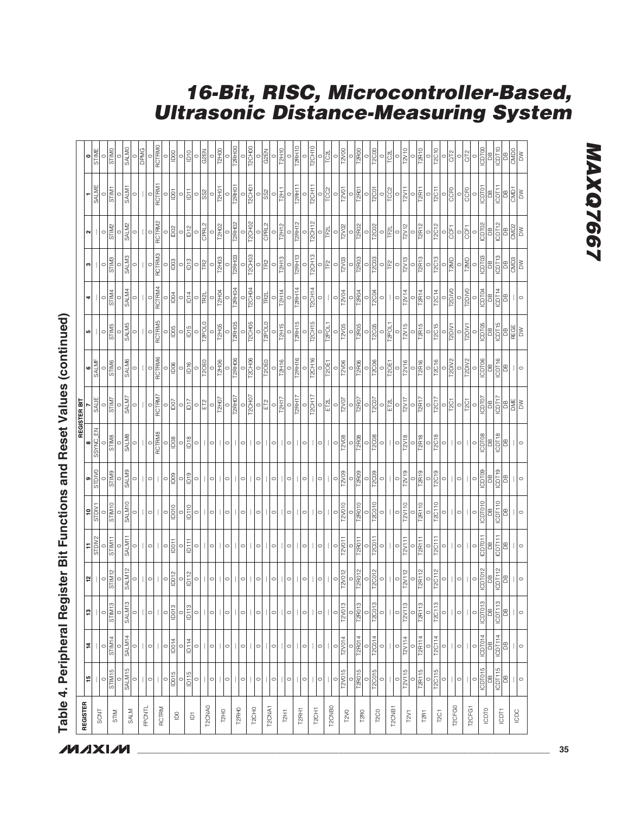| <b>REGISTER</b>                | 15                        | 부                         | ฺฅ                                        |                        |                                                  |                          |                                |                    | REGISTER BIT                               | 6                                                                                                            | ما                       | 4                                                                                                                                                                                                    | ო                              | ∾∣                                         |                                            |                                |
|--------------------------------|---------------------------|---------------------------|-------------------------------------------|------------------------|--------------------------------------------------|--------------------------|--------------------------------|--------------------|--------------------------------------------|--------------------------------------------------------------------------------------------------------------|--------------------------|------------------------------------------------------------------------------------------------------------------------------------------------------------------------------------------------------|--------------------------------|--------------------------------------------|--------------------------------------------|--------------------------------|
| SCNT                           |                           |                           | T                                         | 일 │                    | $\frac{11}{\text{SIDW2}}$                        | $\frac{10}{\text{SDIN}}$ | $rac{1}{\sqrt{2}}$             | SSYNC_EN           | SALIE                                      | <b>SALMF</b>                                                                                                 |                          | T                                                                                                                                                                                                    | $\mathbf{I}$                   | T                                          | SALME                                      | $\frac{1}{\sin \theta}$        |
|                                | $rac{0}{\text{SIM15}}$    | $rac{0}{\text{SIM14}}$    | $rac{0}{\text{STDMS}}$                    | $rac{0}{\text{SIM12}}$ | $\circ$                                          | $\circ$                  | $\circ$                        | $\circ$            | $\circ$                                    | $\circ$                                                                                                      | $\circ$                  | $\circ$                                                                                                                                                                                              | $\circ$                        | $\circ$                                    | $\circ$                                    | $\circ$                        |
| STIM                           | $\circ$                   |                           | $\circ$                                   |                        | STIM11                                           | STIM10                   | <b>GLIMB</b>                   | <b>STIMB</b>       | <b>STIM7</b>                               | <b>STIM6</b>                                                                                                 | <b>STIM5</b>             | STIM4<br>$\circ$                                                                                                                                                                                     | <b>STIM3</b>                   | <b>STIM2</b>                               | STIM1<br>$\circ$                           | <b>GTIMO</b>                   |
| SALM                           | SALM15                    | SALM <sub>14</sub>        | SALM13                                    | SALM <sub>12</sub>     | SALM11                                           | SALM10                   | <b>SALM9</b>                   | <b>SALMB</b>       | <b>SALM7</b>                               | <b>SALM6</b>                                                                                                 | <b>SALM5</b>             | SALM4                                                                                                                                                                                                | <b>SALM3</b>                   | SALM2                                      | SALM1                                      | <b>SALMO</b>                   |
|                                | $\circ$                   | $\circ$                   | $\circ$                                   | $\circ$                | $\circ$                                          |                          |                                |                    |                                            |                                                                                                              |                          | $\circ$                                                                                                                                                                                              | $\circ$                        |                                            |                                            |                                |
| <b>FPONTL</b>                  | $\overline{\phantom{a}}$  |                           | $\begin{array}{c} \hline \end{array}$     |                        |                                                  |                          |                                |                    |                                            |                                                                                                              |                          |                                                                                                                                                                                                      |                                |                                            |                                            | <b>DPMG</b>                    |
|                                | $\circ$                   | $\circ$                   | $\begin{array}{c} \end{array}$<br>$\circ$ | $\circ$                | $\circ$                                          | $\circ$                  | $\circ$                        | RCTRM8<br>$\circ$  | RCTRM7<br>$\circ$                          | RCTRM6<br>$\circ$                                                                                            | RCTRM5<br>$\circ$        | RCTRM4<br>$\circ$                                                                                                                                                                                    | RCTRM3<br>$\circ$              | RCTRM2<br>$\circ$                          | RCTRM1<br>$\circ$                          | <b>RCTRMO</b>                  |
| RCTRM                          | $\circ$                   | $\circ$                   | $\circ$                                   | $\circ$                | $\circ$                                          | $\circ$                  | $\circ$                        |                    | $\circ$                                    |                                                                                                              |                          | $\circ$                                                                                                                                                                                              |                                |                                            | $\circ$                                    |                                |
| $\mathsf{D}0$                  | ID015                     | ID014                     | ID013                                     | ID012                  | IDO11                                            | <b>ID010</b>             | lD <sub>09</sub>               | ID <sub>08</sub>   | $\overline{5}$                             | 1006                                                                                                         | ID <sub>05</sub>         | $\overline{5}$                                                                                                                                                                                       | $\frac{8}{2}$                  | $\overline{1002}$                          | $\overline{5}$                             | $\overline{0}00$               |
|                                | $\circ$                   | $\circ$                   | $\circ$                                   | $\circ$                | $\circ$                                          | $\circ$                  | $\circ$                        | $\circ$            | $\circ$                                    | $\circ$                                                                                                      | $\circ$                  | $\circ$                                                                                                                                                                                              | $\circ$                        | $\circ$                                    | $\circ$                                    | $\circ$                        |
| $\bar{\mathbf{Q}}$             | ID115                     | ID114                     | ID113                                     | ID112                  | ip<br>11                                         | ID110                    | D19                            | D <sub>18</sub>    | $\overline{C}$                             | D16                                                                                                          | ID <sub>15</sub>         | DT4                                                                                                                                                                                                  | $\overline{D}$ 13              | D12                                        | $\overline{5}$                             | <b>D10</b>                     |
|                                | $\circ$                   | $\circ$                   | $\circ$                                   | $\circ$                | $\circ$                                          | $\circ$                  | $\circ$                        | $\circ$            | $\circ$                                    | $\circ$                                                                                                      | T2POL0<br>$\circ$        | $\circ$                                                                                                                                                                                              | $\circ$                        | CPRL2<br>$\circ$                           | S <sub>S2</sub><br>$\circ$                 | $\circ$                        |
| T2CNA0                         | $\circ$<br>$\mathbf{1}$   | $\circ$                   | $\perp$<br>$\circ$                        | $\circ$                | $\circ$                                          | $\circ$                  | $\circ$                        | $\circ$            | ET <sub>2</sub><br>$\circ$                 | T2OE0<br>$\circ$                                                                                             | $\circ$                  | TR <sub>2</sub> L<br>$\circ$                                                                                                                                                                         | <b>PS</b><br>$\circ$           |                                            | $\circ$                                    | <b>G2EN</b><br>$\circ$         |
| <b>T2H0</b>                    |                           |                           | $\perp$                                   |                        |                                                  |                          |                                |                    | T2HO7                                      | <b>T2H06</b>                                                                                                 | <b>T2H05</b>             | <b>T2H04</b>                                                                                                                                                                                         | <b>T2H03</b>                   | <b>T2H02</b>                               | <b>T2H01</b>                               | <b>T2H00</b>                   |
|                                | $\circ$                   | $\circ$                   | $\circ$                                   | $\circ$                | $\circ$                                          | $\circ$                  | $\circ$                        | $\circ$            | $\circ$                                    | $\circ$                                                                                                      | $\circ$                  | $\circ$                                                                                                                                                                                              | $\circ$                        | $\circ$                                    | $\circ$                                    | $\circ$                        |
| T2RHO                          |                           |                           | $\mathbb{L}$                              |                        |                                                  |                          |                                |                    | T2RH07                                     | T2RH06                                                                                                       | T2RH05                   | <b>T2RH04</b>                                                                                                                                                                                        | T2RH03                         | T2RH02                                     | T2RH01                                     | T2RH00                         |
|                                | $\circ$                   | $\circ$                   | $\circ$                                   | $\circ$                | $\circ$                                          | $\circ$                  | $\circ$                        | $\circ$            | T2CH07<br>$\circ$                          | T2CHO6<br>$\circ$                                                                                            | T2CH05<br>$\circ$        | T2CH04<br>$\circ$                                                                                                                                                                                    | T2CH03<br>$\circ$              | T <sub>2</sub> CH <sub>02</sub><br>$\circ$ | T <sub>2</sub> CH <sub>01</sub><br>$\circ$ | T <sub>2</sub> CHOO<br>$\circ$ |
| T <sub>2</sub> CH <sub>0</sub> | $\circ$                   | $\circ$                   | $\circ$                                   | $\circ$                | $\circ$                                          | $\circ$                  | $\circ$                        | $\circ$            | $\circ$                                    | $\circ$                                                                                                      | $\circ$                  | $\circ$                                                                                                                                                                                              | $\circ$                        | $\circ$                                    | $\circ$                                    | $\circ$                        |
|                                |                           |                           | $\mathbf{I}$                              |                        |                                                  |                          |                                |                    | ET <sub>2</sub>                            | T2OE0                                                                                                        | T2POL0                   | TR2L                                                                                                                                                                                                 | <b>FR2</b>                     | CPRL2                                      | S <sub>S2</sub>                            | <b>G2EN</b>                    |
| T2CNA1                         | $\circ$                   | $\circ$                   | $\circ$                                   | $\circ$                | $\circ$                                          | $\circ$                  | $\circ$                        |                    | $\circ$                                    | $\circ$                                                                                                      |                          | $\circ$                                                                                                                                                                                              | $\circ$                        |                                            | $\circ$                                    | $\circ$                        |
| T2H1                           |                           |                           |                                           |                        |                                                  |                          |                                |                    | T <sub>2</sub> H <sub>17</sub>             | <b>T2H16</b>                                                                                                 | T2H15                    | <b>T2H14</b>                                                                                                                                                                                         | <b>T2H13</b>                   | <b>T2H12</b>                               | T2H.1                                      | <b>T2H10</b>                   |
|                                | $\circ$                   | $\circ$                   | $\circ$                                   | $\circ$                | $\circ$                                          | $\circ$                  | 0                              | $\circ$            | $\circ$                                    |                                                                                                              | $\circ$                  | $\circ$                                                                                                                                                                                              | $\circ$                        |                                            | $\circ$                                    | $\circ$                        |
| T2RH1                          |                           |                           |                                           |                        |                                                  |                          |                                |                    | T2RH17                                     | T2RH16                                                                                                       | T2RH15                   | <b>T2RH14</b>                                                                                                                                                                                        | T2RH13                         | T2RH12                                     | T2RH11                                     | T2RH10                         |
|                                | $\circ$                   | $\circ$                   | $\circ$                                   | $\circ$                | $\circ$                                          | $\circ$                  | 0                              | $\circ$            | T <sub>2</sub> CH <sub>17</sub><br>$\circ$ | <b>T2CH16</b><br>$\circ$                                                                                     | <b>T2CH15</b><br>$\circ$ | <b>T2CH14</b><br>$\circ$                                                                                                                                                                             | <b>T2CH13</b><br>$\circ$       | T2CH12<br>$\circ$                          | T2CH11<br>$\circ$                          | T2CH10<br>$\circ$              |
| T <sub>2</sub> CH <sub>1</sub> | $\overline{1}$<br>$\circ$ | $\circ$                   | $\vert \vert \circ \vert$                 | $\circ$                | $\circ$                                          | ○                        | $\circ$                        | $\circ$            | $\circ$                                    |                                                                                                              |                          | $\circ$                                                                                                                                                                                              | $\circ$                        | $\circ$                                    | $\circ$                                    | $\circ$                        |
| T2CNB <sub>0</sub>             |                           |                           | $\mathbf{I}$                              |                        |                                                  |                          |                                |                    | ET2L                                       | T2OE1                                                                                                        | T2POL1                   |                                                                                                                                                                                                      | TF <sub>2</sub>                | TF <sub>2L</sub>                           | TCC <sub>2</sub>                           | TC <sub>2</sub> L              |
|                                | $\circ$                   | $\circ$                   | $\circ$                                   | $\circ$                | $\circ$                                          | $\circ$                  | $\circ$                        | $\circ$            | $\circ$                                    | $\circ$                                                                                                      |                          | $\circ$                                                                                                                                                                                              | $\circ$                        | $\circ$                                    | $\circ$                                    | $\circ$                        |
| T2V0                           | T2V015                    | T2V014                    | T2V013                                    | T2V012                 | T2V011<br>$\circ$                                | T2V010                   | T2V09                          | <b>T2V08</b>       | T2V07                                      | T2V06                                                                                                        | T2V05                    | T2V04                                                                                                                                                                                                | T2V03                          | T2V02                                      | T2V01                                      | T2V00                          |
|                                | T2R015<br>$\circ$         | T2RO14                    | T2R013<br>$\circ$                         | T2RO12<br>$\circ$      | T2R011                                           | T2R010                   | T2R09                          | T2R08<br>$\circ$   | $\overline{T2RO7}$<br>$\circ$              | T2R06                                                                                                        | T2R05<br>$\circ$         | T2R04<br>$\circ$                                                                                                                                                                                     | T2R03<br>$\circ$               | T2R02<br>$\circ$                           | T2R01<br>$\circ$                           | T2R00                          |
| T2R0                           | $\circ$                   | $\circ$                   | $\circ$                                   | $\circ$                | $\circ$                                          | $\circ$                  | $\circ$                        | $\circ$            | $\circ$                                    | $\circ$                                                                                                      | $\circ$                  | $\circ$                                                                                                                                                                                              | $\circ$                        | $\circ$                                    | $\circ$                                    | $\circ$                        |
| <b>T2C0</b>                    | <b>T2C015</b>             | T2C014                    | T <sub>2</sub> C <sub>013</sub>           | T20012                 | T20011                                           | T2C010                   | T <sub>2</sub> C <sub>09</sub> | <b>T2C08</b>       | T <sub>2</sub> C <sub>07</sub>             | T2C06                                                                                                        | <b>T2C05</b>             | T2004                                                                                                                                                                                                | T <sub>2</sub> C <sub>03</sub> | T <sub>2</sub> C <sub>02</sub>             | T2C01                                      | T2C00                          |
|                                | $\circ$                   | $\circ$                   | $\circ$                                   | $\circ$                |                                                  | $\circ$                  | $\circ$                        | $\circ$            | ET2L<br>$\circ$                            | T2OE1                                                                                                        | T2POL1                   | $\circ$                                                                                                                                                                                              | F <sub>2</sub><br>$\circ$      | TF <sub>2</sub> L<br>$\circ$               | TCC <sub>2</sub><br>$\circ$                | TC2L                           |
| T2CNB1                         | $\circ$                   | $\circ$                   | $\circ$                                   | $\circ$                | $\circ$                                          | $\circ$                  | $\circ$                        | $\circ$            | $\circ$                                    | $\circ$                                                                                                      | $\circ$                  | $\circ$                                                                                                                                                                                              | $\circ$                        | $\circ$                                    | $\circ$                                    | $\circ$                        |
| T2V1                           | T2V115                    | T2V114                    | T2V113                                    | T2V112                 | T2V111                                           | T2V110                   | T2V19                          | T2V18              | T2V17                                      | T2V16                                                                                                        | T2V15                    | T2V14                                                                                                                                                                                                | T2V13                          | T2V12                                      | T <sub>2V11</sub>                          | T2V10                          |
|                                | $\circ$                   | $\circ$                   | $\circ$                                   | $\circ$                | $\circ$                                          | $\circ$                  | $\circ$                        | $\circ$            | $\circ$                                    | $\circ$                                                                                                      | $\circ$                  | $\circ$                                                                                                                                                                                              | $\circ$                        | $\circ$                                    | $\circ$                                    | $\circ$                        |
| T2RT                           | T2R115                    | T2R114                    | T2R113                                    | T2R112                 | T2R111                                           | T2R110                   | T2R19                          | <b>T2R18</b>       | T2R17                                      | T2R16                                                                                                        | T2R15                    | T2R14                                                                                                                                                                                                | T2R13                          | T2R12                                      | T2R11                                      | T2R10                          |
|                                | T2C115<br>$\circ$         | T2C114<br>$\circ$         | T2C113<br>$\circ$                         | T2C112<br>$\circ$      | T2C111<br>$\circ$                                | T2C110<br>$\circ$        | T2C19<br>$\circ$               | T2C18<br>$\circ$   | T2C17<br>$\circ$                           | T2C16<br>$\circ$                                                                                             | T2C15<br>$\circ$         | T2C14<br>$\circ$                                                                                                                                                                                     | T2C13<br>$\circ$               | T2C12<br>$\circ$                           | $rac{0}{12011}$                            | T2C10<br>$\circ$               |
| T <sub>2C</sub> <sub>1</sub>   | $\circ$                   | $\circ$                   | $\circ$                                   | $\circ$                | $\circ$                                          | $\circ$                  | $\circ$                        | $\circ$            | $\circ$                                    | $\circ$                                                                                                      | $\circ$                  | $\circ$                                                                                                                                                                                              | $\circ$                        | $\circ$                                    | $\circ$                                    | $\circ$                        |
| T2CFG0                         | $\mathbb{I}$              |                           | $\mathbf{L}$                              |                        |                                                  |                          |                                |                    | T <sub>2C1</sub>                           | T2DIV2                                                                                                       | T2DIV1                   | <b>T2DIVO</b>                                                                                                                                                                                        | T2MD                           | CCF1                                       | CCFO                                       | C/T2                           |
|                                | $\circ$                   | $\circ$                   | $\circ$                                   | $\circ$                | $\circ$                                          | $\circ$                  | $\circ$                        | $\circ$            | $\circ$                                    | $\circ$                                                                                                      | $\circ$                  | $\circ$                                                                                                                                                                                              | $\circ$                        | $\circ$                                    | $\circ$                                    | $\circ$                        |
| T2CFG1                         |                           |                           | $\mathbb{L}$                              |                        |                                                  |                          |                                |                    | $\overline{12C1}$                          | T2DIV2                                                                                                       | $\frac{1}{2}$            |                                                                                                                                                                                                      | <b>T2MD</b>                    | <b>GFT</b>                                 | CCFO                                       | <b>CT2</b>                     |
|                                | $\circ$                   | <b>ICDT014</b><br>$\circ$ | ICDT013<br>$\circ$                        | $\circ$                | $\circ$                                          | $\circ$                  | $\circ$                        | $\circ$            | $\circ$                                    | $\circ$                                                                                                      | $\circ$                  | $\circ$                                                                                                                                                                                              | $\circ$                        | $\circ$                                    | $\circ$                                    | <b>ICDT00</b><br>$\circ$       |
| ICDTO                          | <b>ICDT015</b>            | B                         | 80                                        | $\frac{10}{10}$        | $\frac{1}{\sqrt{\frac{1}{n}}\sqrt{\frac{1}{n}}}$ | <b>CDT010</b><br>DB      | $\frac{1000}{\text{DB}}$       | $\frac{10008}{DB}$ |                                            |                                                                                                              | $\frac{10}{10}$          |                                                                                                                                                                                                      | $\frac{100}{9}$                | $\frac{100}{100}$                          | $\frac{1001}{\text{DB}}$                   | B                              |
| $\overline{C}$                 | ICDT115                   | <b>ICDT114</b>            | ICDT113                                   | $\overline{OPT112}$    | $\overline{OPT111}$                              | $\overline{OPT110}$      | ICDT19                         | ICDT18             |                                            | $\begin{array}{c}\n\hline\n\text{long} \\ \hline\n\text{long} \\ \hline\n\text{long} \\ \hline\n\end{array}$ | ICDT15                   | $\begin{array}{c c}\n\hline\n\text{1} & \text{1} \\ \hline\n\text{2} & \text{1} \\ \hline\n\text{3} & \text{1} \\ \hline\n\text{4} & \text{1} \\ \hline\n\text{5} & \text{1} \\ \hline\n\end{array}$ | ICDT13                         | ICDT12                                     | <b>SE</b>                                  | ICDT10                         |
|                                | B                         | $\mathbb B$               | $\overline{B}$                            | පී                     | $\Xi$                                            | $\mathbb B$              | $\Xi$                          | $\overline{a}$     |                                            | $\overline{a}$                                                                                               | DB<br>REGE<br>DW         | $\Xi$                                                                                                                                                                                                | B                              | $\frac{DB}{CMD2}$                          | $\frac{DB}{CMD1}$                          | $\mathbb{B}$                   |
| ICDC                           |                           |                           |                                           |                        |                                                  |                          |                                |                    |                                            |                                                                                                              |                          |                                                                                                                                                                                                      | $\frac{1}{2}$                  |                                            |                                            | $\frac{1}{\frac{1}{\sqrt{2}}}$ |
|                                | $\circ$                   | $\circ$                   | $\circ$                                   |                        |                                                  | $\circ$                  |                                |                    |                                            |                                                                                                              |                          |                                                                                                                                                                                                      | $\geq$                         | $\geq$                                     | $\geq$                                     |                                |

**16-Bit, RISC, Microcontroller-Based,**

**Ultrasonic Distance-Measuring System**

## Table 4. Peripheral Register Bit Functions and Reset Values (continued) **Table 4. Peripheral Register Bit Functions and Reset Values (continued)**

### **MXXVIVI**

**MAXG7667 MAXQ7667**

**\_\_\_\_\_\_\_\_\_\_\_\_\_\_\_\_\_\_\_\_\_\_\_\_\_\_\_\_\_\_\_\_\_\_\_\_\_\_\_\_\_\_\_\_\_\_\_\_\_\_\_\_\_\_\_\_\_\_\_\_\_\_\_\_\_\_\_\_\_\_\_\_\_\_\_\_\_\_\_\_\_\_\_\_\_\_ 35**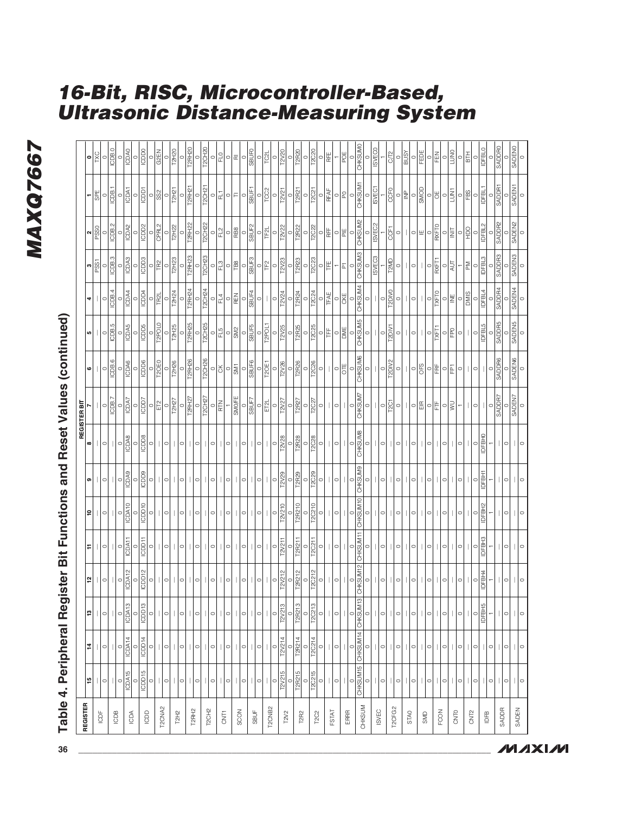### MAXQ7667 **MAXQ7667**

| j                  |  |
|--------------------|--|
|                    |  |
| )<br>:<br>:<br>ı   |  |
|                    |  |
| Ú<br>エキャ           |  |
| $\frac{1}{2}$      |  |
|                    |  |
|                    |  |
| ;<br>$\frac{1}{2}$ |  |
|                    |  |

### **16-Bit, RISC, Microcontroller-Based, Ultrasonic Distance-Measuring System**

| REGISTER           |                           |                   |                           |                                        |                          |                   |                    |                         | REGISTER BIT           |                                 |                                |                  |                          |                               |                                            |                              |
|--------------------|---------------------------|-------------------|---------------------------|----------------------------------------|--------------------------|-------------------|--------------------|-------------------------|------------------------|---------------------------------|--------------------------------|------------------|--------------------------|-------------------------------|--------------------------------------------|------------------------------|
|                    | $\frac{5}{15}$            | $\sharp$          | $\overline{13}$           | 5                                      | ÷                        | ¦e                | თ                  | $\infty$                |                        | $\mathbf  \circ$                | ю                              | 4                | PSS1<br>c                | PSS <sub>0</sub><br>$\sim$    | <b>SPE</b><br>۳                            | <b>IXC</b><br>$\bullet$      |
| ICDF               | $\circ$                   | $\circ$           | $\circ$                   | $\circ$                                | $\circ$                  | $\circ$           | $\circ$            | $\circ$                 | $\circ$                | $\circ$                         | $\circ$                        | $\circ$          |                          | $\circ$                       | $\circ$                                    | $\circ$                      |
| ICDB               |                           |                   |                           |                                        |                          |                   |                    |                         | ICDB.7                 | ICDB.6                          | ICDB.5                         | ICDB.4           | $\frac{1}{\sqrt{25}}$    | ICDB.2                        | ICDB.1                                     | ICDB.0                       |
|                    | $\circ$                   | $\circ$           | $\circ$                   | $\circ$                                | $\circ$                  | $\circ$           | $\circ$            | $\circ$                 | $\circ$                |                                 |                                | $\circ$          |                          | $\circ$                       |                                            |                              |
| ICDA               | ICDA15                    | ICDA14            | ICDA13                    | ICDA12                                 | ICDA11                   | ICDA10            | ICDA9              | ICDA8                   | ICDA7                  | ICDA6                           | ICDA5                          | ICDA4            | ICDA3                    | ICDA2                         | ICDA1                                      | ICDA0                        |
|                    |                           | ICDD14            | $rac{0}{10013}$           |                                        |                          | $\circ$           | $rac{1}{\sqrt{2}}$ |                         | $rac{0}{10007}$        | <b>BODS</b>                     |                                |                  | ICDD3                    | $rac{0}{1002}$                | $\frac{0}{10011}$                          |                              |
| <b>BOD</b>         | ICDD15<br>$\circ$         | $\circ$           | $\circ$                   | $\frac{1}{\sqrt{2}}\sqrt{\frac{1}{2}}$ | ICDD11<br>$\circ$        | ICDD10<br>$\circ$ | $\circ$            | <b>ICDD8</b><br>$\circ$ | $\circ$                | $\circ$                         | ICDD5<br>$\circ$               | ICDD4<br>$\circ$ |                          | $\circ$                       |                                            | ICDD <sub>0</sub><br>$\circ$ |
|                    | $\mathbb{L}$              |                   |                           |                                        |                          |                   |                    |                         | Εĩ                     | <b>T2QE0</b>                    | T2POL0                         | TR <sub>2</sub>  | $\frac{1}{2}$            | CPRL2                         | $\frac{1}{3}$                              | G <sub>2</sub> EN            |
| T2CNA <sub>2</sub> | $\circ$                   | $\circ$           | $\vert\vert\circ\vert$    | $\circ$                                | $\circ$                  | $\circ$           | $\circ$            | $\circ$                 | $\circ$                |                                 |                                |                  |                          |                               |                                            |                              |
|                    |                           |                   | $\mathbb{L}$              |                                        |                          |                   |                    |                         | T2H27                  | T2H26                           | T2H25                          | T2H24            | T2H23                    | T2H22                         | $\frac{1}{2}$                              | T2H20                        |
| T2H <sub>2</sub>   | $\circ$                   | $\circ$           | $\circ$                   | $\circ$                                | $\circ$                  | $\circ$           | $\circ$            | $\circ$                 | $\circ$                | $\circ$                         | $\circ$                        | $\circ$          | $\circ$                  | $\circ$                       | $\circ$                                    |                              |
| T2RH2              |                           |                   | $\mathbb{L}$              |                                        |                          |                   |                    |                         | T2RH27                 | T2RH26                          | T2RH25                         | T2RH24           | T2RH <sub>23</sub>       | T2RH22                        | T2RH21                                     | $rac{0}{12RH20}$             |
|                    | $\circ$                   | $\circ$           | 0                         | o                                      | $\circ$                  | $\circ$           | $\circ$            | $\circ$                 | $\circ$                | $\circ$                         |                                |                  | C                        | $\circ$                       | $\circ$                                    |                              |
| T <sub>2CH2</sub>  |                           |                   |                           |                                        |                          |                   |                    |                         | T2CH27                 | <b>T2CH26</b>                   | T2CH25                         | T2CH24           | <b>T2CH23</b>            | T2CH22                        | T2CH21                                     | T2CH <sub>20</sub>           |
|                    | $\circ$                   | $\circ$           | $\circ$                   | 0                                      | $\circ$                  | $\circ$           | $\circ$            | $\circ$                 | $\circ$                | 이옷                              | $\circ$                        | $\circ$          | $\circ$                  | $\circ$                       | $\circ$                                    | $\circ$                      |
| <b>GNT1</b>        |                           |                   |                           |                                        |                          |                   |                    |                         | E                      |                                 | ls<br>E                        | E4               | 13                       | 12<br>El                      | 딥                                          | PJ<br>E                      |
|                    | $\circ$                   | $\circ$           | $\circ$                   |                                        | $\circ$                  | $\circ$           | $\circ$            | 0                       |                        | $\sqrt{\frac{1}{2}}$<br>$\circ$ | $\circ$                        | $\frac{1}{2}$    | $\circ$ $\frac{8}{5}$    | $\frac{1}{2}$                 | 이드                                         | 이교                           |
| SCON               |                           |                   |                           |                                        |                          |                   |                    |                         | SMO/FE                 |                                 | <b>SM2</b>                     |                  |                          |                               |                                            |                              |
|                    | $\circ$                   | $\circ$           | $\circ$                   | 이                                      | $\circ$                  | $\circ$           | $\circ$            | $\circ$                 | SBUF7<br>$\circ$       | SBUF6<br>$\circ$                | SBUF5<br>$\circ$               | SBUF4<br>$\circ$ | SBUF3<br>$\circ$         | SBUF <sub>2</sub><br>$\circ$  | SBUF1<br>$\circ$                           | <b>Ganes</b><br>$\circ$      |
| SBUF               | $\circ$                   | $\circ$           | $\vert \vert \circ \vert$ | $\circ$                                | $\circ$                  | $\circ$           | $\circ$            | $\circ$                 | $\circ$                | $\circ$                         |                                | $\circ$          | $\circ$                  | $\circ$                       | $\circ$                                    | $\circ$                      |
|                    |                           |                   | $\mathbb{L}$              |                                        |                          |                   |                    |                         | ET2L                   | T2OE1                           | T2POL1                         | $\mathbf{L}$     | IΕ                       | l<br>⊯                        | TCC2                                       | <b>TC2L</b>                  |
| T2CNB <sub>2</sub> | $\circ$                   | $\circ$           | $\circ$                   | $\circ$                                | $\circ$                  | $\circ$           | $\circ$            | $\circ$                 | $\circ$                | $\circ$                         | $\circ$                        | $\circ$          | $\circ$                  | $\circ$                       | $\circ$                                    | $\circ$                      |
| T2V2               | T2V21                     | 2V21              | T2V213                    | T2V212                                 | T2V211                   | T2V210            | <b>EZV29</b>       | T2V28                   | <b>T2V27</b>           | T2V26                           | T2V25                          | T2V24            | T2V23                    | T2V22                         | $\sqrt{271}$                               | T2V20                        |
|                    | $\circ$                   | $\circ$           | $\circ$                   | $\circ$                                | $\circ$                  | $\circ$           | $\circ$            | $\circ$                 | $\circ$                | $\circ$                         | $\circ$                        | $\circ$          | $\circ$                  | $\circ$                       | $\circ$                                    | $\circ$                      |
| T2R2               | T2R215                    | T2R214            | T2R213                    | T2R212                                 | T2R211                   | T2R210            | T2R29              | T2R28                   | T2R27                  | T2R26                           | T <sub>2</sub> R <sub>25</sub> | T2R24            | T2R23                    | T2R22                         | T2R21                                      | T2R20                        |
|                    | $\circ$                   | $\circ$           | $\circ$                   | $rac{0}{\sqrt{120212}}$                | $\circ$                  | $\circ$           | $\circ$            | $\circ$                 | $\circ$                | $\circ$                         | $\circ$                        | $\circ$          | $\circ$                  | $rac{0}{\sqrt{2C22}}$         | $\circ$                                    | $\circ$                      |
| <b>T2C2</b>        | <b>T2C215</b><br>$\circ$  | T2C214<br>$\circ$ | T2C213<br>$\circ$         | $\circ$                                | <b>T2C211</b><br>$\circ$ | T2C210<br>$\circ$ | T2C29<br>$\circ$   | T2C28<br>$\circ$        | T2C27<br>$\circ$       | <b>T2C26</b><br>$\circ$         | T2C25                          | T2C24<br>$\circ$ | T2C23                    |                               | $\overline{12}$ C <sub>21</sub><br>$\circ$ | T2C20<br>$\circ$             |
|                    |                           |                   |                           |                                        |                          |                   |                    |                         | $\mathbf{H}$           | Ш                               | $\circ$   $\sharp$             | <b>TFAE</b>      | IFE<br>$\circ$           | 이베                            | RFAF                                       | RFE                          |
| FSTAT              | $\vert \vert \circ \vert$ | ∃∣∣               | ⊟∣∣                       | $\circ$                                | $\circ$                  | $\circ$           | $\circ$            | $\circ$                 | $\circ$                | $\circ$                         |                                |                  | $\overline{ }$           |                               |                                            |                              |
| ERRR               |                           |                   |                           |                                        |                          |                   |                    |                         |                        | OTE                             | $\frac{1}{2}$                  | $\frac{1}{2}$    | $ \vec{r} $              | 이삐                            | 이외                                         | POE                          |
|                    | $\circ$                   | $\circ$           | $\circ$                   | $\circ$                                | $\circ$                  | $\circ$           | $\circ$            | $\circ$                 | $\circ$                | $\circ$                         | $\circ$                        | $\circ$          | $\circ$                  | OHKSUM2                       | $\circ$                                    | $\circ$                      |
| CHKSUM             |                           | CHKSUM15 CHKSUM14 | $\frac{1}{2}$<br>CHKSUM   | CHKSUM12                               | CHKSUM11                 | CHKSUM10          | CHKSUM9            | CHKSUM8                 | <b>CHKSUM7</b>         | <b>CHKSUM6</b>                  | <b>CHKSUM5</b>                 | CHKSUM4          | <b>CHKSUM3</b>           |                               | CHKSUM1                                    | <b>CHKSUMO</b>               |
|                    | $\circ$                   | $\circ$           | $\circ$                   | $\circ$                                | $\circ$                  | $\circ$           | $\circ$            | $\circ$                 | $\circ$                | $\circ$                         | $\circ$                        | $\circ$          | <b>ISVEC3</b><br>$\circ$ | ISVEC <sub>2</sub><br>$\circ$ | ISVEC <sub>1</sub><br>$\circ$              | <b>ISVECO</b><br>$\circ$     |
| ISVEC              | $\circ$                   | $\circ$           | $\circ$                   | $\circ$                                | $\circ$                  | $\circ$           | $\circ$            | $\circ$                 | $\circ$                | $\circ$                         | $\circ$                        | $\circ$          |                          |                               |                                            |                              |
|                    |                           |                   |                           |                                        |                          |                   |                    |                         | T <sub>2</sub> C1      | T2DIV2                          | T2DIV1                         | T2DIV0           | T2MD                     | 50                            | CCF <sub>0</sub>                           | CT <sub>2</sub>              |
| T2CFG2             | $\circ$                   | $\circ$           | $\circ$                   | $\circ$                                | $\circ$                  | $\circ$           | $\circ$            | $\circ$                 | $\circ$                | $\circ$                         | $\circ$                        | $\circ$          | $\circ$                  | $\circ$                       | $\circ$                                    | $\circ$                      |
| STAO               |                           |                   |                           |                                        |                          |                   |                    |                         | $\vert\vert$ o         |                                 |                                |                  |                          |                               | $\mathsf{P}$                               | <b>ASNB</b>                  |
|                    | $\circ$                   | $\circ$           | $\circ$                   | 0                                      | $\circ$                  | $\circ$           | $\circ$            | 0                       |                        | $\circ$                         | $\circ$                        | $\circ$          | $\circ$                  | $\circ$                       | $\circ$                                    | $\circ$                      |
| SMD                |                           |                   |                           |                                        |                          |                   |                    |                         | $\frac{\alpha}{\ln 2}$ | OF <sub>S</sub>                 |                                |                  |                          | $\sqcup$                      | smop                                       | FEDE                         |
|                    | $\circ$                   | $\circ$           | $\circ$                   | $\circ$                                | $\circ$                  | $\circ$           | $\circ$            | $\circ$                 | 이비                     | 이삐                              | $\circ$                        | $\circ$          | $\circ$                  | $\circ$                       | 이비                                         | 이준                           |
| $FCOM$             | $\circ$                   | $\circ$           | $\circ$                   | $\circ$                                | $\circ$                  | $\circ$           | $\circ$            | $\circ$                 |                        | $\circ$                         | TXFT1                          | TXFTO<br>$\circ$ | RXFT1<br>$\circ$         | RXFT0<br>$\circ$              | $\circ$                                    | $\circ$                      |
|                    |                           |                   |                           |                                        |                          |                   |                    |                         | $\frac{1}{2}$          | E                               | 이외                             | E                | ÄЛ                       | $\overline{\Xi}$              | ENLI                                       | <b>DNO</b>                   |
| CNTO               | $\circ$                   | $\circ$           | $\circ$                   | $\circ$                                | $\circ$                  | $\circ$           | $\circ$            | $\circ$                 |                        | $\circ$                         | $\circ$                        | $\circ$          |                          | $\circ$                       |                                            | $\circ$                      |
| CNT <sub>2</sub>   |                           |                   |                           |                                        |                          |                   |                    |                         |                        | $\mathbb{I}$                    |                                | <b>DMIS</b>      | $\mathbb N$              | $\frac{1}{2}$                 | 이ଅ                                         | H <sub>E</sub>               |
|                    | $\circ$                   | $\circ$           | $\circ$                   | $\circ$                                | $\circ$                  | $\circ$           | $\circ$            | $\circ$                 | $\vert\vert$ o         | $\circ$                         | $\circ$                        |                  | $\circ$                  | $\circ$                       | $\circ$                                    | $\circ$                      |
| <b>IDFB</b>        |                           |                   | DFBH <sub>5</sub>         | IDFBH4                                 | IDFBH3                   | IDFBH2            | IDFBH1             | IDFBH0                  |                        |                                 | <b>IDFBL</b>                   | IDFBL4           | IDFBL3                   | IDFBL2                        | IDFBL1                                     | IDFBL0                       |
|                    | $\circ$                   | $\circ$           |                           |                                        |                          |                   |                    |                         | $\circ$                | $\circ$                         |                                |                  |                          | SADDR2                        | $rac{0}{\text{SADRI}}$                     |                              |
| SADDR              |                           |                   | $\overline{\phantom{a}}$  |                                        |                          |                   |                    |                         | SADDR7                 | SADDR6                          | <b>SADDR5</b>                  | SADDR4           | SADDR3                   |                               |                                            | <b>SADDRO</b>                |
|                    | $\circ$                   | $\circ$           | $\circ$                   | $\circ$                                | $\circ$                  | $\circ$           | $\circ$            | $\circ$                 | SADEN7                 | <b>SADEN6</b>                   | <b>SADEN5</b>                  | SADEN4           | SADEN <sub>3</sub>       | SADEN2                        | SADEN1                                     | <b>SADENO</b>                |
| SADEN              | $\circ$                   | $\circ$           | $\circ$                   |                                        | $\circ$                  | $\circ$           |                    | $\circ$                 |                        |                                 |                                |                  |                          |                               |                                            |                              |
|                    |                           |                   |                           |                                        |                          |                   |                    |                         |                        |                                 |                                |                  |                          |                               |                                            |                              |

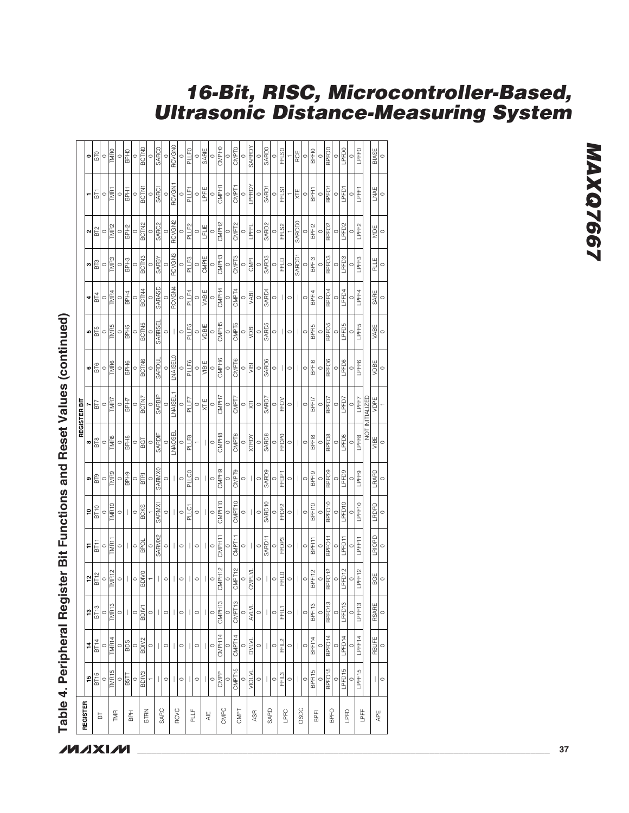|             |                          |                    |                                       |                    |                    |                    |                   |                   | REGISTER BIT                   |                   |                   |                   |                    |                      |                   |                   |
|-------------|--------------------------|--------------------|---------------------------------------|--------------------|--------------------|--------------------|-------------------|-------------------|--------------------------------|-------------------|-------------------|-------------------|--------------------|----------------------|-------------------|-------------------|
| REGISTER    | 15                       | 14                 | 13                                    | 12                 | F                  | ءِ                 | െ                 | œ                 |                                | 6                 | 5                 | 4                 | ო                  | $\mathbf{\tilde{c}}$ |                   | 0                 |
| 눕           | BT15                     | BT14               | BT <sub>13</sub>                      | BT12               | BT11               | <b>BT10</b>        | BT9               | BT8               | БŊ                             | <b>BT6</b>        | BT5               | B <sub>T</sub> 4  | BT3                | BT <sub>2</sub>      | $\overline{5}$    | <b>DLB</b>        |
|             |                          |                    | $\circ$                               | $\circ$            | $\circ$            | $\circ$            | $\circ$           | $\circ$           | $\circ$                        | $\circ$           | $\circ$           | $\circ$           | $\circ$            | $\circ$              | $\circ$           |                   |
| TMR         | TMR <sub>15</sub>        | TMR <sub>14</sub>  | TMR <sub>13</sub>                     | TMR <sub>12</sub>  | TMR11              | TMR10              | TMR9              | TMR8              | TMR7                           | TMR6              | TMR <sub>5</sub>  | TMR4              | TMR3               | TMR <sub>2</sub>     | <b>TMR1</b>       | <b>TMRO</b>       |
|             | $\circ$                  |                    | $\circ$                               | $\circ$            | $\circ$            | $\circ$            | $\circ$           | $\circ$           | $\circ$                        | $\circ$           | $\circ$           | $\circ$           | $\circ$            | $\circ$              | $\circ$           | $\circ$           |
| 곱           | <b>BSTT</b>              | $\frac{1}{2}$      | $\bigg $                              |                    |                    |                    | BPH <sub>9</sub>  | BPH <sub>8</sub>  | BPH7                           | BPH <sub>6</sub>  | BPH <sub>5</sub>  | BPH4              | BPH <sub>3</sub>   | BPH <sub>2</sub>     | BPH1              | BPH <sub>0</sub>  |
|             | $\circ$                  | $\circ$            | $\circ$                               | $\circ$            | $\circ$            | $\circ$            | $\circ$           | $\circ$           | $\circ$                        | $\circ$           | 0                 | $\circ$           | $\circ$            | $\circ$              | $\circ$           | $\circ$           |
| BTRN        | BDIV3                    | BDIV <sub>2</sub>  | BDIV1                                 | <b>BDIVO</b>       | <b>BPOL</b>        | <b>BCKS</b>        | BTRI              | BGT               | BCTN7                          | <b>BCTN6</b>      | <b>BCTN5</b>      | BCTN4             | BCTN <sub>3</sub>  | <b>BCTN2</b>         | BCTN1             | <b>BCTNO</b>      |
|             |                          | $\circ$            | $\circ$                               |                    | $\circ$            |                    | $\circ$           | $\circ$           | $\circ$                        | $\circ$           | C                 | $\circ$           | $\circ$            | $\circ$              | $\circ$           | $\circ$           |
| SARC        |                          |                    |                                       |                    | SARMX2             | SARMX1             | <b>SARMXO</b>     | SARDIF            | <b>SARBIP</b>                  | SARDUL            | SARRSEI           | SARASD            | <b>SARBY</b>       | SARC2                | SARC1             | <b>SARCO</b>      |
|             | $\circ$                  | $\circ$            | $\circ$                               | $\circ$            | $\circ$            | $\circ$            | $\circ$           |                   | $\subset$                      | $\circ$           | $\circ$           |                   | C                  | $\circ$              | $\subset$         |                   |
| <b>RCVC</b> | $\mathbf{I}$             |                    | $\mid$                                | I                  | I                  | I                  | $\overline{1}$    | <b>LNAOSEL</b>    | LNAISEL1                       | NAISEL0           | I                 | RCVGN4            | RCVGN3             | RCVGN <sub>2</sub>   | RCVGN1            | <b>RCVGNO</b>     |
|             | $\circ$                  | $\circ$            | $\circ$                               | $\circ$            | $\circ$            | $\circ$            | $\circ$           | $\circ$           | $\circ$                        | $\circ$           | $\circ$           |                   | $\circ$            | $\circ$              | $\circ$           | $\circ$           |
| PLLF        | $\overline{\phantom{a}}$ |                    | $\overline{\phantom{a}}$              |                    | I                  | PLLC1              | PLLC0             | PLLF8             | PLLF7                          | PLLF6             | PLLF5             | PLLF4             | PLLF3              | PLLF2                | PLLF1             | PLLF0             |
|             | $\circ$                  | $\circ$            | $\circ$                               | $\circ$            | $\circ$            | $\circ$            | $\circ$           |                   | $\circ$                        | $\circ$           | $\circ$           | $\circ$           | $\circ$            | $\circ$              | $\circ$           | $\circ$           |
| AIE         | $\mathbf{  }$            |                    |                                       |                    | I                  | I                  | T                 | I                 | XTIE                           | VIBIE             | VDBIE             | VABIE             | CMPIE              | LFLIE                | LPFIE             | SARIE             |
|             | $\circ$                  | $\circ$            | $\circ$                               | $\circ$            | $\circ$            | $\circ$            | $\circ$           | $\circ$           | $\circ$                        | $\circ$           | 0                 | $\circ$           | $\circ$            | $\circ$              | $\circ$           | $\circ$           |
| CMPC        | CMPP                     | CMPH14             | CMPH13                                | CMPH12             | CMPH11             | CMPH10             | CMPH <sub>9</sub> | CMPH <sub>8</sub> | CMPH7                          | CMPH <sub>6</sub> | CMPH <sub>5</sub> | CMPH4             | CMPH <sub>3</sub>  | CMPH2                | CMPH1             | CMPH <sub>0</sub> |
|             | $\circ$                  | $\circ$            | $\circ$                               |                    | $\circ$            | $\circ$            | $\circ$           | $\circ$           | $\circ$                        | $\circ$           | 0                 | $\circ$           | $\circ$            | $\circ$              | $\circ$           | $\circ$           |
| CMPT        | CMPT15                   | CMPT <sub>14</sub> | CMPT <sub>13</sub>                    | CMPT12             | CMPT11             | CMPT10             | CMPT9             | CMPT8             | CMPT7                          | CMPT6             | CMPT5             | CMPT4             | CMPT3              | CMPT2                | CMPT1             | CMPT <sub>0</sub> |
|             | $\circ$                  |                    | $\circ$                               | $\circ$            | $\circ$            | $\circ$            | $\circ$           | $\circ$           | $\circ$                        | $\circ$           | $\circ$           | $\circ$           | $\circ$            | $\circ$              | $\circ$           | $\subset$         |
| <b>ASR</b>  | <b>VIOLVL</b>            | <b>DVLVL</b>       | <b>AVLVL</b>                          | CMPLVL             |                    |                    |                   | <b>XTRDY</b>      | 反                              | yiBl              | VDBI              | VABI              | CMPI               | LPFL                 | LPFRDY            | SARRDY            |
|             | $\circ$                  | $\circ $           | $\circ$                               | $\circ$            | $\circ$            | $\circ$            | $\circ$           | $\circ$           | $\circ$                        | $\circ$           | $\circ$           | $\circ$           | $\circ$            | $\circ$              | $\circ$           | $\circ$           |
| SARD        |                          |                    | $\begin{array}{c} \hline \end{array}$ | ı                  | SARD1              | SARD <sub>10</sub> | <b>SARD9</b>      | <b>SARD8</b>      | SARD7                          | SARD6             | <b>SARD5</b>      | SARD4             | SARD3              | SARD <sub>2</sub>    | SARD <sub>1</sub> | SARD0             |
|             | $\circ$                  | $\circ$            | $\circ$                               | $\circ$            | $\circ$            | $\circ$            | $\circ$           | $\circ$           | $\circ$                        | $\circ$           | $\circ$           | $\circ$           | $\circ$            | $\circ$              | $\circ$           | $\circ$           |
| LPFC        | FFIL3                    | FFIL2              | FFIL1                                 | FFILO              | FFDP3              | FFDP <sub>2</sub>  | FFDP <sub>1</sub> | FFDP0             | FFOV                           | $\mathbf{L}$      |                   | $\overline{1}$    | FFLD               | FFL <sub>S2</sub>    | FFLS1             | FFL <sub>SO</sub> |
|             |                          | $\circ$            | $\circ$                               | $\circ$            | $\circ$            | $\circ$            | $\circ$           | $\circ$           | $\circ$                        | $\circ$           | $\circ$           | $\circ$           | $\circ$            |                      |                   |                   |
| OSCC        | $\circ$ $\vert \ \vert$  |                    |                                       |                    |                    | I                  |                   |                   |                                |                   |                   |                   | SARCD <sub>1</sub> | <b>SARCD0</b>        | XTE               | RCE               |
|             | $\circ$                  | $\circ$            | $\circ$                               | $\circ$            | $\circ$            | $\circ$            | $\circ$           | $\circ$           | $\circ$                        | $\circ$           | $\circ$           | $\circ$           | $\circ$            | $\circ$              | $\circ$           | $\circ$           |
| $_{\rm BE}$ | BPFI15                   | BPFI14             | BPFI13                                | BPFI12             | BPFI11             | BPFI10             | BPF <sub>19</sub> | BPF18             | BPFI7                          | BPF16             | BPFI <sub>5</sub> | BPF <sub>14</sub> | BPF13              | BPF <sub>12</sub>    | <b>BPFI1</b>      | <b>BPFIO</b>      |
|             | $\circ$                  | $\frac{0}{BFG14}$  | $\circ$                               | $\circ$            | $\circ$            | $\circ$            | $\circ$           | $\circ$           | $\circ$                        | $\circ$           | $\circ$           | $\circ$           | $\circ$            | $\circ$              | $\circ$           | $\circ$           |
| BPFO        | BPFO <sub>15</sub>       |                    | BPFO <sub>13</sub>                    | BPFO <sub>12</sub> | BPFO <sub>11</sub> | BPFO <sub>10</sub> | BPFO <sub>9</sub> | BPFO <sub>8</sub> | BPFO7                          | BPFO <sub>6</sub> | BPFO <sub>5</sub> | BPFO <sub>4</sub> | BPFO <sub>3</sub>  | BPFO <sub>2</sub>    | BPFO <sub>1</sub> | BPFO <sub>0</sub> |
|             | $\circ$                  |                    | $\circ$                               | $\circ$            | $\circ$            | $\circ$            | $\circ$           | $\circ$           | $\circ$                        | $\circ$           | $\circ$           | $\circ$           | $\circ$            | $\circ$              | $\circ$           | $\circ$           |
| LPFD        | LPFD15                   | LPFD14             | LPFD <sub>13</sub>                    | PFD <sub>12</sub>  | LPFD11             | LPFD10             | LPFD9             | LPFD8             | LPFD7                          | LPFD6             | LPFD5             | LPFD4             | LPFD3              | LPFD <sub>2</sub>    | LPFD1             | LPFD0             |
|             | $\circ$                  | $\circ$            | $\circ$                               | $\circ$            | $\circ$            | $\circ$            | $\circ$           | $\circ$           | $\circ$                        | $\circ$           | $\circ$           | $\circ$           | $\circ$            | $\circ$              | $\circ$           | $\circ$           |
| <b>LPFF</b> | LPFF15                   | LPFF14             | LPFF13                                | LPFF12             | LPFF11             | LPFF10             | LPFF9             |                   | LPFF8 LPFF7<br>NOT INITIALIZED | LPFF6             | LPFF5             | LPFF4             | LPFF3              | LPFF <sub>2</sub>    | LPFF1             | LPFFO             |
|             |                          |                    |                                       |                    |                    |                    |                   |                   |                                |                   |                   |                   |                    |                      |                   |                   |
| ₩Ę          | I                        | RBUFE              | <b>RSARE</b>                          | BGE                | <b>LRIOPD</b>      | LRDPD              | LRAPD             | VIBE              | VDPE                           | VDBE              | VABE              | SARE              | PLLE<br>E          | MDE                  | LNAE              | BIASE             |
|             | $\circ$                  | $\circ$            | $\circ$                               | $\circ$            | $\circ$            | $\circ$            | $\circ$           | $\circ$           |                                | $\circ$           | $\circ$           | $\circ$           | $\circ$            | $\circ$              | $\circ$           | $\circ$           |
|             |                          |                    |                                       |                    |                    |                    |                   |                   |                                |                   |                   |                   |                    |                      |                   |                   |

Table 4. Peripheral Register Bit Functions and Reset Values (continued) **Table 4. Peripheral Register Bit Functions and Reset Values (continued)**

### **16-Bit, RISC, Microcontroller-Based, Ultrasonic Distance-Measuring System**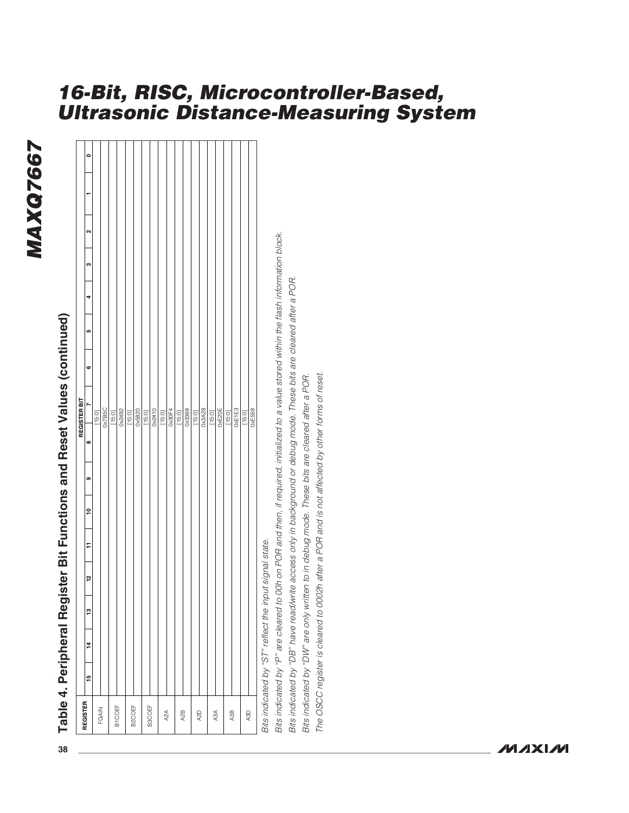### MAXQ7667 **MAXQ7667**

# **8 Table 4, Peripheral Register B1F Emictions and Reset Values (continued)**<br> **8 Table 4, Peripheral Register BF Emicions and Reset Values (continued)**<br>
From the Law and Law and Law and Law and Law and Law and Law and Law

### **MAXM**

### **16-Bit, RISC, Microcontroller-Based, Ultrasonic Distance-Measuring System**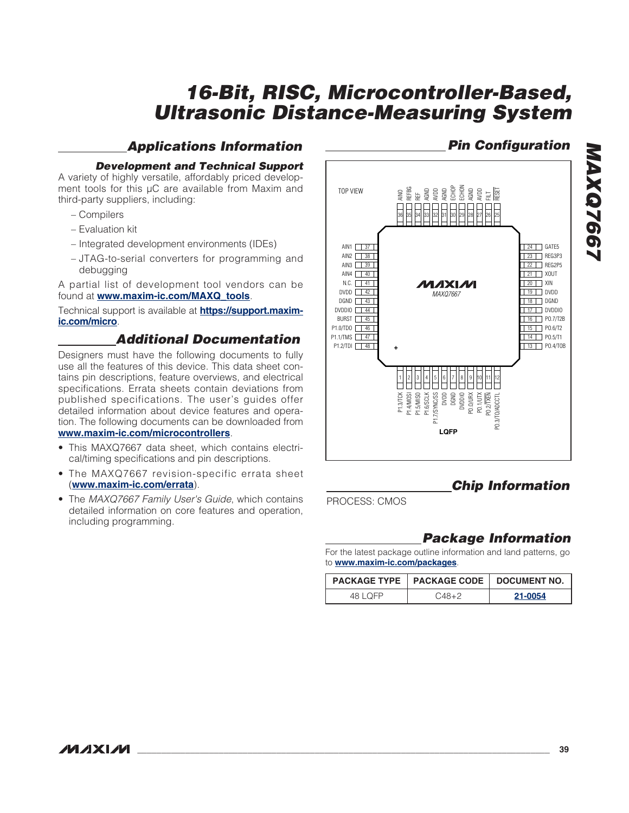### **Applications Information**

### **Development and Technical Support**

A variety of highly versatile, affordably priced development tools for this  $\mu$ C are available from Maxim and third-party suppliers, including:

- Compilers
- Evaluation kit
- Integrated development environments (IDEs)
- JTAG-to-serial converters for programming and debugging

A partial list of development tool vendors can be found at **www.maxim-ic.com/MAXQ\_tools**.

Technical support is available at **https://support.maximic.com/micro**.

### **Additional Documentation**

Designers must have the following documents to fully use all the features of this device. This data sheet contains pin descriptions, feature overviews, and electrical specifications. Errata sheets contain deviations from published specifications. The user's guides offer detailed information about device features and operation. The following documents can be downloaded from **www.maxim-ic.com/microcontrollers**.

- This MAXQ7667 data sheet, which contains electrical/timing specifications and pin descriptions.
- The MAXQ7667 revision-specific errata sheet (**www.maxim-ic.com/errata**).
- The MAXQ7667 Family User's Guide, which contains detailed information on core features and operation, including programming.



### **Chip Information**

PROCESS: CMOS

### **Package Information**

For the latest package outline information and land patterns, go to **www.maxim-ic.com/packages**.

|          | PACKAGE TYPE   PACKAGE CODE   DOCUMENT NO. |         |
|----------|--------------------------------------------|---------|
| 48 I OFP | $0.48 + 2$                                 | 21-0054 |

### **MAXIM \_\_\_\_\_\_\_\_\_\_\_\_\_\_\_\_\_\_\_\_\_\_\_\_\_\_\_\_\_\_\_\_\_\_\_\_\_\_\_\_\_\_\_\_\_\_\_\_\_\_\_\_\_\_\_\_\_\_\_\_\_\_\_\_\_\_\_\_\_\_\_\_\_\_\_\_\_\_\_\_\_\_\_\_\_\_ 39**

### **Pin Configuration MAXQ7667 MAXQ766**